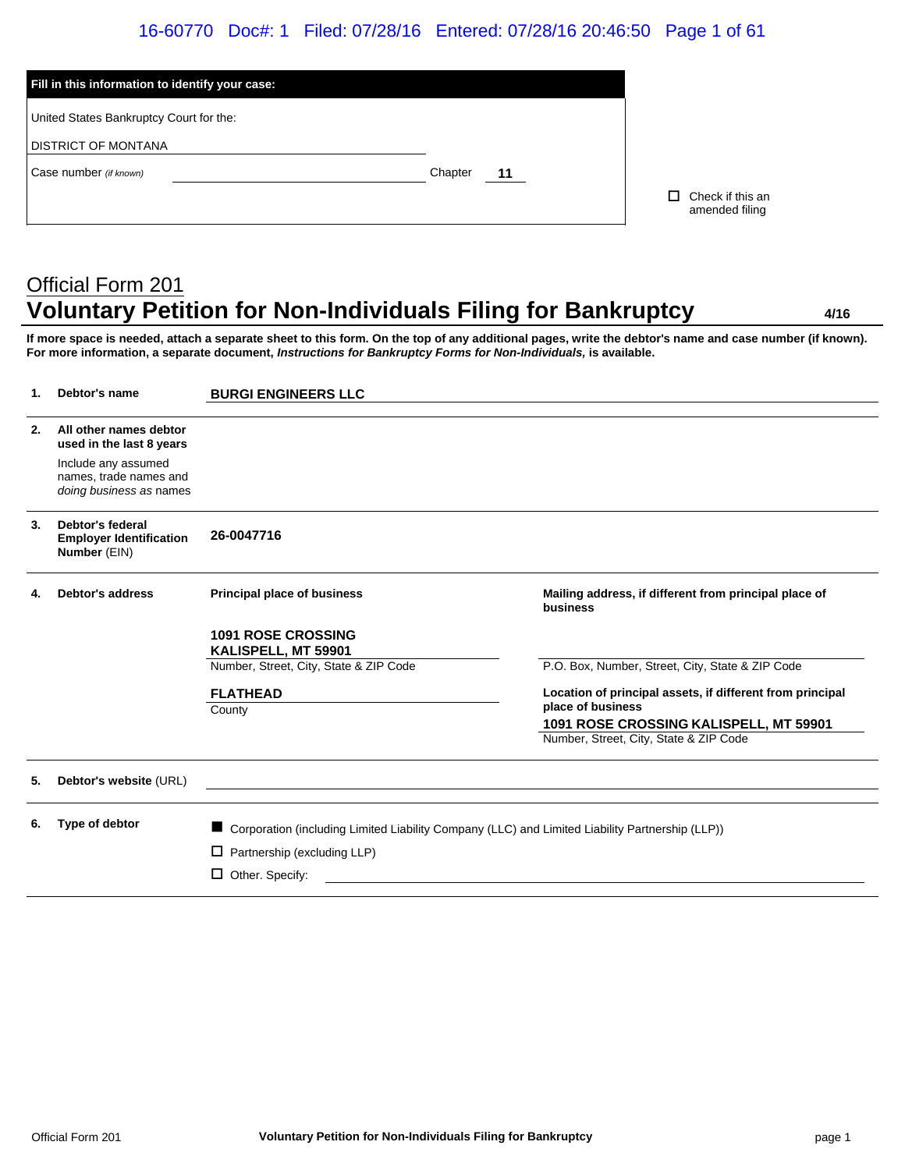### 16-60770 Doc#: 1 Filed: 07/28/16 Entered: 07/28/16 20:46:50 Page 1 of 61

| Fill in this information to identify your case: |         |    |                                          |
|-------------------------------------------------|---------|----|------------------------------------------|
| United States Bankruptcy Court for the:         |         |    |                                          |
| <b>DISTRICT OF MONTANA</b>                      |         |    |                                          |
| Case number (if known)                          | Chapter | 11 |                                          |
|                                                 |         |    | Check if this an<br>П.<br>amended filing |

# Official Form 201 **Voluntary Petition for Non-Individuals Filing for Bankruptcy 4/16**

**If more space is needed, attach a separate sheet to this form. On the top of any additional pages, write the debtor's name and case number (if known). For more information, a separate document,** *Instructions for Bankruptcy Forms for Non-Individuals,* **is available.**

| 1. | Debtor's name                                                            | <b>BURGI ENGINEERS LLC</b>                                                                        |                                                                                |
|----|--------------------------------------------------------------------------|---------------------------------------------------------------------------------------------------|--------------------------------------------------------------------------------|
| 2. | All other names debtor<br>used in the last 8 years                       |                                                                                                   |                                                                                |
|    | Include any assumed<br>names, trade names and<br>doing business as names |                                                                                                   |                                                                                |
| 3. | Debtor's federal<br><b>Employer Identification</b><br>Number (EIN)       | 26-0047716                                                                                        |                                                                                |
| 4. | <b>Debtor's address</b>                                                  | <b>Principal place of business</b>                                                                | Mailing address, if different from principal place of<br>business              |
|    |                                                                          | <b>1091 ROSE CROSSING</b><br>KALISPELL, MT 59901                                                  |                                                                                |
|    |                                                                          | Number, Street, City, State & ZIP Code                                                            | P.O. Box, Number, Street, City, State & ZIP Code                               |
|    |                                                                          | <b>FLATHEAD</b><br>County                                                                         | Location of principal assets, if different from principal<br>place of business |
|    |                                                                          |                                                                                                   | 1091 ROSE CROSSING KALISPELL, MT 59901                                         |
|    |                                                                          |                                                                                                   | Number, Street, City, State & ZIP Code                                         |
| 5. | Debtor's website (URL)                                                   |                                                                                                   |                                                                                |
| 6. | Type of debtor                                                           | ■ Corporation (including Limited Liability Company (LLC) and Limited Liability Partnership (LLP)) |                                                                                |
|    |                                                                          | Partnership (excluding LLP)<br>□                                                                  |                                                                                |
|    |                                                                          | $\Box$ Other. Specify:                                                                            |                                                                                |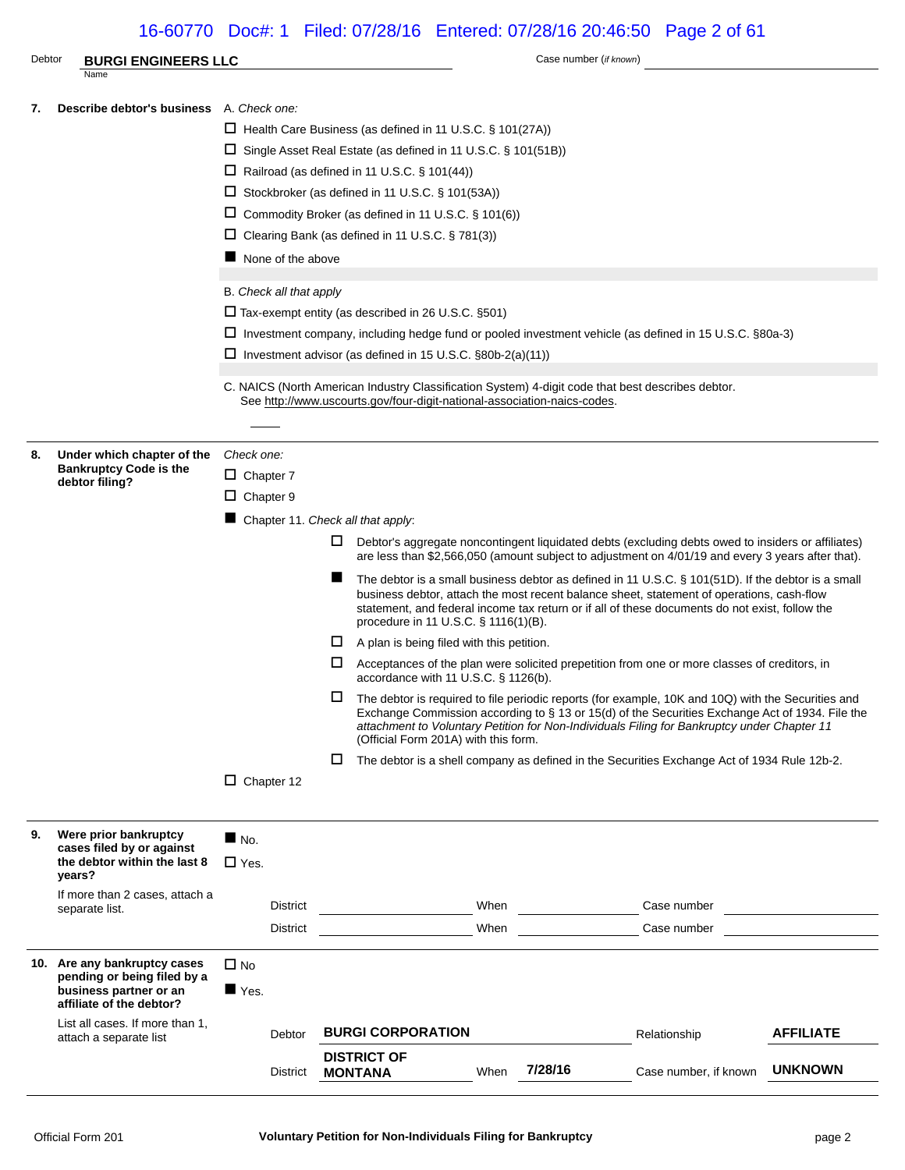### 16-60770 Doc#: 1 Filed: 07/28/16 Entered: 07/28/16 20:46:50 Page 2 of 61

| Debtor | <b>BURGI ENGINEERS LLC</b>                                                                                        |                                                                                                                                                                                                                                                                                                                                                                                                                                                                                                                                                                                                                                                                                                                                                                                                                                                                                                                                                                                                                                                                                                                                                                                                                                                                                                                                                                                                                          |                                                                                                                                                                                                                                                                                                                                                                                                                                                                                                                  |                 | Case number (if known)                                                                                                                                                                                        |                  |
|--------|-------------------------------------------------------------------------------------------------------------------|--------------------------------------------------------------------------------------------------------------------------------------------------------------------------------------------------------------------------------------------------------------------------------------------------------------------------------------------------------------------------------------------------------------------------------------------------------------------------------------------------------------------------------------------------------------------------------------------------------------------------------------------------------------------------------------------------------------------------------------------------------------------------------------------------------------------------------------------------------------------------------------------------------------------------------------------------------------------------------------------------------------------------------------------------------------------------------------------------------------------------------------------------------------------------------------------------------------------------------------------------------------------------------------------------------------------------------------------------------------------------------------------------------------------------|------------------------------------------------------------------------------------------------------------------------------------------------------------------------------------------------------------------------------------------------------------------------------------------------------------------------------------------------------------------------------------------------------------------------------------------------------------------------------------------------------------------|-----------------|---------------------------------------------------------------------------------------------------------------------------------------------------------------------------------------------------------------|------------------|
|        | Name                                                                                                              |                                                                                                                                                                                                                                                                                                                                                                                                                                                                                                                                                                                                                                                                                                                                                                                                                                                                                                                                                                                                                                                                                                                                                                                                                                                                                                                                                                                                                          |                                                                                                                                                                                                                                                                                                                                                                                                                                                                                                                  |                 |                                                                                                                                                                                                               |                  |
| 7.     | <b>Describe debtor's business</b> A. Check one:                                                                   | None of the above<br>B. Check all that apply                                                                                                                                                                                                                                                                                                                                                                                                                                                                                                                                                                                                                                                                                                                                                                                                                                                                                                                                                                                                                                                                                                                                                                                                                                                                                                                                                                             | $\Box$ Health Care Business (as defined in 11 U.S.C. § 101(27A))<br>$\Box$ Single Asset Real Estate (as defined in 11 U.S.C. § 101(51B))<br>$\Box$ Railroad (as defined in 11 U.S.C. § 101(44))<br>□ Stockbroker (as defined in 11 U.S.C. § 101(53A))<br>$\Box$ Commodity Broker (as defined in 11 U.S.C. § 101(6))<br>$\Box$ Clearing Bank (as defined in 11 U.S.C. § 781(3))<br>$\Box$ Tax-exempt entity (as described in 26 U.S.C. §501)<br>$\Box$ Investment advisor (as defined in 15 U.S.C. §80b-2(a)(11)) |                 | □ Investment company, including hedge fund or pooled investment vehicle (as defined in 15 U.S.C. §80a-3)<br>C. NAICS (North American Industry Classification System) 4-digit code that best describes debtor. |                  |
|        |                                                                                                                   |                                                                                                                                                                                                                                                                                                                                                                                                                                                                                                                                                                                                                                                                                                                                                                                                                                                                                                                                                                                                                                                                                                                                                                                                                                                                                                                                                                                                                          |                                                                                                                                                                                                                                                                                                                                                                                                                                                                                                                  |                 |                                                                                                                                                                                                               |                  |
| 8.     | Under which chapter of the<br><b>Bankruptcy Code is the</b><br>debtor filing?                                     | See http://www.uscourts.gov/four-digit-national-association-naics-codes.<br>Check one:<br>$\Box$ Chapter 7<br>$\Box$ Chapter 9<br>Chapter 11. Check all that apply:<br>Ц.<br>Debtor's aggregate noncontingent liquidated debts (excluding debts owed to insiders or affiliates)<br>are less than \$2,566,050 (amount subject to adjustment on 4/01/19 and every 3 years after that).<br>The debtor is a small business debtor as defined in 11 U.S.C. § 101(51D). If the debtor is a small<br>business debtor, attach the most recent balance sheet, statement of operations, cash-flow<br>statement, and federal income tax return or if all of these documents do not exist, follow the<br>procedure in 11 U.S.C. § 1116(1)(B).<br>⊔<br>A plan is being filed with this petition.<br>Acceptances of the plan were solicited prepetition from one or more classes of creditors, in<br>Ц.<br>accordance with 11 U.S.C. § 1126(b).<br>The debtor is required to file periodic reports (for example, 10K and 10Q) with the Securities and<br>I I -<br>Exchange Commission according to § 13 or 15(d) of the Securities Exchange Act of 1934. File the<br>attachment to Voluntary Petition for Non-Individuals Filing for Bankruptcy under Chapter 11<br>(Official Form 201A) with this form.<br>$\Box$<br>The debtor is a shell company as defined in the Securities Exchange Act of 1934 Rule 12b-2.<br>$\Box$ Chapter 12 |                                                                                                                                                                                                                                                                                                                                                                                                                                                                                                                  |                 |                                                                                                                                                                                                               |                  |
| 9.     | Were prior bankruptcy<br>cases filed by or against<br>the debtor within the last 8                                | $\blacksquare$ No.<br>$\Box$ Yes.                                                                                                                                                                                                                                                                                                                                                                                                                                                                                                                                                                                                                                                                                                                                                                                                                                                                                                                                                                                                                                                                                                                                                                                                                                                                                                                                                                                        |                                                                                                                                                                                                                                                                                                                                                                                                                                                                                                                  |                 |                                                                                                                                                                                                               |                  |
|        | years?<br>If more than 2 cases, attach a<br>separate list.                                                        | <b>District</b><br><b>District</b>                                                                                                                                                                                                                                                                                                                                                                                                                                                                                                                                                                                                                                                                                                                                                                                                                                                                                                                                                                                                                                                                                                                                                                                                                                                                                                                                                                                       |                                                                                                                                                                                                                                                                                                                                                                                                                                                                                                                  | When<br>When    | Case number<br>Case number                                                                                                                                                                                    |                  |
|        | 10. Are any bankruptcy cases<br>pending or being filed by a<br>business partner or an<br>affiliate of the debtor? | $\square$ No<br>$\blacksquare$ Yes.                                                                                                                                                                                                                                                                                                                                                                                                                                                                                                                                                                                                                                                                                                                                                                                                                                                                                                                                                                                                                                                                                                                                                                                                                                                                                                                                                                                      |                                                                                                                                                                                                                                                                                                                                                                                                                                                                                                                  |                 |                                                                                                                                                                                                               |                  |
|        | List all cases. If more than 1,                                                                                   | Debtor                                                                                                                                                                                                                                                                                                                                                                                                                                                                                                                                                                                                                                                                                                                                                                                                                                                                                                                                                                                                                                                                                                                                                                                                                                                                                                                                                                                                                   | <b>BURGI CORPORATION</b>                                                                                                                                                                                                                                                                                                                                                                                                                                                                                         |                 | Relationship                                                                                                                                                                                                  | <b>AFFILIATE</b> |
|        | attach a separate list                                                                                            | <b>District</b>                                                                                                                                                                                                                                                                                                                                                                                                                                                                                                                                                                                                                                                                                                                                                                                                                                                                                                                                                                                                                                                                                                                                                                                                                                                                                                                                                                                                          | <b>DISTRICT OF</b><br><b>MONTANA</b>                                                                                                                                                                                                                                                                                                                                                                                                                                                                             | 7/28/16<br>When | Case number, if known                                                                                                                                                                                         | <b>UNKNOWN</b>   |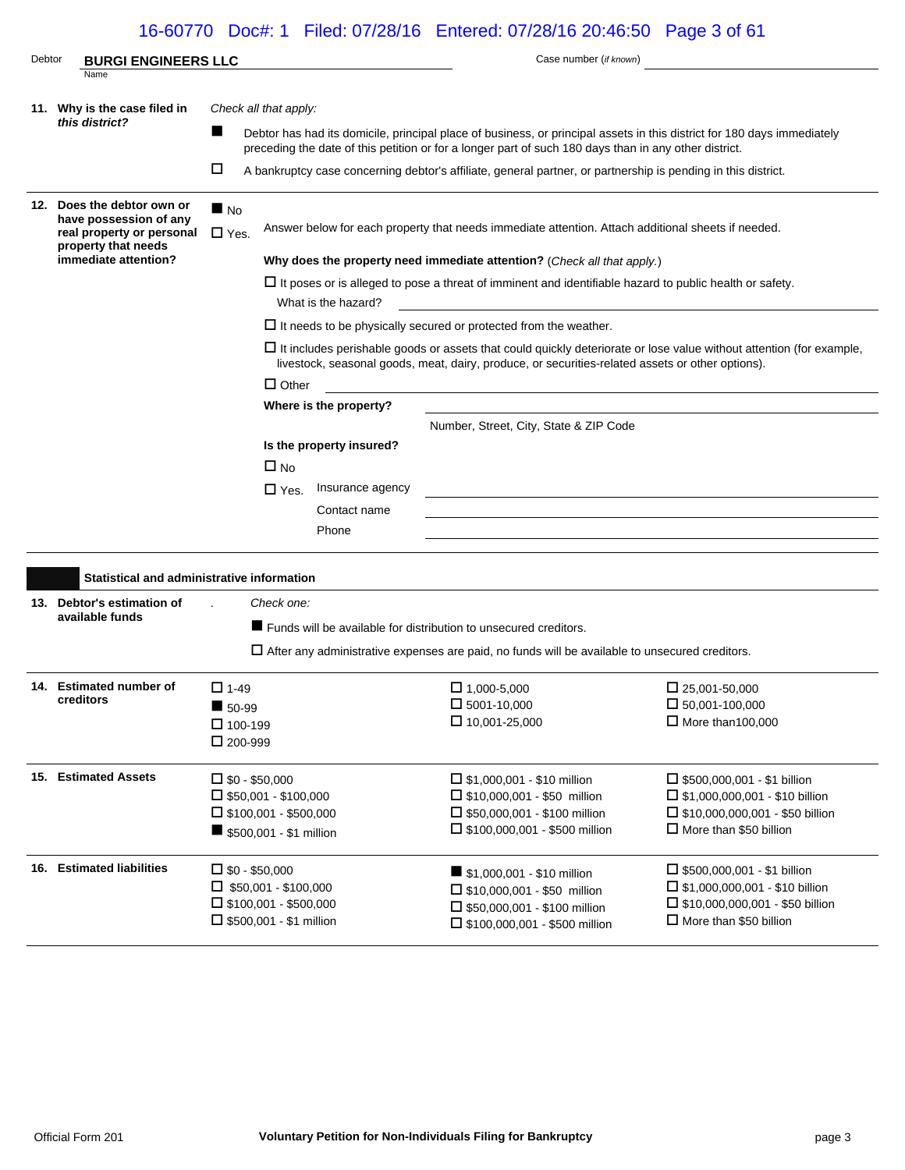## 16-60770 Doc#: 1 Filed: 07/28/16 Entered: 07/28/16 20:46:50 Page 3 of 61

| Debtor | <b>BURGI ENGINEERS LLC</b>                          |                                                                |                                                                                                                                       | Case number (if known)                                                                                                                                                                                                           |                                                                                                                            |  |  |
|--------|-----------------------------------------------------|----------------------------------------------------------------|---------------------------------------------------------------------------------------------------------------------------------------|----------------------------------------------------------------------------------------------------------------------------------------------------------------------------------------------------------------------------------|----------------------------------------------------------------------------------------------------------------------------|--|--|
|        | Name                                                |                                                                |                                                                                                                                       |                                                                                                                                                                                                                                  |                                                                                                                            |  |  |
|        | 11. Why is the case filed in                        | Check all that apply:                                          |                                                                                                                                       |                                                                                                                                                                                                                                  |                                                                                                                            |  |  |
|        | this district?                                      | п                                                              |                                                                                                                                       | Debtor has had its domicile, principal place of business, or principal assets in this district for 180 days immediately<br>preceding the date of this petition or for a longer part of such 180 days than in any other district. |                                                                                                                            |  |  |
|        |                                                     | □                                                              |                                                                                                                                       | A bankruptcy case concerning debtor's affiliate, general partner, or partnership is pending in this district.                                                                                                                    |                                                                                                                            |  |  |
|        | 12. Does the debtor own or                          | $\blacksquare$ No                                              |                                                                                                                                       |                                                                                                                                                                                                                                  |                                                                                                                            |  |  |
|        | have possession of any<br>real property or personal | $\Box$ Yes.                                                    |                                                                                                                                       | Answer below for each property that needs immediate attention. Attach additional sheets if needed.                                                                                                                               |                                                                                                                            |  |  |
|        | property that needs<br>immediate attention?         |                                                                | Why does the property need immediate attention? (Check all that apply.)                                                               |                                                                                                                                                                                                                                  |                                                                                                                            |  |  |
|        |                                                     |                                                                |                                                                                                                                       |                                                                                                                                                                                                                                  |                                                                                                                            |  |  |
|        |                                                     |                                                                | $\Box$ It poses or is alleged to pose a threat of imminent and identifiable hazard to public health or safety.<br>What is the hazard? |                                                                                                                                                                                                                                  |                                                                                                                            |  |  |
|        |                                                     |                                                                |                                                                                                                                       | $\Box$ It needs to be physically secured or protected from the weather.                                                                                                                                                          |                                                                                                                            |  |  |
|        |                                                     |                                                                |                                                                                                                                       | livestock, seasonal goods, meat, dairy, produce, or securities-related assets or other options).                                                                                                                                 | $\Box$ It includes perishable goods or assets that could quickly deteriorate or lose value without attention (for example, |  |  |
|        |                                                     |                                                                | $\Box$ Other                                                                                                                          |                                                                                                                                                                                                                                  |                                                                                                                            |  |  |
|        |                                                     |                                                                | Where is the property?                                                                                                                |                                                                                                                                                                                                                                  |                                                                                                                            |  |  |
|        |                                                     |                                                                |                                                                                                                                       | Number, Street, City, State & ZIP Code                                                                                                                                                                                           |                                                                                                                            |  |  |
|        |                                                     |                                                                | Is the property insured?                                                                                                              |                                                                                                                                                                                                                                  |                                                                                                                            |  |  |
|        |                                                     | $\Box$ No                                                      |                                                                                                                                       |                                                                                                                                                                                                                                  |                                                                                                                            |  |  |
|        |                                                     |                                                                | $\square$ Yes.<br>Insurance agency                                                                                                    | the control of the control of the control of the control of the control of the control of the control of the control of the control of the control of the control of the control of the control of the control of the control    |                                                                                                                            |  |  |
|        |                                                     |                                                                | Contact name                                                                                                                          |                                                                                                                                                                                                                                  |                                                                                                                            |  |  |
|        |                                                     |                                                                | Phone                                                                                                                                 |                                                                                                                                                                                                                                  |                                                                                                                            |  |  |
|        |                                                     |                                                                |                                                                                                                                       |                                                                                                                                                                                                                                  |                                                                                                                            |  |  |
|        | Statistical and administrative information          |                                                                |                                                                                                                                       |                                                                                                                                                                                                                                  |                                                                                                                            |  |  |
|        | 13. Debtor's estimation of                          | Check one:                                                     |                                                                                                                                       |                                                                                                                                                                                                                                  |                                                                                                                            |  |  |
|        | available funds                                     |                                                                |                                                                                                                                       | ■ Funds will be available for distribution to unsecured creditors.                                                                                                                                                               |                                                                                                                            |  |  |
|        |                                                     |                                                                |                                                                                                                                       | $\Box$ After any administrative expenses are paid, no funds will be available to unsecured creditors.                                                                                                                            |                                                                                                                            |  |  |
|        |                                                     |                                                                |                                                                                                                                       |                                                                                                                                                                                                                                  |                                                                                                                            |  |  |
|        | 14. Estimated number of<br>creditors                | $\Box$ 1-49                                                    |                                                                                                                                       | $\Box$ 1,000-5,000                                                                                                                                                                                                               | $\Box$ 25,001-50,000                                                                                                       |  |  |
|        |                                                     | $\blacksquare$ 50-99                                           |                                                                                                                                       | $\square$ 5001-10,000                                                                                                                                                                                                            | $\square$ 50,001-100,000                                                                                                   |  |  |
|        |                                                     | $\Box$ 100-199<br>$\Box$ 200-999                               |                                                                                                                                       | $\square$ 10,001-25,000                                                                                                                                                                                                          | $\Box$ More than 100,000                                                                                                   |  |  |
|        |                                                     |                                                                |                                                                                                                                       |                                                                                                                                                                                                                                  |                                                                                                                            |  |  |
|        | 15. Estimated Assets                                | $\square$ \$0 - \$50,000                                       |                                                                                                                                       | $\Box$ \$1,000,001 - \$10 million                                                                                                                                                                                                | $\Box$ \$500,000,001 - \$1 billion                                                                                         |  |  |
|        |                                                     | $\square$ \$50,001 - \$100,000                                 |                                                                                                                                       | $\Box$ \$10,000,001 - \$50 million                                                                                                                                                                                               | $\square$ \$1,000,000,001 - \$10 billion                                                                                   |  |  |
|        |                                                     | $\Box$ \$100,001 - \$500,000                                   |                                                                                                                                       | $\Box$ \$50,000,001 - \$100 million                                                                                                                                                                                              | $\Box$ \$10,000,000,001 - \$50 billion                                                                                     |  |  |
|        |                                                     | \$500,001 - \$1 million                                        |                                                                                                                                       | $\Box$ \$100,000,001 - \$500 million                                                                                                                                                                                             | $\Box$ More than \$50 billion                                                                                              |  |  |
|        | 16. Estimated liabilities                           | $\square$ \$0 - \$50,000                                       |                                                                                                                                       | \$1,000,001 - \$10 million                                                                                                                                                                                                       | $\Box$ \$500,000,001 - \$1 billion                                                                                         |  |  |
|        |                                                     | $\Box$ \$50,001 - \$100,000                                    |                                                                                                                                       | $\Box$ \$10,000,001 - \$50 million                                                                                                                                                                                               | $\Box$ \$1,000,000,001 - \$10 billion                                                                                      |  |  |
|        |                                                     | $\Box$ \$100,001 - \$500,000<br>$\Box$ \$500,001 - \$1 million |                                                                                                                                       | $\Box$ \$50,000,001 - \$100 million                                                                                                                                                                                              | $\Box$ \$10,000,000,001 - \$50 billion<br>$\Box$ More than \$50 billion                                                    |  |  |
|        |                                                     |                                                                |                                                                                                                                       | $\Box$ \$100,000,001 - \$500 million                                                                                                                                                                                             |                                                                                                                            |  |  |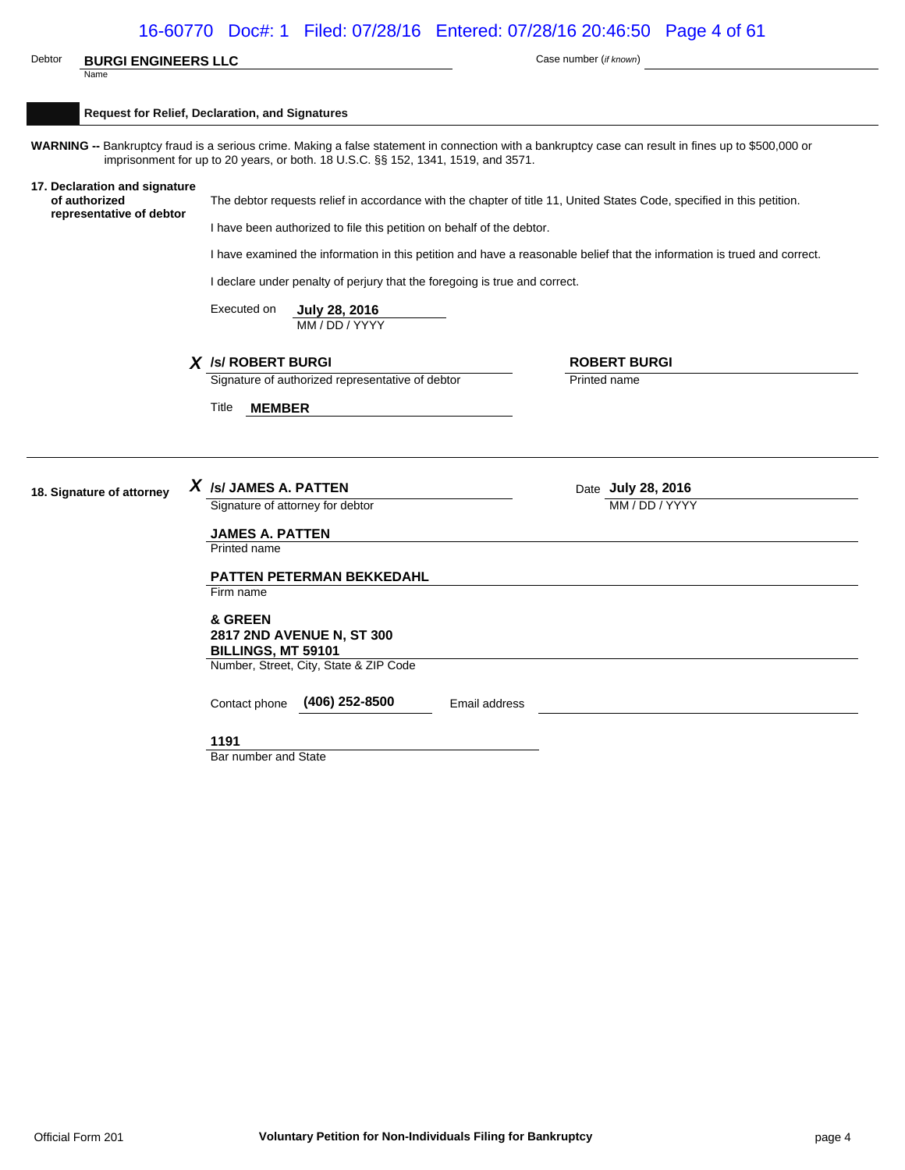|                                                                            | 16-60770 Doc#: 1 Filed: 07/28/16 Entered: 07/28/16 20:46:50 Page 4 of 61          |                                                                                                                                                                                                 |  |  |  |  |
|----------------------------------------------------------------------------|-----------------------------------------------------------------------------------|-------------------------------------------------------------------------------------------------------------------------------------------------------------------------------------------------|--|--|--|--|
| Debtor<br><b>BURGI ENGINEERS LLC</b>                                       |                                                                                   | Case number (if known)                                                                                                                                                                          |  |  |  |  |
| Name                                                                       |                                                                                   |                                                                                                                                                                                                 |  |  |  |  |
|                                                                            | Request for Relief, Declaration, and Signatures                                   |                                                                                                                                                                                                 |  |  |  |  |
|                                                                            | imprisonment for up to 20 years, or both. 18 U.S.C. §§ 152, 1341, 1519, and 3571. | WARNING -- Bankruptcy fraud is a serious crime. Making a false statement in connection with a bankruptcy case can result in fines up to \$500,000 or                                            |  |  |  |  |
| 17. Declaration and signature<br>of authorized<br>representative of debtor |                                                                                   | The debtor requests relief in accordance with the chapter of title 11, United States Code, specified in this petition.<br>I have been authorized to file this petition on behalf of the debtor. |  |  |  |  |
|                                                                            |                                                                                   | I have examined the information in this petition and have a reasonable belief that the information is trued and correct.                                                                        |  |  |  |  |
|                                                                            | I declare under penalty of perjury that the foregoing is true and correct.        |                                                                                                                                                                                                 |  |  |  |  |
|                                                                            | Executed on<br>July 28, 2016<br>MM / DD / YYYY                                    |                                                                                                                                                                                                 |  |  |  |  |
|                                                                            | X /s/ ROBERT BURGI                                                                | <b>ROBERT BURGI</b>                                                                                                                                                                             |  |  |  |  |
|                                                                            | Signature of authorized representative of debtor                                  | Printed name                                                                                                                                                                                    |  |  |  |  |
|                                                                            | Title<br><b>MEMBER</b>                                                            |                                                                                                                                                                                                 |  |  |  |  |
|                                                                            |                                                                                   |                                                                                                                                                                                                 |  |  |  |  |
| 18. Signature of attorney                                                  | $X$ /s/ JAMES A. PATTEN                                                           | Date July 28, 2016                                                                                                                                                                              |  |  |  |  |
|                                                                            | Signature of attorney for debtor                                                  | MM / DD / YYYY                                                                                                                                                                                  |  |  |  |  |
|                                                                            | <b>JAMES A. PATTEN</b>                                                            |                                                                                                                                                                                                 |  |  |  |  |
|                                                                            | Printed name                                                                      |                                                                                                                                                                                                 |  |  |  |  |
|                                                                            | <b>PATTEN PETERMAN BEKKEDAHL</b>                                                  |                                                                                                                                                                                                 |  |  |  |  |
|                                                                            | Firm name                                                                         |                                                                                                                                                                                                 |  |  |  |  |
|                                                                            | & GREEN<br>2817 2ND AVENUE N, ST 300<br>BILLINGS, MT 59101                        |                                                                                                                                                                                                 |  |  |  |  |
|                                                                            | Number, Street, City, State & ZIP Code                                            |                                                                                                                                                                                                 |  |  |  |  |
|                                                                            | (406) 252-8500<br>Contact phone<br>Email address                                  |                                                                                                                                                                                                 |  |  |  |  |
|                                                                            | 1191                                                                              |                                                                                                                                                                                                 |  |  |  |  |
|                                                                            | Bar number and State                                                              |                                                                                                                                                                                                 |  |  |  |  |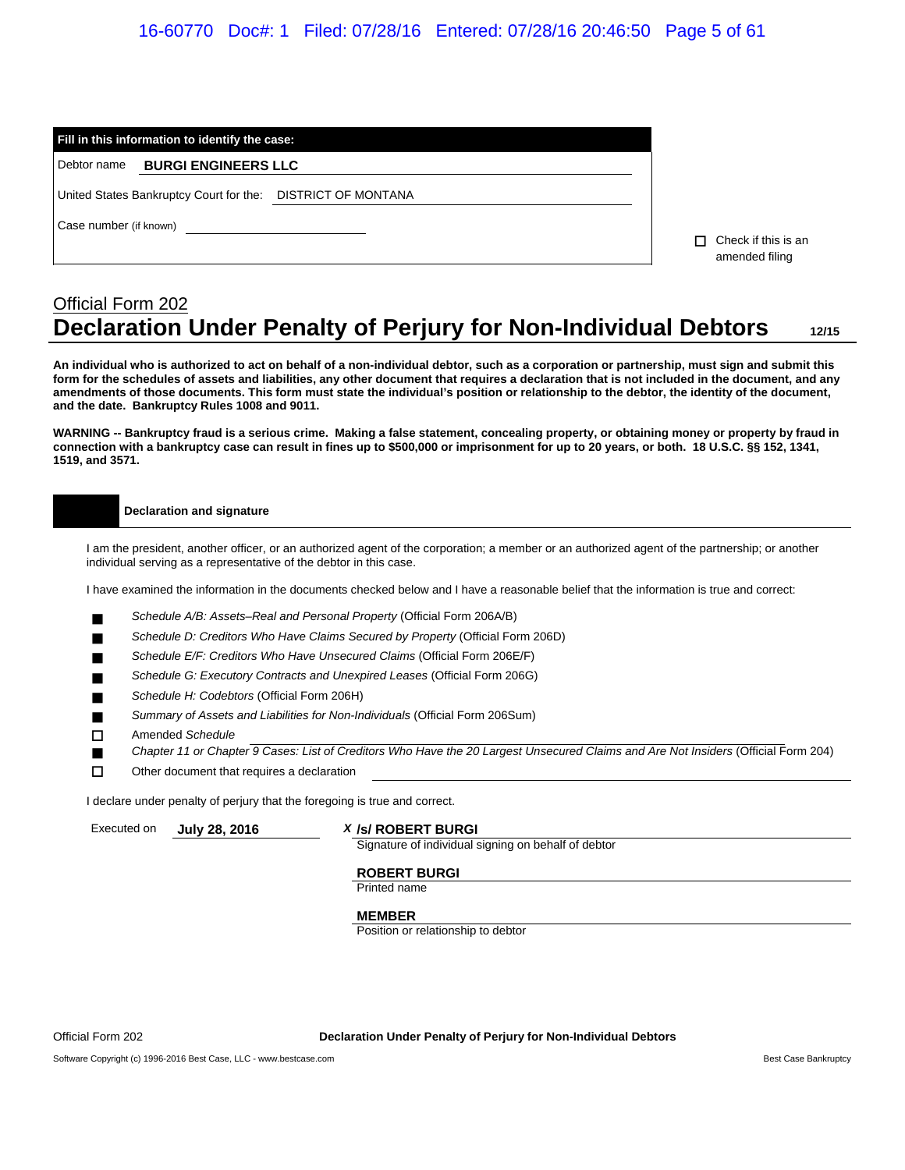### 16-60770 Doc#: 1 Filed: 07/28/16 Entered: 07/28/16 20:46:50 Page 5 of 61

|                        | Fill in this information to identify the case:              |                                             |  |  |  |  |  |  |  |
|------------------------|-------------------------------------------------------------|---------------------------------------------|--|--|--|--|--|--|--|
| Debtor name            | <b>BURGI ENGINEERS LLC</b>                                  |                                             |  |  |  |  |  |  |  |
|                        | United States Bankruptcy Court for the: DISTRICT OF MONTANA |                                             |  |  |  |  |  |  |  |
| Case number (if known) |                                                             | Check if this is an<br>п.<br>amended filing |  |  |  |  |  |  |  |

# Official Form 202 **Declaration Under Penalty of Perjury for Non-Individual Debtors 12/15**

**An individual who is authorized to act on behalf of a non-individual debtor, such as a corporation or partnership, must sign and submit this form for the schedules of assets and liabilities, any other document that requires a declaration that is not included in the document, and any amendments of those documents. This form must state the individual's position or relationship to the debtor, the identity of the document, and the date. Bankruptcy Rules 1008 and 9011.**

**WARNING -- Bankruptcy fraud is a serious crime. Making a false statement, concealing property, or obtaining money or property by fraud in connection with a bankruptcy case can result in fines up to \$500,000 or imprisonment for up to 20 years, or both. 18 U.S.C. §§ 152, 1341, 1519, and 3571.**

#### **Declaration and signature**

I am the president, another officer, or an authorized agent of the corporation; a member or an authorized agent of the partnership; or another individual serving as a representative of the debtor in this case.

I have examined the information in the documents checked below and I have a reasonable belief that the information is true and correct:

- *Schedule A/B: Assets–Real and Personal Property* (Official Form 206A/B)
- *Schedule D: Creditors Who Have Claims Secured by Property* (Official Form 206D)
- *Schedule E/F: Creditors Who Have Unsecured Claims* (Official Form 206E/F)
- *Schedule G: Executory Contracts and Unexpired Leases* (Official Form 206G)
- *Schedule H: Codebtors* (Official Form 206H)
- *Summary of Assets and Liabilities for Non-Individuals* (Official Form 206Sum)
- Amended *Schedule*
- *Chapter 11 or Chapter 9 Cases: List of Creditors Who Have the 20 Largest Unsecured Claims and Are Not Insiders* (Official Form 204)
- $\square$  Other document that requires a declaration

I declare under penalty of perjury that the foregoing is true and correct.

#### Executed on **July 28, 2016** *X* **/s/ ROBERT BURGI**

Signature of individual signing on behalf of debtor

#### **ROBERT BURGI**

Printed name

#### **MEMBER**

Position or relationship to debtor

Official Form 202 **Declaration Under Penalty of Perjury for Non-Individual Debtors**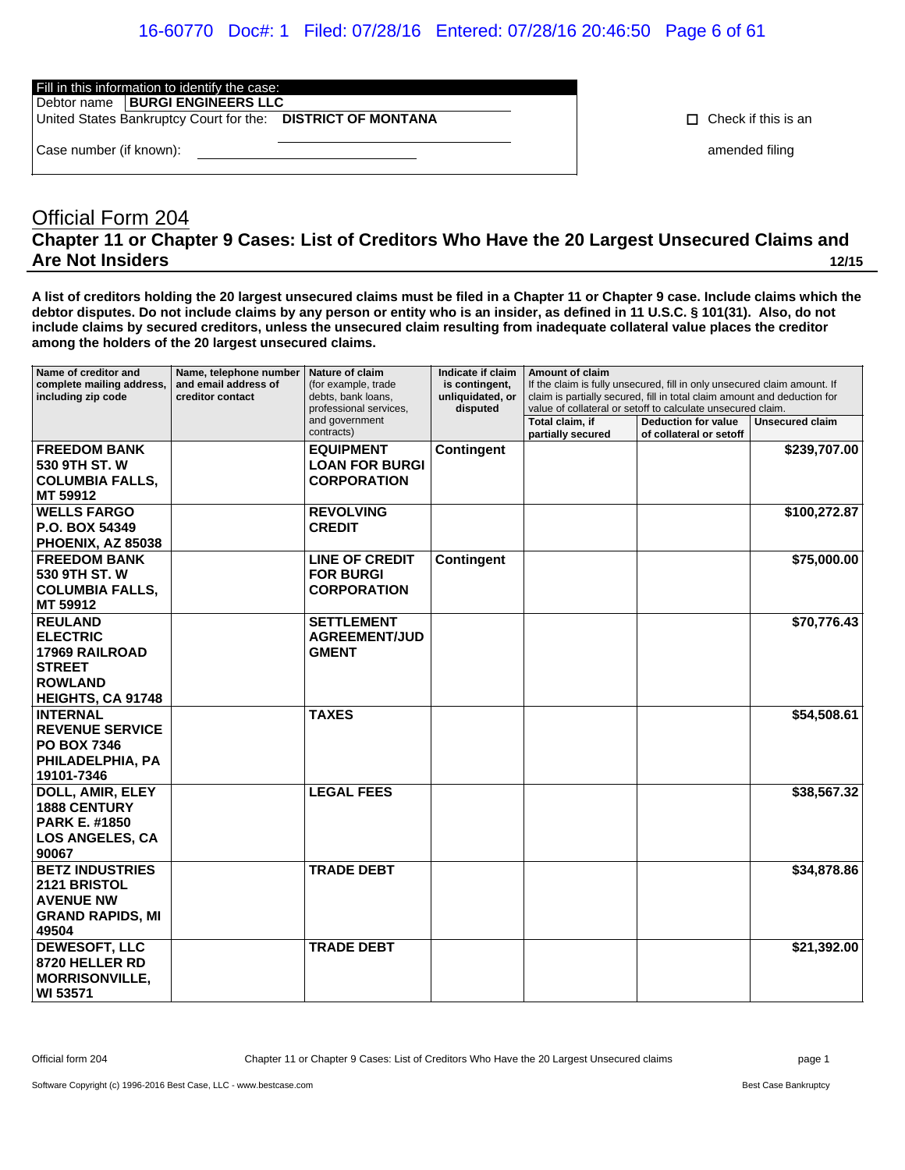### 16-60770 Doc#: 1 Filed: 07/28/16 Entered: 07/28/16 20:46:50 Page 6 of 61

Fill in this information to identify the case:

Debtor name **BURGI ENGINEERS LLC**

United States Bankruptcy Court for the: **DISTRICT OF MONTANA Change of Check if this is an** 

Case number (if known): **a contract the contract of the contract of the contract of the contract of the contract of the contract of the contract of the contract of the contract of the contract of the contract of the contra** 

# Official Form 204 **Chapter 11 or Chapter 9 Cases: List of Creditors Who Have the 20 Largest Unsecured Claims and Are Not Insiders 12/15**

**A list of creditors holding the 20 largest unsecured claims must be filed in a Chapter 11 or Chapter 9 case. Include claims which the debtor disputes. Do not include claims by any person or entity who is an insider, as defined in 11 U.S.C. § 101(31). Also, do not include claims by secured creditors, unless the unsecured claim resulting from inadequate collateral value places the creditor among the holders of the 20 largest unsecured claims.**

| Name of creditor and<br>complete mailing address,<br>including zip code                                                   | Name, telephone number<br>and email address of<br>creditor contact | Nature of claim<br>(for example, trade<br>debts, bank loans,<br>professional services, | Indicate if claim<br>is contingent,<br>unliquidated, or<br>disputed | Amount of claim<br>If the claim is fully unsecured, fill in only unsecured claim amount. If<br>claim is partially secured, fill in total claim amount and deduction for<br>value of collateral or setoff to calculate unsecured claim. |                                                       |                        |
|---------------------------------------------------------------------------------------------------------------------------|--------------------------------------------------------------------|----------------------------------------------------------------------------------------|---------------------------------------------------------------------|----------------------------------------------------------------------------------------------------------------------------------------------------------------------------------------------------------------------------------------|-------------------------------------------------------|------------------------|
|                                                                                                                           |                                                                    | and government<br>contracts)                                                           |                                                                     | Total claim, if<br>partially secured                                                                                                                                                                                                   | <b>Deduction for value</b><br>of collateral or setoff | <b>Unsecured claim</b> |
| <b>FREEDOM BANK</b><br>530 9TH ST. W<br><b>COLUMBIA FALLS,</b><br>MT 59912                                                |                                                                    | <b>EQUIPMENT</b><br><b>LOAN FOR BURGI</b><br><b>CORPORATION</b>                        | Contingent                                                          |                                                                                                                                                                                                                                        |                                                       | \$239,707.00           |
| <b>WELLS FARGO</b><br>P.O. BOX 54349<br>PHOENIX, AZ 85038                                                                 |                                                                    | <b>REVOLVING</b><br><b>CREDIT</b>                                                      |                                                                     |                                                                                                                                                                                                                                        |                                                       | \$100,272.87           |
| <b>FREEDOM BANK</b><br>530 9TH ST. W<br><b>COLUMBIA FALLS,</b><br>MT 59912                                                |                                                                    | <b>LINE OF CREDIT</b><br><b>FOR BURGI</b><br><b>CORPORATION</b>                        | <b>Contingent</b>                                                   |                                                                                                                                                                                                                                        |                                                       | \$75,000.00            |
| <b>REULAND</b><br><b>ELECTRIC</b><br><b>17969 RAILROAD</b><br><b>STREET</b><br><b>ROWLAND</b><br><b>HEIGHTS, CA 91748</b> |                                                                    | <b>SETTLEMENT</b><br><b>AGREEMENT/JUD</b><br><b>GMENT</b>                              |                                                                     |                                                                                                                                                                                                                                        |                                                       | \$70,776.43            |
| <b>INTERNAL</b><br><b>REVENUE SERVICE</b><br><b>PO BOX 7346</b><br>PHILADELPHIA, PA<br>19101-7346                         |                                                                    | <b>TAXES</b>                                                                           |                                                                     |                                                                                                                                                                                                                                        |                                                       | \$54,508.61            |
| DOLL, AMIR, ELEY<br><b>1888 CENTURY</b><br><b>PARK E. #1850</b><br><b>LOS ANGELES, CA</b><br>90067                        |                                                                    | <b>LEGAL FEES</b>                                                                      |                                                                     |                                                                                                                                                                                                                                        |                                                       | \$38,567.32            |
| <b>BETZ INDUSTRIES</b><br><b>2121 BRISTOL</b><br><b>AVENUE NW</b><br><b>GRAND RAPIDS, MI</b><br>49504                     |                                                                    | <b>TRADE DEBT</b>                                                                      |                                                                     |                                                                                                                                                                                                                                        |                                                       | \$34,878.86            |
| <b>DEWESOFT, LLC</b><br>8720 HELLER RD<br><b>MORRISONVILLE,</b><br>WI 53571                                               |                                                                    | <b>TRADE DEBT</b>                                                                      |                                                                     |                                                                                                                                                                                                                                        |                                                       | \$21,392.00            |

Official form 204 Chapter 11 or Chapter 9 Cases: List of Creditors Who Have the 20 Largest Unsecured claims page 1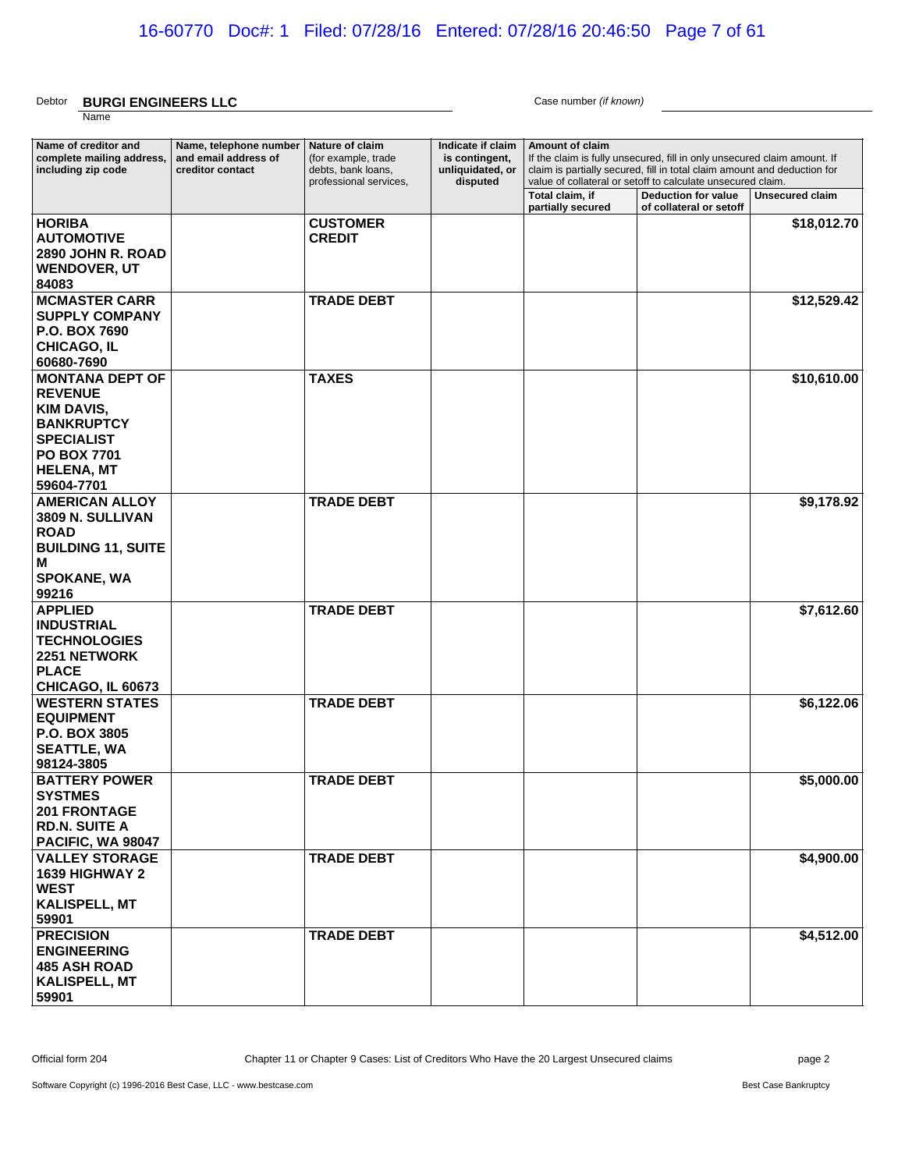#### Debtor **BURGI ENGINEERS LLC** Case number *(if known)* Name

| Name of creditor and<br>complete mailing address,<br>including zip code                                                                                   | Name, telephone number<br>and email address of<br>creditor contact | Nature of claim<br>(for example, trade<br>debts, bank loans,<br>professional services, | Indicate if claim<br>is contingent,<br>unliquidated, or<br>disputed | Amount of claim                      |                                                       | If the claim is fully unsecured, fill in only unsecured claim amount. If<br>claim is partially secured, fill in total claim amount and deduction for<br>value of collateral or setoff to calculate unsecured claim. |  |  |
|-----------------------------------------------------------------------------------------------------------------------------------------------------------|--------------------------------------------------------------------|----------------------------------------------------------------------------------------|---------------------------------------------------------------------|--------------------------------------|-------------------------------------------------------|---------------------------------------------------------------------------------------------------------------------------------------------------------------------------------------------------------------------|--|--|
|                                                                                                                                                           |                                                                    |                                                                                        |                                                                     | Total claim, if<br>partially secured | <b>Deduction for value</b><br>of collateral or setoff | Unsecured claim                                                                                                                                                                                                     |  |  |
| <b>HORIBA</b><br><b>AUTOMOTIVE</b><br>2890 JOHN R. ROAD<br><b>WENDOVER, UT</b><br>84083                                                                   |                                                                    | <b>CUSTOMER</b><br><b>CREDIT</b>                                                       |                                                                     |                                      |                                                       | \$18,012.70                                                                                                                                                                                                         |  |  |
| <b>MCMASTER CARR</b><br><b>SUPPLY COMPANY</b><br><b>P.O. BOX 7690</b><br><b>CHICAGO, IL</b><br>60680-7690                                                 |                                                                    | <b>TRADE DEBT</b>                                                                      |                                                                     |                                      |                                                       | \$12,529.42                                                                                                                                                                                                         |  |  |
| <b>MONTANA DEPT OF</b><br><b>REVENUE</b><br>KIM DAVIS,<br><b>BANKRUPTCY</b><br><b>SPECIALIST</b><br><b>PO BOX 7701</b><br><b>HELENA, MT</b><br>59604-7701 |                                                                    | <b>TAXES</b>                                                                           |                                                                     |                                      |                                                       | \$10,610.00                                                                                                                                                                                                         |  |  |
| <b>AMERICAN ALLOY</b><br>3809 N. SULLIVAN<br><b>ROAD</b><br><b>BUILDING 11, SUITE</b><br>M<br><b>SPOKANE, WA</b><br>99216                                 |                                                                    | <b>TRADE DEBT</b>                                                                      |                                                                     |                                      |                                                       | \$9,178.92                                                                                                                                                                                                          |  |  |
| <b>APPLIED</b><br><b>INDUSTRIAL</b><br><b>TECHNOLOGIES</b><br><b>2251 NETWORK</b><br><b>PLACE</b><br>CHICAGO, IL 60673                                    |                                                                    | <b>TRADE DEBT</b>                                                                      |                                                                     |                                      |                                                       | \$7,612.60                                                                                                                                                                                                          |  |  |
| <b>WESTERN STATES</b><br><b>EQUIPMENT</b><br><b>P.O. BOX 3805</b><br><b>SEATTLE, WA</b><br>98124-3805                                                     |                                                                    | <b>TRADE DEBT</b>                                                                      |                                                                     |                                      |                                                       | \$6,122.06                                                                                                                                                                                                          |  |  |
| <b>BATTERY POWER</b><br><b>SYSTMES</b><br><b>201 FRONTAGE</b><br><b>RD.N. SUITE A</b><br>PACIFIC, WA 98047                                                |                                                                    | <b>TRADE DEBT</b>                                                                      |                                                                     |                                      |                                                       | \$5,000.00                                                                                                                                                                                                          |  |  |
| <b>VALLEY STORAGE</b><br>1639 HIGHWAY 2<br><b>WEST</b><br><b>KALISPELL, MT</b><br>59901                                                                   |                                                                    | <b>TRADE DEBT</b>                                                                      |                                                                     |                                      |                                                       | \$4,900.00                                                                                                                                                                                                          |  |  |
| <b>PRECISION</b><br><b>ENGINEERING</b><br><b>485 ASH ROAD</b><br><b>KALISPELL, MT</b><br>59901                                                            |                                                                    | <b>TRADE DEBT</b>                                                                      |                                                                     |                                      |                                                       | \$4,512.00                                                                                                                                                                                                          |  |  |

Official form 204 Chapter 11 or Chapter 9 Cases: List of Creditors Who Have the 20 Largest Unsecured claims page 2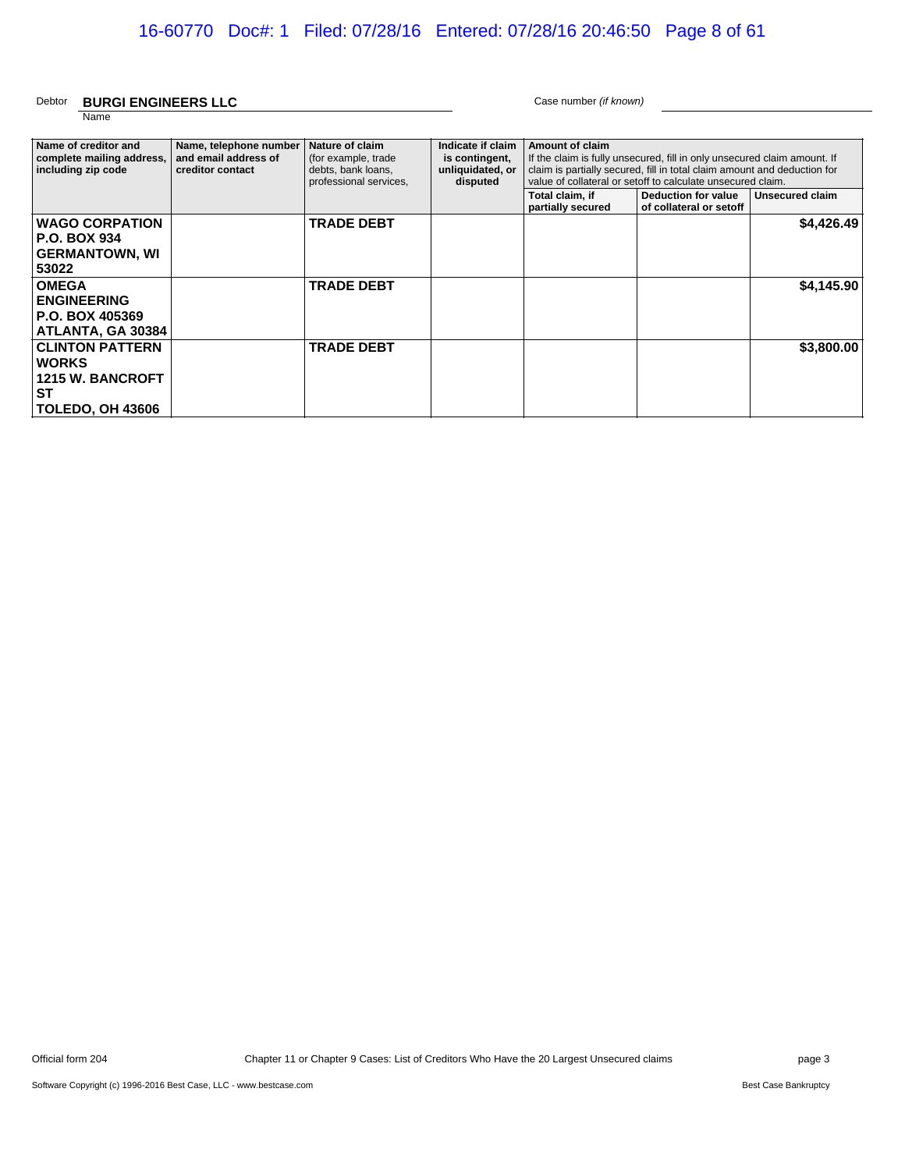#### Debtor **BURGI ENGINEERS LLC** Case number *(if known)* Name

| Name of creditor and<br>complete mailing address,<br>including zip code                             | Name, telephone number<br>and email address of<br>creditor contact | Nature of claim<br>(for example, trade<br>debts, bank loans,<br>professional services. | Indicate if claim<br>is contingent,<br>unliquidated, or<br>disputed | <b>Amount of claim</b><br>If the claim is fully unsecured, fill in only unsecured claim amount. If<br>claim is partially secured, fill in total claim amount and deduction for<br>value of collateral or setoff to calculate unsecured claim.<br>Unsecured claim<br>Total claim, if<br>Deduction for value<br>partially secured<br>of collateral or setoff |  |            |
|-----------------------------------------------------------------------------------------------------|--------------------------------------------------------------------|----------------------------------------------------------------------------------------|---------------------------------------------------------------------|------------------------------------------------------------------------------------------------------------------------------------------------------------------------------------------------------------------------------------------------------------------------------------------------------------------------------------------------------------|--|------------|
| <b>WAGO CORPATION</b><br>  P.O. BOX 934<br>  GERMANTOWN, WI<br>53022                                |                                                                    | <b>TRADE DEBT</b>                                                                      |                                                                     |                                                                                                                                                                                                                                                                                                                                                            |  | \$4,426.49 |
| <b>OMEGA</b><br><b>ENGINEERING</b><br>P.O. BOX 405369<br>ATLANTA, GA 30384                          |                                                                    | <b>TRADE DEBT</b>                                                                      |                                                                     |                                                                                                                                                                                                                                                                                                                                                            |  | \$4,145.90 |
| <b>CLINTON PATTERN</b><br><b>WORKS</b><br><b>1215 W. BANCROFT</b><br>∣ST<br><b>TOLEDO, OH 43606</b> |                                                                    | <b>TRADE DEBT</b>                                                                      |                                                                     |                                                                                                                                                                                                                                                                                                                                                            |  | \$3,800.00 |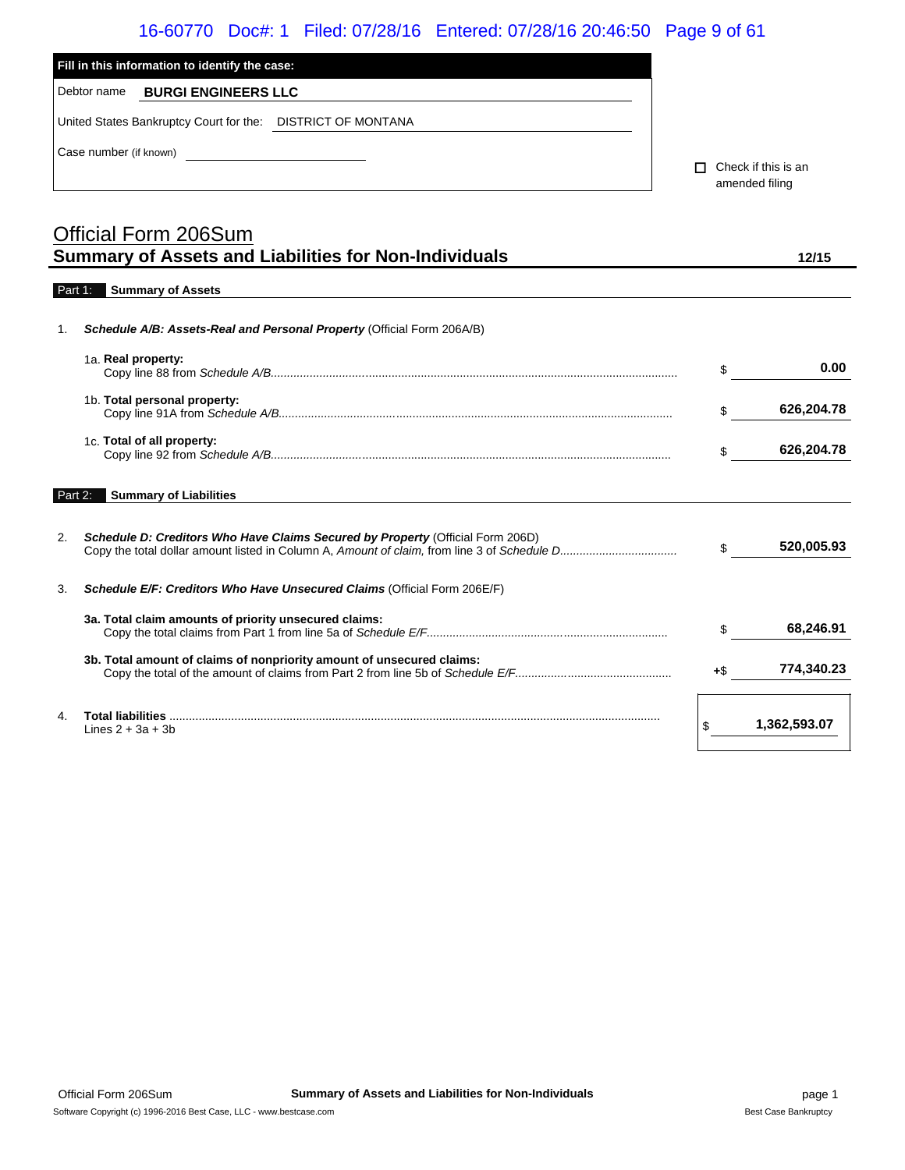|             |                                                |                                                                        | 16-60770 Doc#: 1 Filed: 07/28/16 Entered: 07/28/16 20:46:50 Page 9 of 61 |   |                |                     |
|-------------|------------------------------------------------|------------------------------------------------------------------------|--------------------------------------------------------------------------|---|----------------|---------------------|
|             | Fill in this information to identify the case: |                                                                        |                                                                          |   |                |                     |
| Debtor name | <b>BURGI ENGINEERS LLC</b>                     |                                                                        |                                                                          |   |                |                     |
|             |                                                | United States Bankruptcy Court for the: DISTRICT OF MONTANA            |                                                                          |   |                |                     |
|             |                                                |                                                                        |                                                                          |   |                |                     |
|             |                                                |                                                                        |                                                                          | п | amended filing | Check if this is an |
|             |                                                |                                                                        |                                                                          |   |                |                     |
|             | Official Form 206Sum                           |                                                                        |                                                                          |   |                |                     |
|             |                                                | <b>Summary of Assets and Liabilities for Non-Individuals</b>           |                                                                          |   |                | 12/15               |
| Part 1:     | <b>Summary of Assets</b>                       |                                                                        |                                                                          |   |                |                     |
| 1.          |                                                | Schedule A/B: Assets-Real and Personal Property (Official Form 206A/B) |                                                                          |   |                |                     |
|             |                                                |                                                                        |                                                                          |   |                |                     |
|             | 1a. Real property:                             |                                                                        |                                                                          |   | \$             | 0.00                |
|             | 1b. Total personal property:                   |                                                                        |                                                                          |   | \$             | 626,204.78          |
|             |                                                |                                                                        |                                                                          |   |                |                     |
|             | 1c. Total of all property:                     |                                                                        |                                                                          |   | \$             | 626,204.78          |
|             |                                                |                                                                        |                                                                          |   |                |                     |
| Part 2:     | <b>Summary of Liabilities</b>                  |                                                                        |                                                                          |   |                |                     |

2. *Schedule D: Creditors Who Have Claims Secured by Property* (Official Form 206D) Copy the total dollar amount listed in Column A, *Amount of claim,* from line 3 of *Schedule D....................................* \$ **520,005.93** 3. *Schedule E/F: Creditors Who Have Unsecured Claims* (Official Form 206E/F) **3a. Total claim amounts of priority unsecured claims:** Copy the total claims from Part 1 from line 5a of *Schedule E/F..........................................*................................ \$ **68,246.91 3b. Total amount of claims of nonpriority amount of unsecured claims:** Copy the total of the amount of claims from Part 2 from line 5b of *Schedule E/F................*................................ **<sup>+</sup>**\$ **774,340.23** 4. **Total liabilities** ....................................................................................................................................................... Lines 2 + 3a + 3b \$ **1,362,593.07**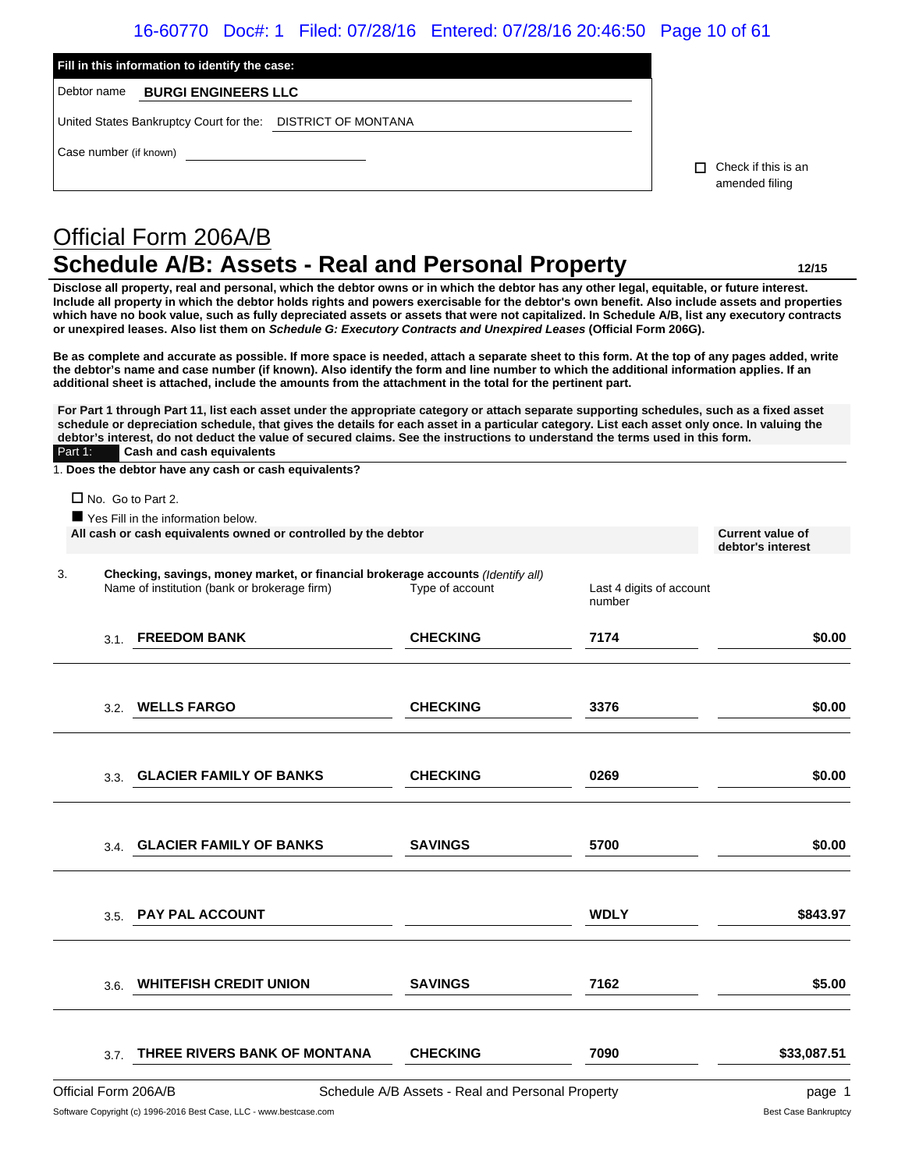### 16-60770 Doc#: 1 Filed: 07/28/16 Entered: 07/28/16 20:46:50 Page 10 of 61

|                        | Fill in this information to identify the case: |                                                             |    |                                       |  |  |  |
|------------------------|------------------------------------------------|-------------------------------------------------------------|----|---------------------------------------|--|--|--|
| Debtor name            | <b>BURGI ENGINEERS LLC</b>                     |                                                             |    |                                       |  |  |  |
|                        |                                                | United States Bankruptcy Court for the: DISTRICT OF MONTANA |    |                                       |  |  |  |
| Case number (if known) |                                                |                                                             | П. | Check if this is an<br>amended filing |  |  |  |
|                        |                                                |                                                             |    |                                       |  |  |  |

# Official Form 206A/B **Schedule A/B: Assets - Real and Personal Property 12/15**

**Disclose all property, real and personal, which the debtor owns or in which the debtor has any other legal, equitable, or future interest. Include all property in which the debtor holds rights and powers exercisable for the debtor's own benefit. Also include assets and properties which have no book value, such as fully depreciated assets or assets that were not capitalized. In Schedule A/B, list any executory contracts or unexpired leases. Also list them on** *Schedule G: Executory Contracts and Unexpired Leases* **(Official Form 206G).**

**Be as complete and accurate as possible. If more space is needed, attach a separate sheet to this form. At the top of any pages added, write the debtor's name and case number (if known). Also identify the form and line number to which the additional information applies. If an additional sheet is attached, include the amounts from the attachment in the total for the pertinent part.**

**For Part 1 through Part 11, list each asset under the appropriate category or attach separate supporting schedules, such as a fixed asset schedule or depreciation schedule, that gives the details for each asset in a particular category. List each asset only once. In valuing the debtor's interest, do not deduct the value of secured claims. See the instructions to understand the terms used in this form.** Part 1: **Cash and cash equivalents**

1. **Does the debtor have any cash or cash equivalents?**

 $\Box$  No. Go to Part 2.

|    |      | Yes Fill in the information below.<br>All cash or cash equivalents owned or controlled by the debtor                            |                 |                                    | <b>Current value of</b><br>debtor's interest |
|----|------|---------------------------------------------------------------------------------------------------------------------------------|-----------------|------------------------------------|----------------------------------------------|
| 3. |      | Checking, savings, money market, or financial brokerage accounts (Identify all)<br>Name of institution (bank or brokerage firm) | Type of account | Last 4 digits of account<br>number |                                              |
|    | 3.1. | <b>FREEDOM BANK</b>                                                                                                             | <b>CHECKING</b> | 7174                               | \$0.00                                       |
|    | 3.2. | <b>WELLS FARGO</b>                                                                                                              | <b>CHECKING</b> | 3376                               | \$0.00                                       |
|    | 3.3. | <b>GLACIER FAMILY OF BANKS</b>                                                                                                  | <b>CHECKING</b> | 0269                               | \$0.00                                       |
|    |      | 3.4. GLACIER FAMILY OF BANKS                                                                                                    | <b>SAVINGS</b>  | 5700                               | \$0.00                                       |
|    | 3.5. | <b>PAY PAL ACCOUNT</b>                                                                                                          |                 | <b>WDLY</b>                        | \$843.97                                     |
|    | 3.6. | <b>WHITEFISH CREDIT UNION</b>                                                                                                   | <b>SAVINGS</b>  | 7162                               | \$5.00                                       |
|    | 3.7. | THREE RIVERS BANK OF MONTANA                                                                                                    | <b>CHECKING</b> | 7090                               | \$33,087.51                                  |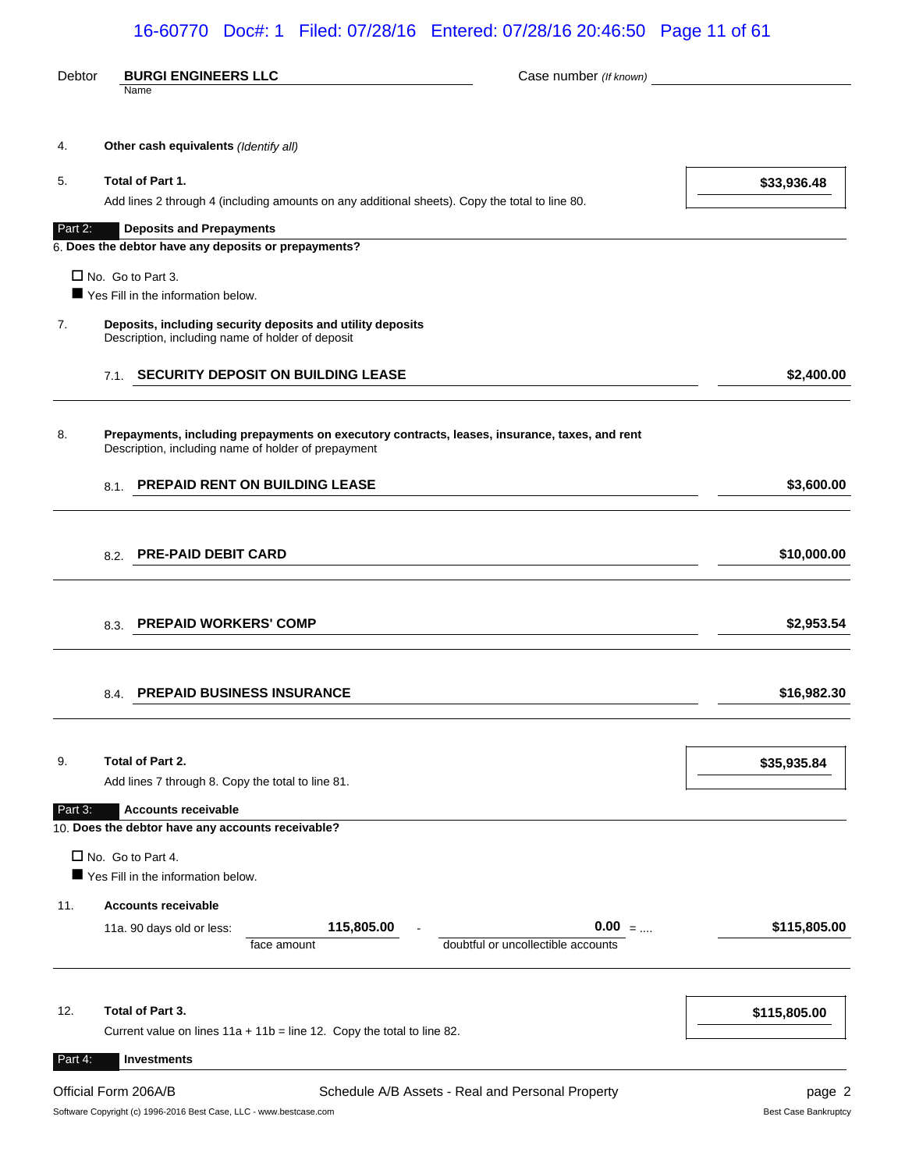# 16-60770 Doc#: 1 Filed: 07/28/16 Entered: 07/28/16 20:46:50 Page 11 of 61

| Debtor  | <b>BURGI ENGINEERS LLC</b>                                                                                                                           | Case number (If known)                                                                                   |
|---------|------------------------------------------------------------------------------------------------------------------------------------------------------|----------------------------------------------------------------------------------------------------------|
|         | Name                                                                                                                                                 |                                                                                                          |
| 4.      | Other cash equivalents (Identify all)                                                                                                                |                                                                                                          |
| 5.      | Total of Part 1.                                                                                                                                     | \$33,936.48                                                                                              |
|         | Add lines 2 through 4 (including amounts on any additional sheets). Copy the total to line 80.                                                       |                                                                                                          |
| Part 2: | <b>Deposits and Prepayments</b>                                                                                                                      |                                                                                                          |
|         | 6. Does the debtor have any deposits or prepayments?                                                                                                 |                                                                                                          |
|         | $\Box$ No. Go to Part 3.<br>Yes Fill in the information below.                                                                                       |                                                                                                          |
| 7.      | Deposits, including security deposits and utility deposits<br>Description, including name of holder of deposit                                       |                                                                                                          |
|         | 7.1. SECURITY DEPOSIT ON BUILDING LEASE                                                                                                              | \$2,400.00                                                                                               |
| 8.      | Prepayments, including prepayments on executory contracts, leases, insurance, taxes, and rent<br>Description, including name of holder of prepayment |                                                                                                          |
|         | 8.1. PREPAID RENT ON BUILDING LEASE                                                                                                                  | \$3,600.00                                                                                               |
|         | 8.2. PRE-PAID DEBIT CARD                                                                                                                             | \$10,000.00<br>the control of the control of the control of the control of the control of the control of |
|         | 8.3. PREPAID WORKERS' COMP                                                                                                                           | \$2,953.54                                                                                               |
|         |                                                                                                                                                      |                                                                                                          |
|         | 8.4. PREPAID BUSINESS INSURANCE                                                                                                                      | \$16,982.30                                                                                              |
|         |                                                                                                                                                      |                                                                                                          |
| 9.      | Total of Part 2.                                                                                                                                     | \$35,935.84                                                                                              |
|         | Add lines 7 through 8. Copy the total to line 81.                                                                                                    |                                                                                                          |
| Part 3: | <b>Accounts receivable</b><br>10. Does the debtor have any accounts receivable?                                                                      |                                                                                                          |
|         | $\Box$ No. Go to Part 4.<br>Yes Fill in the information below.                                                                                       |                                                                                                          |
| 11.     | <b>Accounts receivable</b>                                                                                                                           |                                                                                                          |
|         | 115,805.00<br>11a. 90 days old or less:<br>face amount                                                                                               | $0.00$ =<br>\$115,805.00<br>doubtful or uncollectible accounts                                           |
| 12.     | Total of Part 3.                                                                                                                                     | \$115,805.00                                                                                             |
|         | Current value on lines $11a + 11b =$ line 12. Copy the total to line 82.                                                                             |                                                                                                          |
| Part 4: | <b>Investments</b>                                                                                                                                   |                                                                                                          |
|         | Official Form 206A/B<br>Schedule A/B Assets - Real and Personal Property                                                                             | page 2                                                                                                   |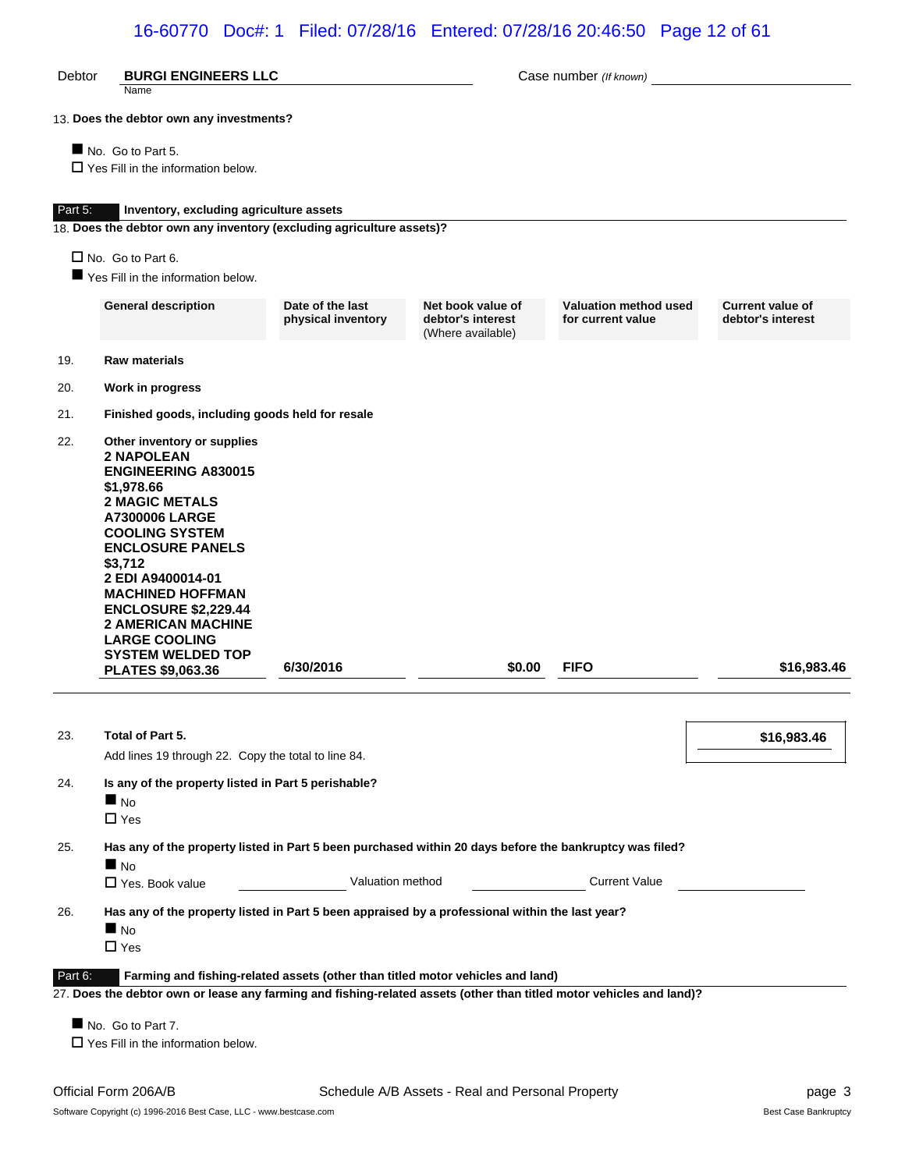# 16-60770 Doc#: 1 Filed: 07/28/16 Entered: 07/28/16 20:46:50 Page 12 of 61

| Debtor  | <b>BURGI ENGINEERS LLC</b><br>Name                                                                                                                                                                                                                                                                                                                                            |                                        |                                                             | Case number (If known)                            |                                              |
|---------|-------------------------------------------------------------------------------------------------------------------------------------------------------------------------------------------------------------------------------------------------------------------------------------------------------------------------------------------------------------------------------|----------------------------------------|-------------------------------------------------------------|---------------------------------------------------|----------------------------------------------|
|         | 13. Does the debtor own any investments?                                                                                                                                                                                                                                                                                                                                      |                                        |                                                             |                                                   |                                              |
|         | No. Go to Part 5.<br>$\Box$ Yes Fill in the information below.                                                                                                                                                                                                                                                                                                                |                                        |                                                             |                                                   |                                              |
| Part 5: | Inventory, excluding agriculture assets                                                                                                                                                                                                                                                                                                                                       |                                        |                                                             |                                                   |                                              |
|         | 18. Does the debtor own any inventory (excluding agriculture assets)?                                                                                                                                                                                                                                                                                                         |                                        |                                                             |                                                   |                                              |
|         | $\Box$ No. Go to Part 6.                                                                                                                                                                                                                                                                                                                                                      |                                        |                                                             |                                                   |                                              |
|         | Yes Fill in the information below.                                                                                                                                                                                                                                                                                                                                            |                                        |                                                             |                                                   |                                              |
|         | <b>General description</b>                                                                                                                                                                                                                                                                                                                                                    | Date of the last<br>physical inventory | Net book value of<br>debtor's interest<br>(Where available) | <b>Valuation method used</b><br>for current value | <b>Current value of</b><br>debtor's interest |
| 19.     | <b>Raw materials</b>                                                                                                                                                                                                                                                                                                                                                          |                                        |                                                             |                                                   |                                              |
| 20.     | Work in progress                                                                                                                                                                                                                                                                                                                                                              |                                        |                                                             |                                                   |                                              |
| 21.     | Finished goods, including goods held for resale                                                                                                                                                                                                                                                                                                                               |                                        |                                                             |                                                   |                                              |
| 22.     | Other inventory or supplies<br><b>2 NAPOLEAN</b><br><b>ENGINEERING A830015</b><br>\$1,978.66<br><b>2 MAGIC METALS</b><br><b>A7300006 LARGE</b><br><b>COOLING SYSTEM</b><br><b>ENCLOSURE PANELS</b><br>\$3,712<br>2 EDI A9400014-01<br><b>MACHINED HOFFMAN</b><br><b>ENCLOSURE \$2,229.44</b><br><b>2 AMERICAN MACHINE</b><br><b>LARGE COOLING</b><br><b>SYSTEM WELDED TOP</b> |                                        |                                                             |                                                   |                                              |
|         | <b>PLATES \$9,063.36</b>                                                                                                                                                                                                                                                                                                                                                      | 6/30/2016                              | \$0.00                                                      | <b>FIFO</b>                                       | \$16,983.46                                  |
| 23.     | Total of Part 5.                                                                                                                                                                                                                                                                                                                                                              |                                        |                                                             |                                                   | \$16,983.46                                  |
|         | Add lines 19 through 22. Copy the total to line 84.                                                                                                                                                                                                                                                                                                                           |                                        |                                                             |                                                   |                                              |
| 24.     | Is any of the property listed in Part 5 perishable?<br>N <sub>O</sub><br>$\Box$ Yes                                                                                                                                                                                                                                                                                           |                                        |                                                             |                                                   |                                              |
| 25.     | Has any of the property listed in Part 5 been purchased within 20 days before the bankruptcy was filed?<br>$\blacksquare$ No                                                                                                                                                                                                                                                  |                                        |                                                             |                                                   |                                              |
|         | □ Yes. Book value                                                                                                                                                                                                                                                                                                                                                             | Valuation method                       |                                                             | <b>Current Value</b>                              |                                              |
| 26.     | Has any of the property listed in Part 5 been appraised by a professional within the last year?<br>$\blacksquare$ No<br>$\Box$ Yes                                                                                                                                                                                                                                            |                                        |                                                             |                                                   |                                              |
| Part 6: | Farming and fishing-related assets (other than titled motor vehicles and land)<br>27. Does the debtor own or lease any farming and fishing-related assets (other than titled motor vehicles and land)?                                                                                                                                                                        |                                        |                                                             |                                                   |                                              |
|         | No. Go to Part 7.<br>$\Box$ Yes Fill in the information below.                                                                                                                                                                                                                                                                                                                |                                        |                                                             |                                                   |                                              |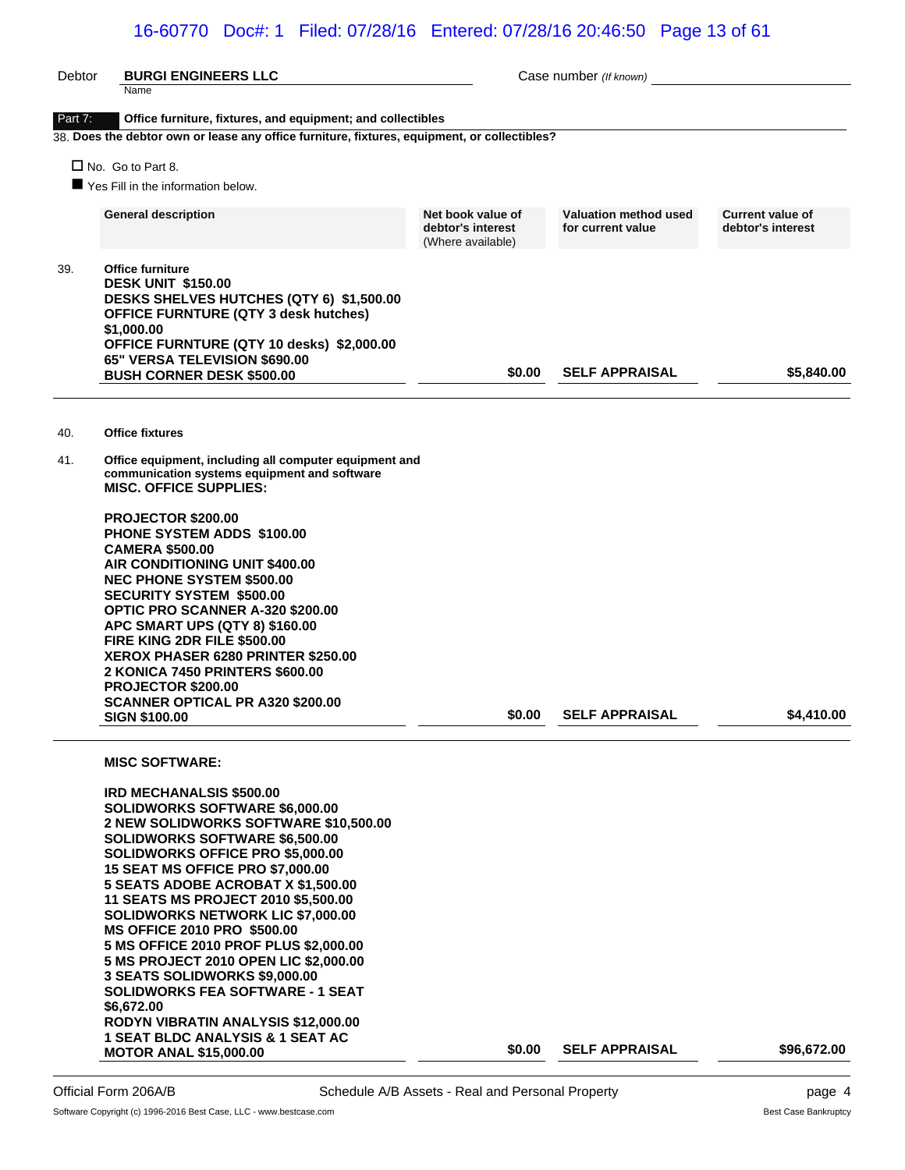# 16-60770 Doc#: 1 Filed: 07/28/16 Entered: 07/28/16 20:46:50 Page 13 of 61

| Debtor  | <b>BURGI ENGINEERS LLC</b><br>Name                                                                                                                                                                                                                                                                                                                                                                                                                                                                                                                                                                                                                                                                                                          |                                                             | Case number (If known)                            |                                              |
|---------|---------------------------------------------------------------------------------------------------------------------------------------------------------------------------------------------------------------------------------------------------------------------------------------------------------------------------------------------------------------------------------------------------------------------------------------------------------------------------------------------------------------------------------------------------------------------------------------------------------------------------------------------------------------------------------------------------------------------------------------------|-------------------------------------------------------------|---------------------------------------------------|----------------------------------------------|
| Part 7: | Office furniture, fixtures, and equipment; and collectibles                                                                                                                                                                                                                                                                                                                                                                                                                                                                                                                                                                                                                                                                                 |                                                             |                                                   |                                              |
|         | 38. Does the debtor own or lease any office furniture, fixtures, equipment, or collectibles?                                                                                                                                                                                                                                                                                                                                                                                                                                                                                                                                                                                                                                                |                                                             |                                                   |                                              |
|         | $\Box$ No. Go to Part 8.                                                                                                                                                                                                                                                                                                                                                                                                                                                                                                                                                                                                                                                                                                                    |                                                             |                                                   |                                              |
|         | Yes Fill in the information below.                                                                                                                                                                                                                                                                                                                                                                                                                                                                                                                                                                                                                                                                                                          |                                                             |                                                   |                                              |
|         | <b>General description</b>                                                                                                                                                                                                                                                                                                                                                                                                                                                                                                                                                                                                                                                                                                                  | Net book value of<br>debtor's interest<br>(Where available) | <b>Valuation method used</b><br>for current value | <b>Current value of</b><br>debtor's interest |
| 39.     | Office furniture<br><b>DESK UNIT \$150.00</b><br>DESKS SHELVES HUTCHES (QTY 6) \$1,500.00<br><b>OFFICE FURNTURE (QTY 3 desk hutches)</b><br>\$1,000.00<br>OFFICE FURNTURE (QTY 10 desks) \$2,000.00<br>65" VERSA TELEVISION \$690.00<br><b>BUSH CORNER DESK \$500.00</b>                                                                                                                                                                                                                                                                                                                                                                                                                                                                    | \$0.00                                                      | <b>SELF APPRAISAL</b>                             | \$5,840.00                                   |
| 40.     | <b>Office fixtures</b>                                                                                                                                                                                                                                                                                                                                                                                                                                                                                                                                                                                                                                                                                                                      |                                                             |                                                   |                                              |
| 41.     | Office equipment, including all computer equipment and<br>communication systems equipment and software<br><b>MISC. OFFICE SUPPLIES:</b>                                                                                                                                                                                                                                                                                                                                                                                                                                                                                                                                                                                                     |                                                             |                                                   |                                              |
|         | <b>PROJECTOR \$200.00</b><br><b>PHONE SYSTEM ADDS \$100.00</b><br><b>CAMERA \$500.00</b><br>AIR CONDITIONING UNIT \$400.00<br><b>NEC PHONE SYSTEM \$500.00</b><br><b>SECURITY SYSTEM \$500.00</b><br>OPTIC PRO SCANNER A-320 \$200.00<br>APC SMART UPS (QTY 8) \$160.00<br>FIRE KING 2DR FILE \$500.00<br><b>XEROX PHASER 6280 PRINTER \$250.00</b><br><b>2 KONICA 7450 PRINTERS \$600.00</b><br>PROJECTOR \$200.00<br><b>SCANNER OPTICAL PR A320 \$200.00</b><br><b>SIGN \$100.00</b>                                                                                                                                                                                                                                                      | \$0.00                                                      | <b>SELF APPRAISAL</b>                             | \$4.410.00                                   |
|         | <b>MISC SOFTWARE:</b><br><b>IRD MECHANALSIS \$500.00</b><br><b>SOLIDWORKS SOFTWARE \$6,000.00</b><br>2 NEW SOLIDWORKS SOFTWARE \$10,500.00<br><b>SOLIDWORKS SOFTWARE \$6,500.00</b><br><b>SOLIDWORKS OFFICE PRO \$5,000.00</b><br><b>15 SEAT MS OFFICE PRO \$7,000.00</b><br>5 SEATS ADOBE ACROBAT X \$1,500.00<br>11 SEATS MS PROJECT 2010 \$5,500.00<br><b>SOLIDWORKS NETWORK LIC \$7,000.00</b><br><b>MS OFFICE 2010 PRO \$500.00</b><br>5 MS OFFICE 2010 PROF PLUS \$2,000.00<br>5 MS PROJECT 2010 OPEN LIC \$2,000.00<br>3 SEATS SOLIDWORKS \$9,000.00<br><b>SOLIDWORKS FEA SOFTWARE - 1 SEAT</b><br>\$6,672.00<br>RODYN VIBRATIN ANALYSIS \$12,000.00<br><b>1 SEAT BLDC ANALYSIS &amp; 1 SEAT AC</b><br><b>MOTOR ANAL \$15,000.00</b> | \$0.00                                                      | <b>SELF APPRAISAL</b>                             | \$96,672.00                                  |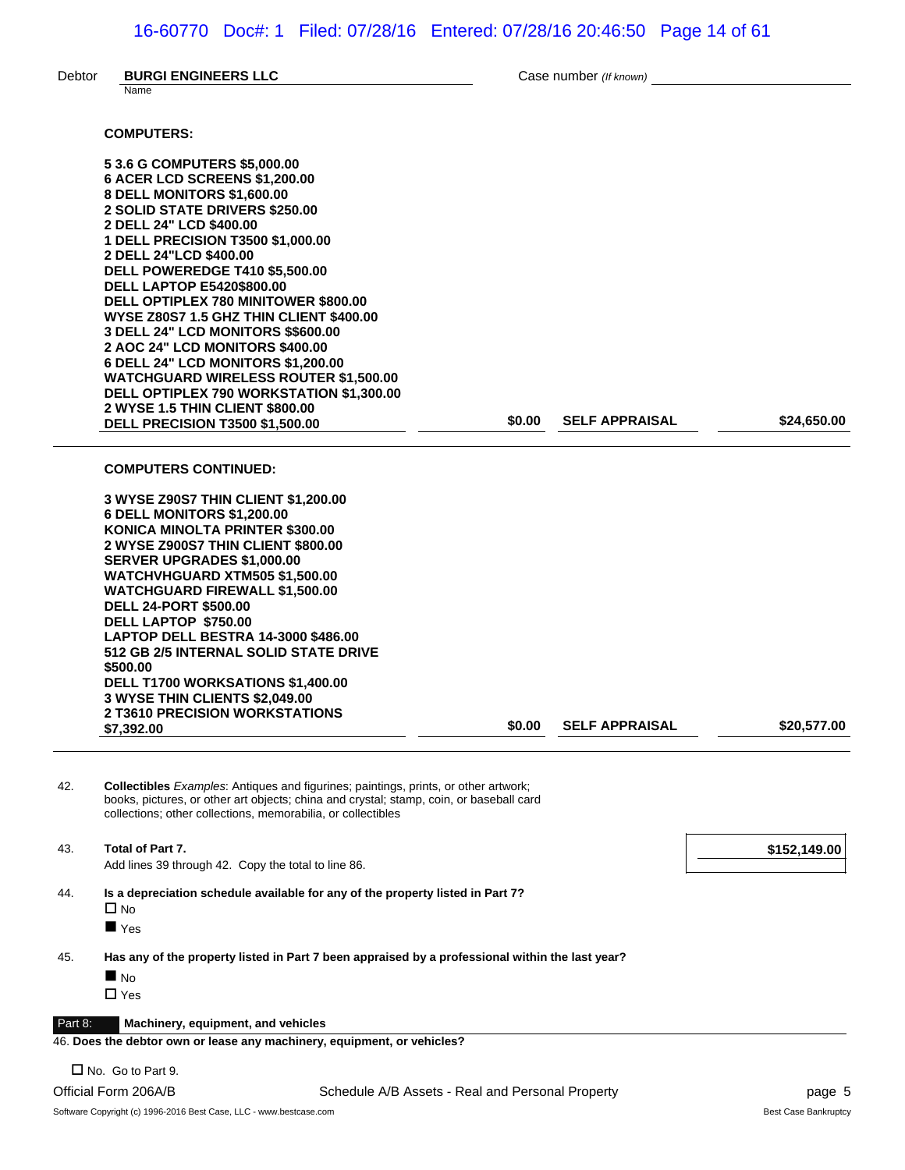Debtor **BURGI ENGINEERS LLC** Case number *(If known)* 

|         | Name                                                                                                                                                                                  |        |                       |              |
|---------|---------------------------------------------------------------------------------------------------------------------------------------------------------------------------------------|--------|-----------------------|--------------|
|         | <b>COMPUTERS:</b>                                                                                                                                                                     |        |                       |              |
|         | 5 3.6 G COMPUTERS \$5,000.00                                                                                                                                                          |        |                       |              |
|         | 6 ACER LCD SCREENS \$1,200.00                                                                                                                                                         |        |                       |              |
|         | 8 DELL MONITORS \$1,600.00                                                                                                                                                            |        |                       |              |
|         | 2 SOLID STATE DRIVERS \$250.00                                                                                                                                                        |        |                       |              |
|         | 2 DELL 24" LCD \$400.00                                                                                                                                                               |        |                       |              |
|         | 1 DELL PRECISION T3500 \$1,000.00                                                                                                                                                     |        |                       |              |
|         | 2 DELL 24"LCD \$400.00                                                                                                                                                                |        |                       |              |
|         | <b>DELL POWEREDGE T410 \$5,500.00</b><br><b>DELL LAPTOP E5420\$800.00</b>                                                                                                             |        |                       |              |
|         | DELL OPTIPLEX 780 MINITOWER \$800.00                                                                                                                                                  |        |                       |              |
|         | <b>WYSE Z80S7 1.5 GHZ THIN CLIENT \$400.00</b>                                                                                                                                        |        |                       |              |
|         | 3 DELL 24" LCD MONITORS \$\$600.00                                                                                                                                                    |        |                       |              |
|         | <b>2 AOC 24" LCD MONITORS \$400.00</b>                                                                                                                                                |        |                       |              |
|         | 6 DELL 24" LCD MONITORS \$1,200.00                                                                                                                                                    |        |                       |              |
|         | <b>WATCHGUARD WIRELESS ROUTER \$1,500.00</b>                                                                                                                                          |        |                       |              |
|         | DELL OPTIPLEX 790 WORKSTATION \$1,300.00<br>2 WYSE 1.5 THIN CLIENT \$800.00                                                                                                           |        |                       |              |
|         | <b>DELL PRECISION T3500 \$1,500.00</b>                                                                                                                                                | \$0.00 | <b>SELF APPRAISAL</b> | \$24,650.00  |
|         |                                                                                                                                                                                       |        |                       |              |
|         | <b>COMPUTERS CONTINUED:</b>                                                                                                                                                           |        |                       |              |
|         | 3 WYSE Z90S7 THIN CLIENT \$1,200.00                                                                                                                                                   |        |                       |              |
|         | <b>6 DELL MONITORS \$1,200.00</b>                                                                                                                                                     |        |                       |              |
|         | KONICA MINOLTA PRINTER \$300.00<br>2 WYSE Z900S7 THIN CLIENT \$800.00                                                                                                                 |        |                       |              |
|         | <b>SERVER UPGRADES \$1,000.00</b>                                                                                                                                                     |        |                       |              |
|         | <b>WATCHVHGUARD XTM505 \$1,500.00</b>                                                                                                                                                 |        |                       |              |
|         | <b>WATCHGUARD FIREWALL \$1,500.00</b>                                                                                                                                                 |        |                       |              |
|         | <b>DELL 24-PORT \$500.00</b>                                                                                                                                                          |        |                       |              |
|         | DELL LAPTOP \$750.00                                                                                                                                                                  |        |                       |              |
|         | <b>LAPTOP DELL BESTRA 14-3000 \$486.00</b><br>512 GB 2/5 INTERNAL SOLID STATE DRIVE                                                                                                   |        |                       |              |
|         | \$500.00                                                                                                                                                                              |        |                       |              |
|         | DELL T1700 WORKSATIONS \$1,400.00                                                                                                                                                     |        |                       |              |
|         | 3 WYSE THIN CLIENTS \$2,049.00                                                                                                                                                        |        |                       |              |
|         | <b>2 T3610 PRECISION WORKSTATIONS</b>                                                                                                                                                 | \$0.00 | <b>SELF APPRAISAL</b> | \$20,577.00  |
|         | \$7,392.00                                                                                                                                                                            |        |                       |              |
| 42.     | <b>Collectibles</b> Examples: Antiques and figurines; paintings, prints, or other artwork;<br>books, pictures, or other art objects; china and crystal; stamp, coin, or baseball card |        |                       |              |
|         | collections: other collections, memorabilia, or collectibles                                                                                                                          |        |                       |              |
| 43.     | Total of Part 7.<br>Add lines 39 through 42. Copy the total to line 86.                                                                                                               |        |                       | \$152,149.00 |
|         |                                                                                                                                                                                       |        |                       |              |
| 44.     | Is a depreciation schedule available for any of the property listed in Part 7?                                                                                                        |        |                       |              |
|         | $\Box$ No<br>$\blacksquare$ Yes                                                                                                                                                       |        |                       |              |
| 45.     | Has any of the property listed in Part 7 been appraised by a professional within the last year?                                                                                       |        |                       |              |
|         | $\blacksquare$ No                                                                                                                                                                     |        |                       |              |
|         | $\Box$ Yes                                                                                                                                                                            |        |                       |              |
|         |                                                                                                                                                                                       |        |                       |              |
| Part 8: | Machinery, equipment, and vehicles                                                                                                                                                    |        |                       |              |

46. **Does the debtor own or lease any machinery, equipment, or vehicles?**

 $\square$  No. Go to Part 9.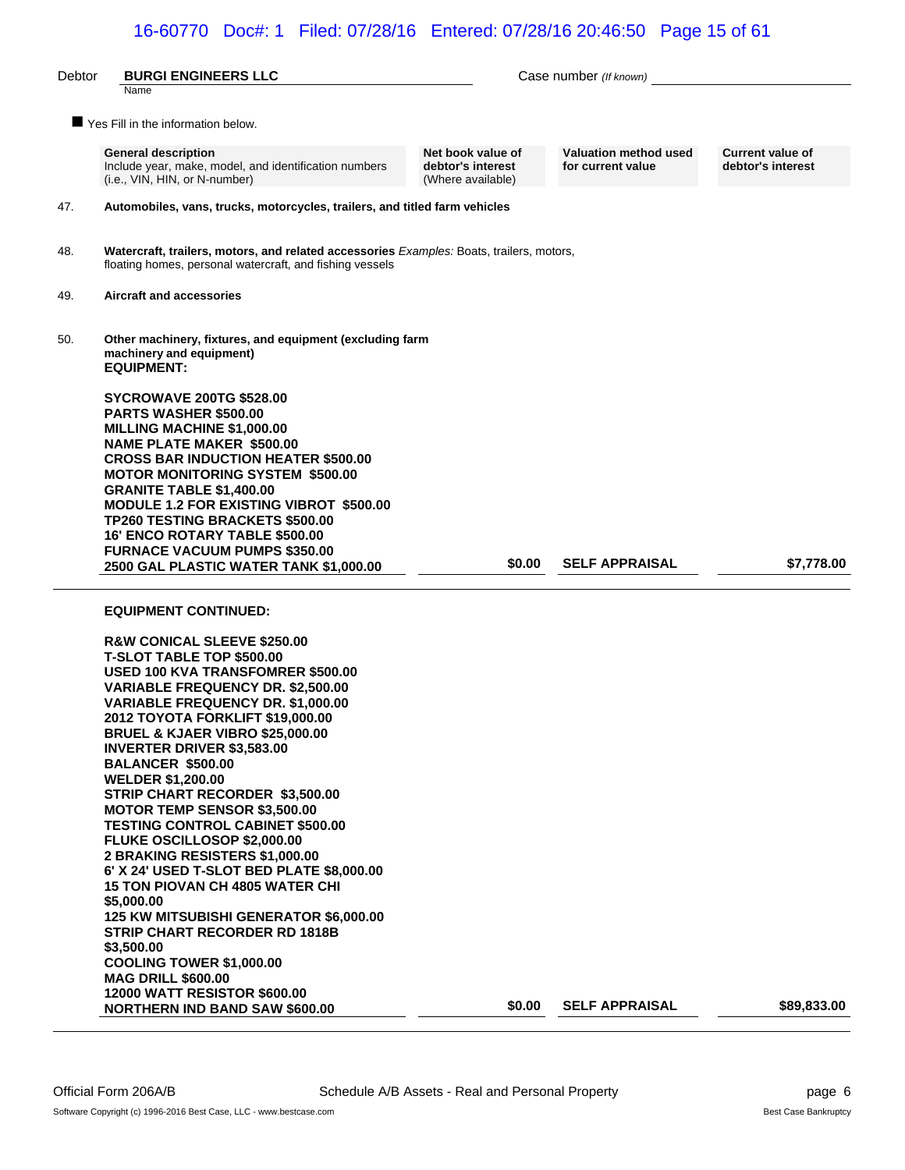| Debtor | <b>BURGI ENGINEERS LLC</b>                                                                                                                                                                                                                                                                                                                                                                                                                                                                                                                                                                                                                                                                                                                                                                                                                                                               |                                                             | Case number (If known)                            |                                              |
|--------|------------------------------------------------------------------------------------------------------------------------------------------------------------------------------------------------------------------------------------------------------------------------------------------------------------------------------------------------------------------------------------------------------------------------------------------------------------------------------------------------------------------------------------------------------------------------------------------------------------------------------------------------------------------------------------------------------------------------------------------------------------------------------------------------------------------------------------------------------------------------------------------|-------------------------------------------------------------|---------------------------------------------------|----------------------------------------------|
|        | Name                                                                                                                                                                                                                                                                                                                                                                                                                                                                                                                                                                                                                                                                                                                                                                                                                                                                                     |                                                             |                                                   |                                              |
|        | Yes Fill in the information below.                                                                                                                                                                                                                                                                                                                                                                                                                                                                                                                                                                                                                                                                                                                                                                                                                                                       |                                                             |                                                   |                                              |
|        | <b>General description</b><br>Include year, make, model, and identification numbers<br>(i.e., VIN, HIN, or N-number)                                                                                                                                                                                                                                                                                                                                                                                                                                                                                                                                                                                                                                                                                                                                                                     | Net book value of<br>debtor's interest<br>(Where available) | <b>Valuation method used</b><br>for current value | <b>Current value of</b><br>debtor's interest |
| 47.    | Automobiles, vans, trucks, motorcycles, trailers, and titled farm vehicles                                                                                                                                                                                                                                                                                                                                                                                                                                                                                                                                                                                                                                                                                                                                                                                                               |                                                             |                                                   |                                              |
| 48.    | Watercraft, trailers, motors, and related accessories Examples: Boats, trailers, motors,<br>floating homes, personal watercraft, and fishing vessels                                                                                                                                                                                                                                                                                                                                                                                                                                                                                                                                                                                                                                                                                                                                     |                                                             |                                                   |                                              |
| 49.    | <b>Aircraft and accessories</b>                                                                                                                                                                                                                                                                                                                                                                                                                                                                                                                                                                                                                                                                                                                                                                                                                                                          |                                                             |                                                   |                                              |
| 50.    | Other machinery, fixtures, and equipment (excluding farm<br>machinery and equipment)<br><b>EQUIPMENT:</b>                                                                                                                                                                                                                                                                                                                                                                                                                                                                                                                                                                                                                                                                                                                                                                                |                                                             |                                                   |                                              |
|        | <b>SYCROWAVE 200TG \$528.00</b><br><b>PARTS WASHER \$500.00</b><br><b>MILLING MACHINE \$1,000.00</b><br><b>NAME PLATE MAKER \$500.00</b><br><b>CROSS BAR INDUCTION HEATER \$500.00</b><br><b>MOTOR MONITORING SYSTEM \$500.00</b><br><b>GRANITE TABLE \$1,400.00</b><br><b>MODULE 1.2 FOR EXISTING VIBROT \$500.00</b><br><b>TP260 TESTING BRACKETS \$500.00</b><br><b>16' ENCO ROTARY TABLE \$500.00</b><br><b>FURNACE VACUUM PUMPS \$350.00</b>                                                                                                                                                                                                                                                                                                                                                                                                                                        |                                                             |                                                   |                                              |
|        | 2500 GAL PLASTIC WATER TANK \$1,000.00                                                                                                                                                                                                                                                                                                                                                                                                                                                                                                                                                                                                                                                                                                                                                                                                                                                   | \$0.00                                                      | <b>SELF APPRAISAL</b>                             | \$7,778.00                                   |
|        | <b>EQUIPMENT CONTINUED:</b>                                                                                                                                                                                                                                                                                                                                                                                                                                                                                                                                                                                                                                                                                                                                                                                                                                                              |                                                             |                                                   |                                              |
|        | <b>R&amp;W CONICAL SLEEVE \$250.00</b><br><b>T-SLOT TABLE TOP \$500.00</b><br><b>USED 100 KVA TRANSFOMRER \$500.00</b><br><b>VARIABLE FREQUENCY DR. \$2,500.00</b><br><b>VARIABLE FREQUENCY DR. \$1,000.00</b><br>2012 TOYOTA FORKLIFT \$19,000.00<br><b>BRUEL &amp; KJAER VIBRO \$25,000.00</b><br><b>INVERTER DRIVER \$3,583.00</b><br><b>BALANCER \$500.00</b><br><b>WELDER \$1,200.00</b><br>STRIP CHART RECORDER \$3,500.00<br><b>MOTOR TEMP SENSOR \$3,500.00</b><br><b>TESTING CONTROL CABINET \$500.00</b><br>FLUKE OSCILLOSOP \$2,000.00<br>2 BRAKING RESISTERS \$1,000.00<br>6' X 24' USED T-SLOT BED PLATE \$8,000.00<br><b>15 TON PIOVAN CH 4805 WATER CHI</b><br>\$5,000.00<br>125 KW MITSUBISHI GENERATOR \$6,000.00<br>STRIP CHART RECORDER RD 1818B<br>\$3,500.00<br><b>COOLING TOWER \$1,000.00</b><br><b>MAG DRILL \$600.00</b><br><b>12000 WATT RESISTOR \$600.00</b> |                                                             |                                                   |                                              |
|        | <b>NORTHERN IND BAND SAW \$600.00</b>                                                                                                                                                                                                                                                                                                                                                                                                                                                                                                                                                                                                                                                                                                                                                                                                                                                    | \$0.00                                                      | <b>SELF APPRAISAL</b>                             | \$89,833.00                                  |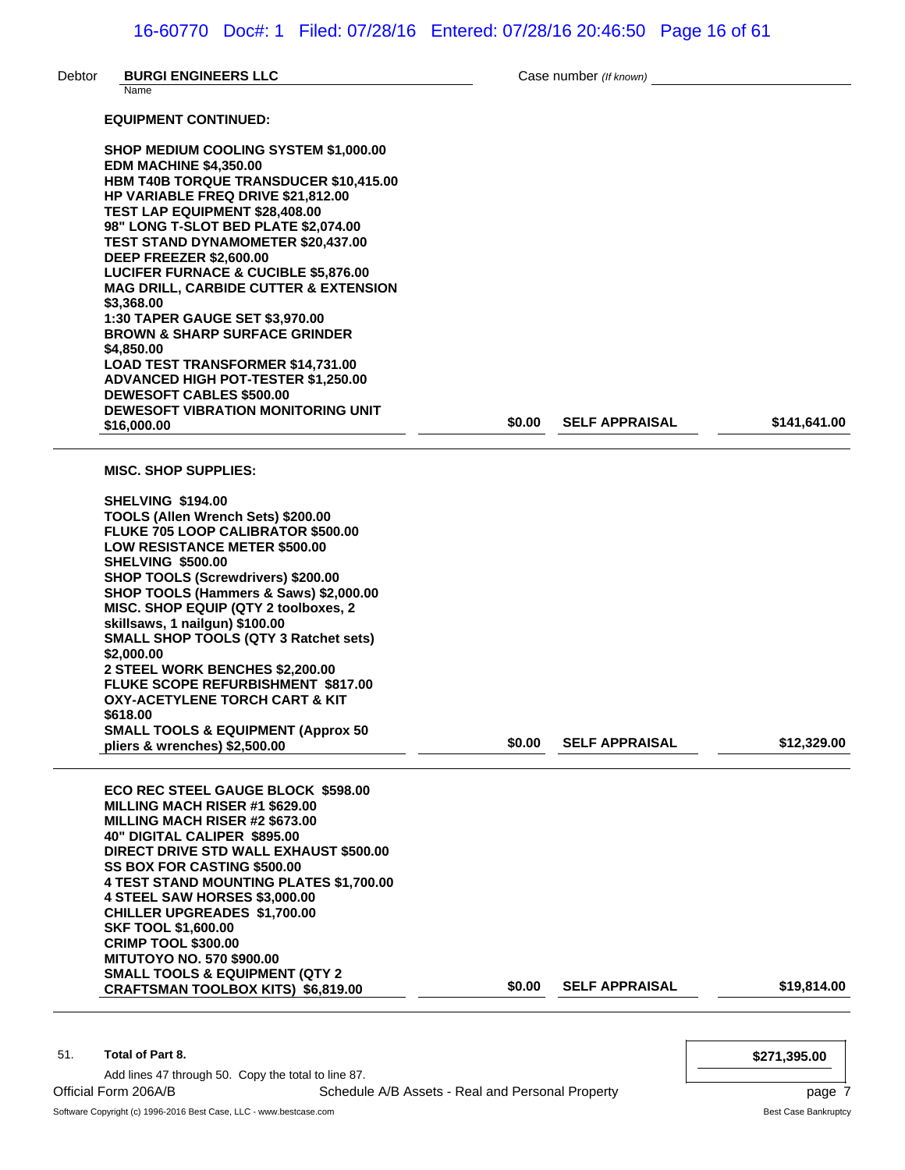| Debtor | <b>BURGI ENGINEERS LLC</b><br>Name                                                     |        | Case number (If known) |              |
|--------|----------------------------------------------------------------------------------------|--------|------------------------|--------------|
|        | <b>EQUIPMENT CONTINUED:</b>                                                            |        |                        |              |
|        | <b>SHOP MEDIUM COOLING SYSTEM \$1,000.00</b>                                           |        |                        |              |
|        | <b>EDM MACHINE \$4,350.00</b>                                                          |        |                        |              |
|        | HBM T40B TORQUE TRANSDUCER \$10,415.00                                                 |        |                        |              |
|        | <b>HP VARIABLE FREQ DRIVE \$21,812.00</b><br><b>TEST LAP EQUIPMENT \$28,408.00</b>     |        |                        |              |
|        | 98" LONG T-SLOT BED PLATE \$2,074.00                                                   |        |                        |              |
|        | <b>TEST STAND DYNAMOMETER \$20,437.00</b>                                              |        |                        |              |
|        | DEEP FREEZER \$2,600.00<br><b>LUCIFER FURNACE &amp; CUCIBLE \$5,876.00</b>             |        |                        |              |
|        | <b>MAG DRILL, CARBIDE CUTTER &amp; EXTENSION</b>                                       |        |                        |              |
|        | \$3,368.00                                                                             |        |                        |              |
|        | <b>1:30 TAPER GAUGE SET \$3,970.00</b><br><b>BROWN &amp; SHARP SURFACE GRINDER</b>     |        |                        |              |
|        | \$4,850.00                                                                             |        |                        |              |
|        | <b>LOAD TEST TRANSFORMER \$14,731.00</b>                                               |        |                        |              |
|        | <b>ADVANCED HIGH POT-TESTER \$1,250.00</b><br><b>DEWESOFT CABLES \$500.00</b>          |        |                        |              |
|        | <b>DEWESOFT VIBRATION MONITORING UNIT</b>                                              |        |                        |              |
|        | \$16,000,00                                                                            | \$0.00 | <b>SELF APPRAISAL</b>  | \$141.641.00 |
|        | <b>MISC. SHOP SUPPLIES:</b>                                                            |        |                        |              |
|        | <b>SHELVING \$194.00</b>                                                               |        |                        |              |
|        | TOOLS (Allen Wrench Sets) \$200.00                                                     |        |                        |              |
|        | <b>FLUKE 705 LOOP CALIBRATOR \$500.00</b><br><b>LOW RESISTANCE METER \$500.00</b>      |        |                        |              |
|        | <b>SHELVING \$500.00</b>                                                               |        |                        |              |
|        | SHOP TOOLS (Screwdrivers) \$200.00                                                     |        |                        |              |
|        | SHOP TOOLS (Hammers & Saws) \$2,000.00<br>MISC. SHOP EQUIP (QTY 2 toolboxes, 2         |        |                        |              |
|        | skillsaws, 1 nailgun) \$100.00                                                         |        |                        |              |
|        | <b>SMALL SHOP TOOLS (QTY 3 Ratchet sets)</b>                                           |        |                        |              |
|        | \$2,000.00                                                                             |        |                        |              |
|        | 2 STEEL WORK BENCHES \$2,200.00<br><b>FLUKE SCOPE REFURBISHMENT \$817.00</b>           |        |                        |              |
|        | OXY-ACETYLENE TORCH CART & KIT                                                         |        |                        |              |
|        | \$618.00<br><b>SMALL TOOLS &amp; EQUIPMENT (Approx 50</b>                              |        |                        |              |
|        | pliers & wrenches) \$2,500.00                                                          | \$0.00 | <b>SELF APPRAISAL</b>  | \$12,329.00  |
|        | <b>ECO REC STEEL GAUGE BLOCK \$598.00</b>                                              |        |                        |              |
|        | <b>MILLING MACH RISER #1 \$629.00</b>                                                  |        |                        |              |
|        | MILLING MACH RISER #2 \$673.00                                                         |        |                        |              |
|        | 40" DIGITAL CALIPER \$895.00<br>DIRECT DRIVE STD WALL EXHAUST \$500.00                 |        |                        |              |
|        | SS BOX FOR CASTING \$500.00                                                            |        |                        |              |
|        | <b>4 TEST STAND MOUNTING PLATES \$1,700.00</b>                                         |        |                        |              |
|        | 4 STEEL SAW HORSES \$3,000.00<br><b>CHILLER UPGREADES \$1,700.00</b>                   |        |                        |              |
|        | <b>SKF TOOL \$1,600.00</b>                                                             |        |                        |              |
|        | <b>CRIMP TOOL \$300.00</b>                                                             |        |                        |              |
|        | <b>MITUTOYO NO. 570 \$900.00</b>                                                       |        |                        |              |
|        | <b>SMALL TOOLS &amp; EQUIPMENT (QTY 2</b><br><b>CRAFTSMAN TOOLBOX KITS) \$6,819.00</b> | \$0.00 | <b>SELF APPRAISAL</b>  | \$19,814.00  |

51. **Total of Part 8. \$271,395.00**

Add lines 47 through 50. Copy the total to line 87.

Official Form 206A/B **Schedule A/B Assets - Real and Personal Property** Property page 7

Software Copyright (c) 1996-2016 Best Case, LLC - www.bestcase.com Best Case Bankruptcy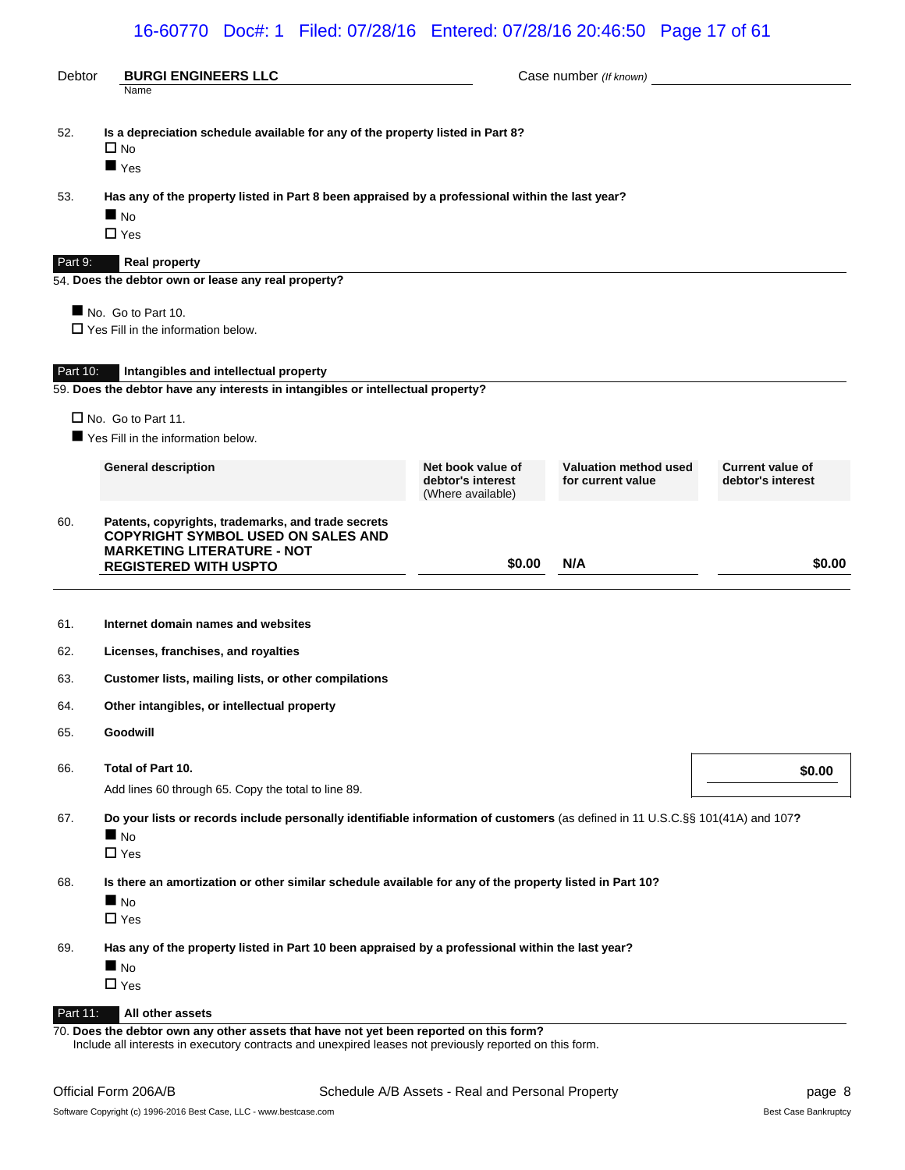# 16-60770 Doc#: 1 Filed: 07/28/16 Entered: 07/28/16 20:46:50 Page 17 of 61

| <b>Debtor</b> | <b>BURGI ENGINEERS LLC</b>                                                                                                                                           |                                                             | Case number (If known)                     |                                              |
|---------------|----------------------------------------------------------------------------------------------------------------------------------------------------------------------|-------------------------------------------------------------|--------------------------------------------|----------------------------------------------|
|               | Name                                                                                                                                                                 |                                                             |                                            |                                              |
| 52.           | Is a depreciation schedule available for any of the property listed in Part 8?<br>$\square$ No<br>$\blacksquare$ Yes                                                 |                                                             |                                            |                                              |
| 53.           | Has any of the property listed in Part 8 been appraised by a professional within the last year?                                                                      |                                                             |                                            |                                              |
|               | $\blacksquare$ No                                                                                                                                                    |                                                             |                                            |                                              |
|               | $\Box$ Yes                                                                                                                                                           |                                                             |                                            |                                              |
| Part 9:       | <b>Real property</b>                                                                                                                                                 |                                                             |                                            |                                              |
|               | 54. Does the debtor own or lease any real property?                                                                                                                  |                                                             |                                            |                                              |
|               | No. Go to Part 10.<br>$\Box$ Yes Fill in the information below.                                                                                                      |                                                             |                                            |                                              |
|               |                                                                                                                                                                      |                                                             |                                            |                                              |
| Part 10:      | Intangibles and intellectual property                                                                                                                                |                                                             |                                            |                                              |
|               | 59. Does the debtor have any interests in intangibles or intellectual property?                                                                                      |                                                             |                                            |                                              |
|               | $\Box$ No. Go to Part 11.                                                                                                                                            |                                                             |                                            |                                              |
|               | Yes Fill in the information below.                                                                                                                                   |                                                             |                                            |                                              |
|               | <b>General description</b>                                                                                                                                           | Net book value of<br>debtor's interest<br>(Where available) | Valuation method used<br>for current value | <b>Current value of</b><br>debtor's interest |
| 60.           | Patents, copyrights, trademarks, and trade secrets<br><b>COPYRIGHT SYMBOL USED ON SALES AND</b><br><b>MARKETING LITERATURE - NOT</b><br><b>REGISTERED WITH USPTO</b> | \$0.00                                                      | N/A                                        | \$0.00                                       |
|               |                                                                                                                                                                      |                                                             |                                            |                                              |
| 61.           | Internet domain names and websites                                                                                                                                   |                                                             |                                            |                                              |
| 62.           | Licenses, franchises, and royalties                                                                                                                                  |                                                             |                                            |                                              |
| 63.           | Customer lists, mailing lists, or other compilations                                                                                                                 |                                                             |                                            |                                              |
| 64.           | Other intangibles, or intellectual property                                                                                                                          |                                                             |                                            |                                              |
| 65.           | Goodwill                                                                                                                                                             |                                                             |                                            |                                              |
| 66.           | Total of Part 10.                                                                                                                                                    |                                                             |                                            | \$0.00                                       |
|               | Add lines 60 through 65. Copy the total to line 89.                                                                                                                  |                                                             |                                            |                                              |
| 67.           | Do your lists or records include personally identifiable information of customers (as defined in 11 U.S.C.§§ 101(41A) and 107?                                       |                                                             |                                            |                                              |
|               | $\blacksquare$ No<br>$\Box$ Yes                                                                                                                                      |                                                             |                                            |                                              |
| 68.           | Is there an amortization or other similar schedule available for any of the property listed in Part 10?                                                              |                                                             |                                            |                                              |
|               | $\blacksquare$ No                                                                                                                                                    |                                                             |                                            |                                              |
|               | $\Box$ Yes                                                                                                                                                           |                                                             |                                            |                                              |
| 69.           | Has any of the property listed in Part 10 been appraised by a professional within the last year?                                                                     |                                                             |                                            |                                              |
|               | $\blacksquare$ No                                                                                                                                                    |                                                             |                                            |                                              |
|               | $\Box$ Yes                                                                                                                                                           |                                                             |                                            |                                              |
| Part 11:      | All other assets<br>70. Does the debtor own any other assets that have not yet been reported on this form?                                                           |                                                             |                                            |                                              |

Include all interests in executory contracts and unexpired leases not previously reported on this form.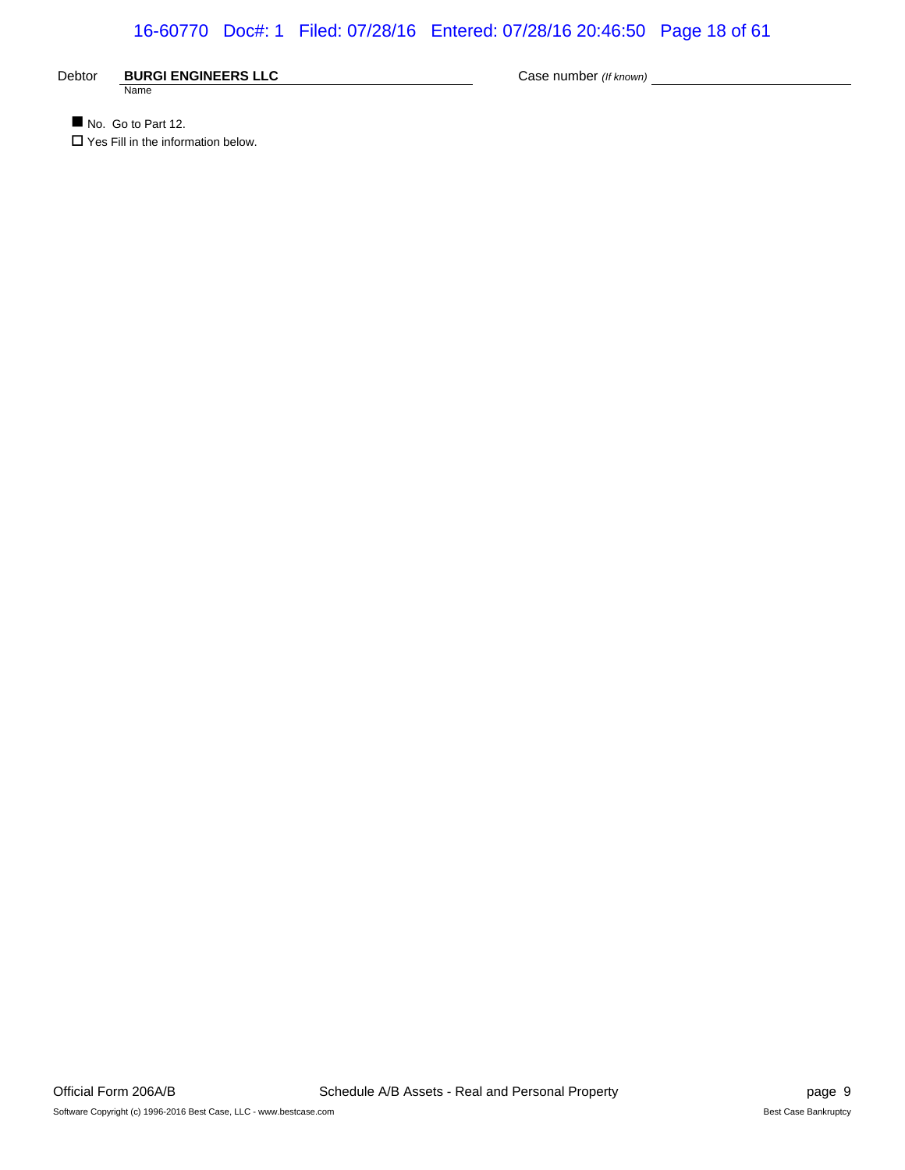# 16-60770 Doc#: 1 Filed: 07/28/16 Entered: 07/28/16 20:46:50 Page 18 of 61

Debtor **BURGI ENGINEERS LLC** Case number *(If known)* Case number (*If known*) **Name** 

No. Go to Part 12.  $\square$  Yes Fill in the information below.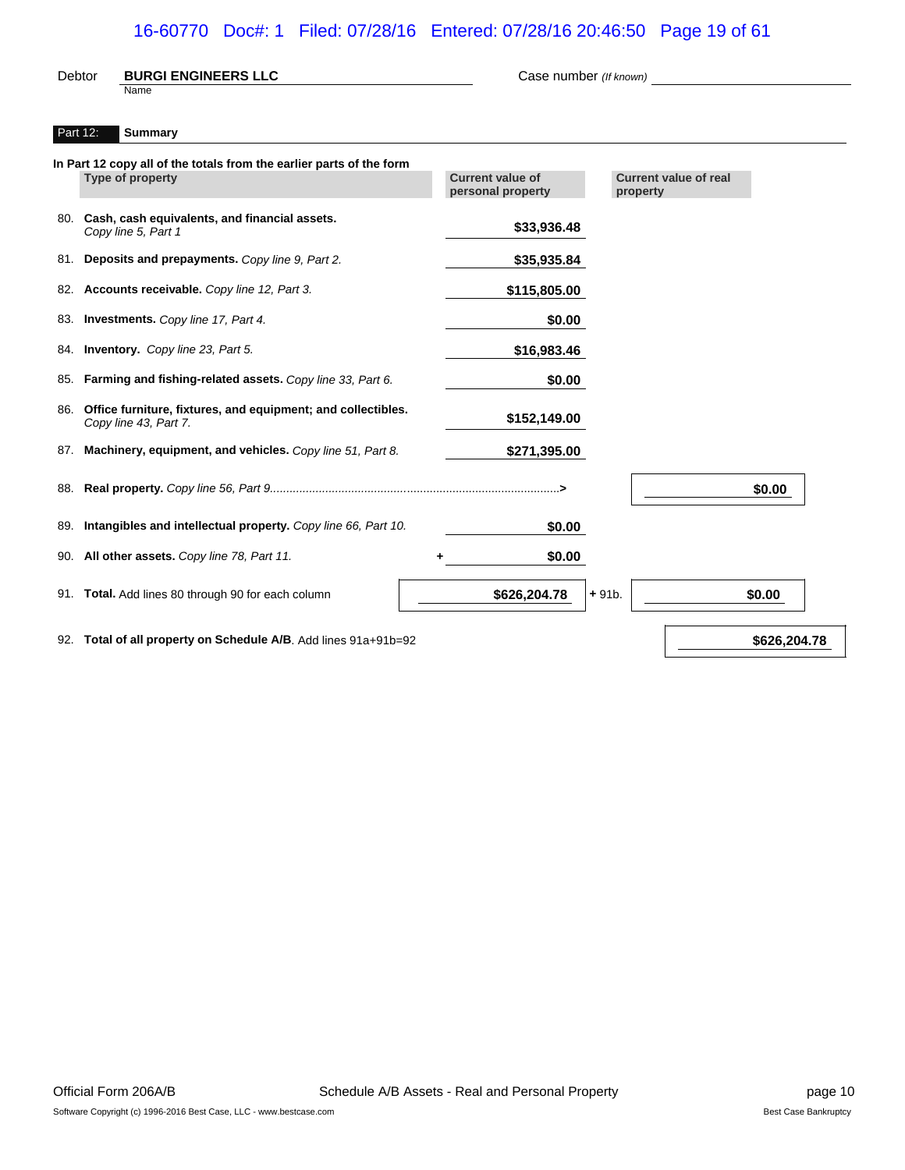# 16-60770 Doc#: 1 Filed: 07/28/16 Entered: 07/28/16 20:46:50 Page 19 of 61

| <b>Debtor</b> | <b>BURGI ENGINEERS LLC</b><br>Name                                                       | Case number (If known)                       |                                          |        |
|---------------|------------------------------------------------------------------------------------------|----------------------------------------------|------------------------------------------|--------|
| Part 12:      | <b>Summary</b>                                                                           |                                              |                                          |        |
|               | In Part 12 copy all of the totals from the earlier parts of the form<br>Type of property | <b>Current value of</b><br>personal property | <b>Current value of real</b><br>property |        |
|               | 80. Cash, cash equivalents, and financial assets.<br>Copy line 5, Part 1                 | \$33,936.48                                  |                                          |        |
| 81.           | Deposits and prepayments. Copy line 9, Part 2.                                           | \$35,935.84                                  |                                          |        |
|               | 82. Accounts receivable. Copy line 12, Part 3.                                           | \$115,805.00                                 |                                          |        |
| 83.           | Investments. Copy line 17, Part 4.                                                       | \$0.00                                       |                                          |        |
| 84.           | Inventory. Copy line 23, Part 5.                                                         | \$16,983.46                                  |                                          |        |
| 85.           | Farming and fishing-related assets. Copy line 33, Part 6.                                | \$0.00                                       |                                          |        |
| 86.           | Office furniture, fixtures, and equipment; and collectibles.<br>Copy line 43, Part 7.    | \$152,149.00                                 |                                          |        |
| 87.           | Machinery, equipment, and vehicles. Copy line 51, Part 8.                                | \$271,395.00                                 |                                          |        |
| 88.           |                                                                                          |                                              |                                          | \$0.00 |
| 89.           | Intangibles and intellectual property. Copy line 66, Part 10.                            | \$0.00                                       |                                          |        |
|               | 90. All other assets. Copy line 78, Part 11.                                             | \$0.00                                       |                                          |        |
|               | 91. Total. Add lines 80 through 90 for each column                                       | \$626,204.78                                 | $+91b.$                                  | \$0.00 |
|               |                                                                                          |                                              |                                          |        |

92. **Total of all property on Schedule A/B**. Add lines 91a+91b=92 **\$626,204.78 \$626,204.78**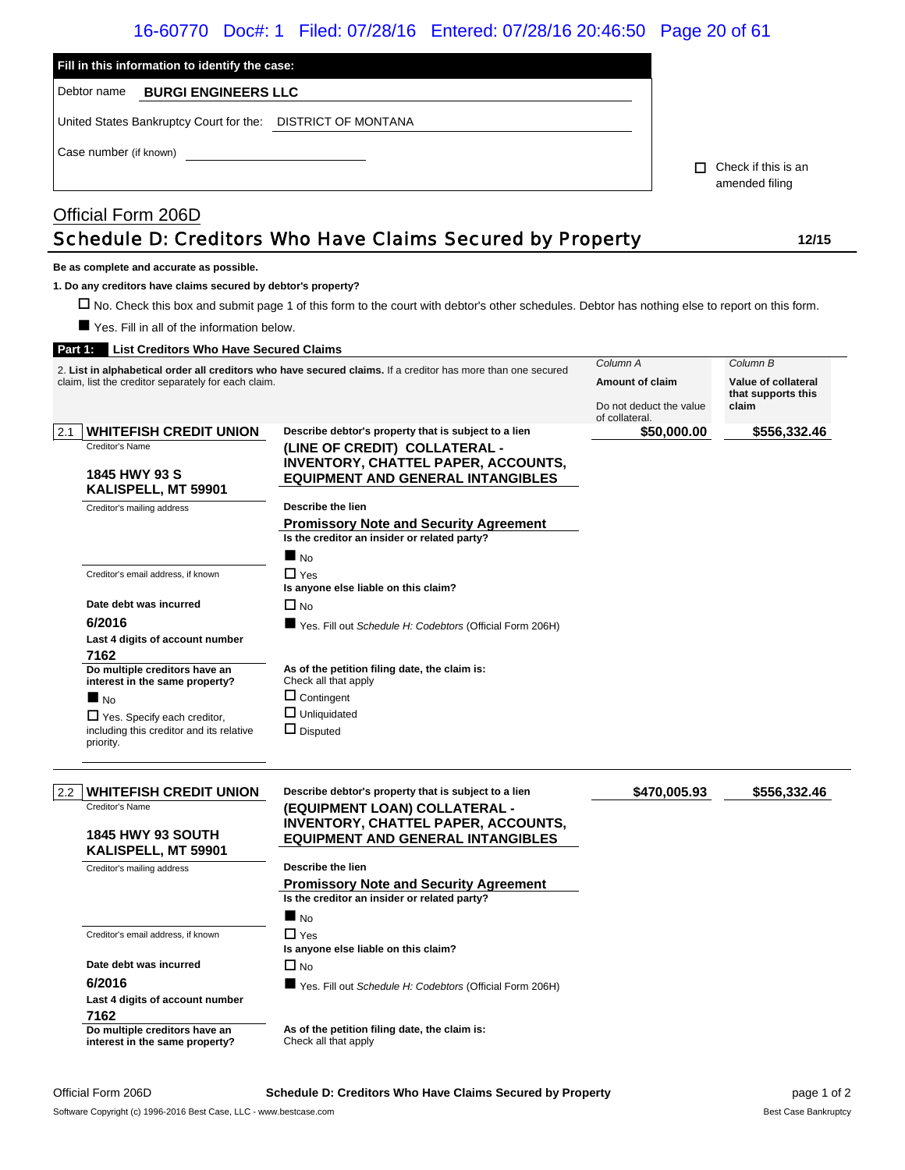# 16-60770 Doc#: 1 Filed: 07/28/16 Entered: 07/28/16 20:46:50 Page 20 of 61

| Fill in this information to identify the case:<br>Debtor name<br><b>BURGI ENGINEERS LLC</b><br>United States Bankruptcy Court for the: DISTRICT OF MONTANA                        |                                                                                                                                                                                 |                                                                                 |        |                                                                |
|-----------------------------------------------------------------------------------------------------------------------------------------------------------------------------------|---------------------------------------------------------------------------------------------------------------------------------------------------------------------------------|---------------------------------------------------------------------------------|--------|----------------------------------------------------------------|
| Case number (if known)                                                                                                                                                            |                                                                                                                                                                                 |                                                                                 | $\Box$ | Check if this is an<br>amended filing                          |
| Official Form 206D                                                                                                                                                                | Schedule D: Creditors Who Have Claims Secured by Property                                                                                                                       |                                                                                 |        | 12/15                                                          |
| Be as complete and accurate as possible.<br>1. Do any creditors have claims secured by debtor's property?<br>Yes. Fill in all of the information below.                           | □ No. Check this box and submit page 1 of this form to the court with debtor's other schedules. Debtor has nothing else to report on this form.                                 |                                                                                 |        |                                                                |
| Part 1:<br><b>List Creditors Who Have Secured Claims</b><br>claim, list the creditor separately for each claim.                                                                   | 2. List in alphabetical order all creditors who have secured claims. If a creditor has more than one secured                                                                    | Column A<br><b>Amount of claim</b><br>Do not deduct the value<br>of collateral. |        | Column B<br>Value of collateral<br>that supports this<br>claim |
| <b>WHITEFISH CREDIT UNION</b><br>2.1<br>Creditor's Name<br>1845 HWY 93 S<br>KALISPELL, MT 59901                                                                                   | Describe debtor's property that is subject to a lien<br>(LINE OF CREDIT) COLLATERAL -<br><b>INVENTORY, CHATTEL PAPER, ACCOUNTS,</b><br><b>EQUIPMENT AND GENERAL INTANGIBLES</b> | \$50,000.00                                                                     |        | \$556,332.46                                                   |
| Creditor's mailing address                                                                                                                                                        | Describe the lien<br><b>Promissory Note and Security Agreement</b><br>Is the creditor an insider or related party?<br>$\blacksquare$ No                                         |                                                                                 |        |                                                                |
| Creditor's email address, if known<br>Date debt was incurred<br>6/2016<br>Last 4 digits of account number                                                                         | $\Box$ Yes<br>Is anyone else liable on this claim?<br>$\Box$ No<br>■ Yes. Fill out Schedule H: Codebtors (Official Form 206H)                                                   |                                                                                 |        |                                                                |
| 7162<br>Do multiple creditors have an<br>interest in the same property?<br>■<br><b>No</b><br>Yes. Specify each creditor,<br>including this creditor and its relative<br>priority. | As of the petition filing date, the claim is:<br>Check all that apply<br>$\Box$ Contingent<br>$\Box$ Unliquidated<br>$\Box$ Disputed                                            |                                                                                 |        |                                                                |
| <b>WHITEFISH CREDIT UNION</b><br>2.2<br>Creditor's Name<br><b>1845 HWY 93 SOUTH</b><br>KALISPELL, MT 59901                                                                        | Describe debtor's property that is subject to a lien<br>(EQUIPMENT LOAN) COLLATERAL -<br><b>INVENTORY, CHATTEL PAPER, ACCOUNTS,</b><br><b>EQUIPMENT AND GENERAL INTANGIBLES</b> | \$470,005.93                                                                    |        | \$556,332.46                                                   |
| Creditor's mailing address                                                                                                                                                        | Describe the lien<br><b>Promissory Note and Security Agreement</b><br>Is the creditor an insider or related party?<br>$\blacksquare$ No                                         |                                                                                 |        |                                                                |
| Creditor's email address, if known<br>Date debt was incurred<br>6/2016<br>Last 4 digits of account number<br>7162                                                                 | $\Box$ Yes<br>Is anyone else liable on this claim?<br>$\Box$ No<br>Yes. Fill out Schedule H: Codebtors (Official Form 206H)                                                     |                                                                                 |        |                                                                |

**Do multiple creditors have an interest in the same property?** **As of the petition filing date, the claim is:** Check all that apply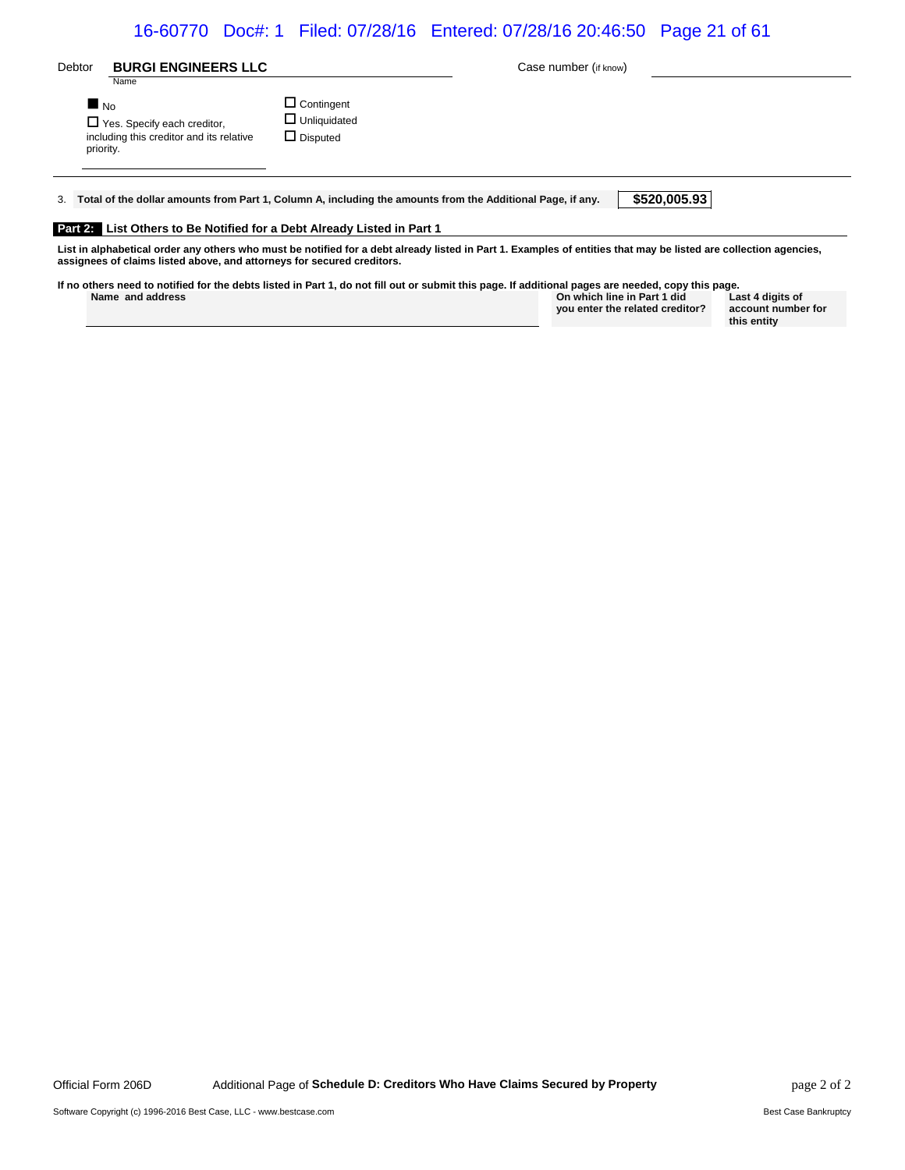# 16-60770 Doc#: 1 Filed: 07/28/16 Entered: 07/28/16 20:46:50 Page 21 of 61

| Debtor                         | <b>BURGI ENGINEERS LLC</b><br>Name                                             |                                                                                                               | Case number (if know)                                                                                                                                            |              |
|--------------------------------|--------------------------------------------------------------------------------|---------------------------------------------------------------------------------------------------------------|------------------------------------------------------------------------------------------------------------------------------------------------------------------|--------------|
| $\blacksquare$ No<br>priority. | $\Box$ Yes. Specify each creditor,<br>including this creditor and its relative | $\Box$ Contingent<br>$\Box$ Unliquidated<br>$\Box$ Disputed                                                   |                                                                                                                                                                  |              |
|                                |                                                                                | 3. Total of the dollar amounts from Part 1, Column A, including the amounts from the Additional Page, if any. |                                                                                                                                                                  | \$520,005.93 |
|                                |                                                                                | Part 2. List Others to Be Notified for a Debt Already Listed in Part 1                                        |                                                                                                                                                                  |              |
|                                | assignees of claims listed above, and attorneys for secured creditors.         |                                                                                                               | List in alphabetical order any others who must be notified for a debt already listed in Part 1. Examples of entities that may be listed are collection agencies, |              |

| If no others need to notified for the debts listed in Part 1, do not fill out or submit this page. If additional pages are needed, copy this page. |                                    |
|----------------------------------------------------------------------------------------------------------------------------------------------------|------------------------------------|
| Name and address                                                                                                                                   | On which line in Part 1 did<br>La: |

**you enter the related creditor?**

**Last 4 digits of account number for this entity**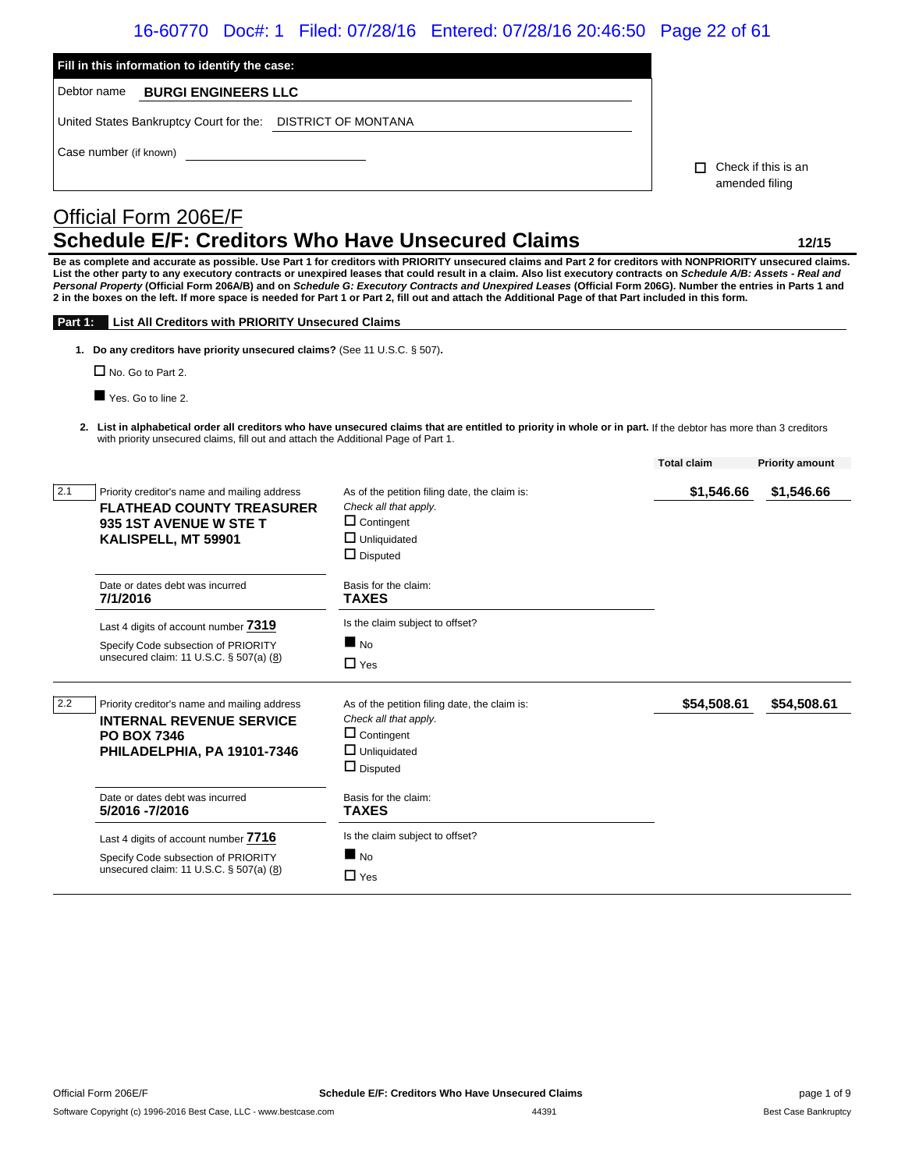# 16-60770 Doc#: 1 Filed: 07/28/16 Entered: 07/28/16 20:46:50 Page 22 of 61

| Fill in this information to identify the case:                                                                                                  |                                                                                                                                                                                                                                                                                                                                                                                                                                                                                                                                                                                                                                                             |                                              |                        |
|-------------------------------------------------------------------------------------------------------------------------------------------------|-------------------------------------------------------------------------------------------------------------------------------------------------------------------------------------------------------------------------------------------------------------------------------------------------------------------------------------------------------------------------------------------------------------------------------------------------------------------------------------------------------------------------------------------------------------------------------------------------------------------------------------------------------------|----------------------------------------------|------------------------|
| Debtor name<br><b>BURGI ENGINEERS LLC</b>                                                                                                       |                                                                                                                                                                                                                                                                                                                                                                                                                                                                                                                                                                                                                                                             |                                              |                        |
| United States Bankruptcy Court for the: DISTRICT OF MONTANA                                                                                     |                                                                                                                                                                                                                                                                                                                                                                                                                                                                                                                                                                                                                                                             |                                              |                        |
| Case number (if known)                                                                                                                          |                                                                                                                                                                                                                                                                                                                                                                                                                                                                                                                                                                                                                                                             | $\Box$ Check if this is an<br>amended filing |                        |
| Official Form 206E/F                                                                                                                            |                                                                                                                                                                                                                                                                                                                                                                                                                                                                                                                                                                                                                                                             |                                              |                        |
| <b>Schedule E/F: Creditors Who Have Unsecured Claims</b>                                                                                        |                                                                                                                                                                                                                                                                                                                                                                                                                                                                                                                                                                                                                                                             |                                              | 12/15                  |
|                                                                                                                                                 | Be as complete and accurate as possible. Use Part 1 for creditors with PRIORITY unsecured claims and Part 2 for creditors with NONPRIORITY unsecured claims.<br>List the other party to any executory contracts or unexpired leases that could result in a claim. Also list executory contracts on Schedule A/B: Assets - Real and<br>Personal Property (Official Form 206A/B) and on Schedule G: Executory Contracts and Unexpired Leases (Official Form 206G). Number the entries in Parts 1 and<br>2 in the boxes on the left. If more space is needed for Part 1 or Part 2, fill out and attach the Additional Page of that Part included in this form. |                                              |                        |
| List All Creditors with PRIORITY Unsecured Claims<br>Part 1:                                                                                    |                                                                                                                                                                                                                                                                                                                                                                                                                                                                                                                                                                                                                                                             |                                              |                        |
| 1. Do any creditors have priority unsecured claims? (See 11 U.S.C. § 507).<br>$\Box$ No. Go to Part 2.                                          |                                                                                                                                                                                                                                                                                                                                                                                                                                                                                                                                                                                                                                                             |                                              |                        |
| Yes. Go to line 2.                                                                                                                              |                                                                                                                                                                                                                                                                                                                                                                                                                                                                                                                                                                                                                                                             |                                              |                        |
|                                                                                                                                                 |                                                                                                                                                                                                                                                                                                                                                                                                                                                                                                                                                                                                                                                             |                                              |                        |
| with priority unsecured claims, fill out and attach the Additional Page of Part 1.                                                              | 2. List in alphabetical order all creditors who have unsecured claims that are entitled to priority in whole or in part. If the debtor has more than 3 creditors                                                                                                                                                                                                                                                                                                                                                                                                                                                                                            |                                              |                        |
|                                                                                                                                                 |                                                                                                                                                                                                                                                                                                                                                                                                                                                                                                                                                                                                                                                             | <b>Total claim</b>                           | <b>Priority amount</b> |
| 2.1<br>Priority creditor's name and mailing address<br><b>FLATHEAD COUNTY TREASURER</b><br><b>935 1ST AVENUE W STE T</b><br>KALISPELL, MT 59901 | As of the petition filing date, the claim is:<br>Check all that apply.<br>$\Box$ Contingent<br>$\Box$ Unliquidated<br>$\Box$ Disputed                                                                                                                                                                                                                                                                                                                                                                                                                                                                                                                       | \$1,546.66                                   | \$1,546.66             |
| Date or dates debt was incurred<br>7/1/2016                                                                                                     | Basis for the claim:<br><b>TAXES</b>                                                                                                                                                                                                                                                                                                                                                                                                                                                                                                                                                                                                                        |                                              |                        |
| Last 4 digits of account number 7319<br>Specify Code subsection of PRIORITY<br>unsecured claim: 11 U.S.C. § 507(a) (8)                          | Is the claim subject to offset?<br>$\blacksquare$ No<br>$\Box$ Yes                                                                                                                                                                                                                                                                                                                                                                                                                                                                                                                                                                                          |                                              |                        |
| 2.2<br>Priority creditor's name and mailing address<br><b>INTERNAL REVENUE SERVICE</b><br><b>PO BOX 7346</b><br>PHILADELPHIA, PA 19101-7346     | As of the petition filing date, the claim is:<br>Check all that apply.<br>$\Box$ Contingent<br>$\Box$ Unliquidated<br>$\Box$ Disputed                                                                                                                                                                                                                                                                                                                                                                                                                                                                                                                       | \$54,508.61                                  | \$54,508.61            |
| Date or dates debt was incurred<br>5/2016 - 7/2016                                                                                              | Basis for the claim:<br><b>TAXES</b>                                                                                                                                                                                                                                                                                                                                                                                                                                                                                                                                                                                                                        |                                              |                        |
| Last 4 digits of account number 7716<br>Specify Code subsection of PRIORITY<br>unsecured claim: 11 U.S.C. § 507(a) (8)                          | Is the claim subject to offset?<br>$\blacksquare$ No<br>$\Box$ Yes                                                                                                                                                                                                                                                                                                                                                                                                                                                                                                                                                                                          |                                              |                        |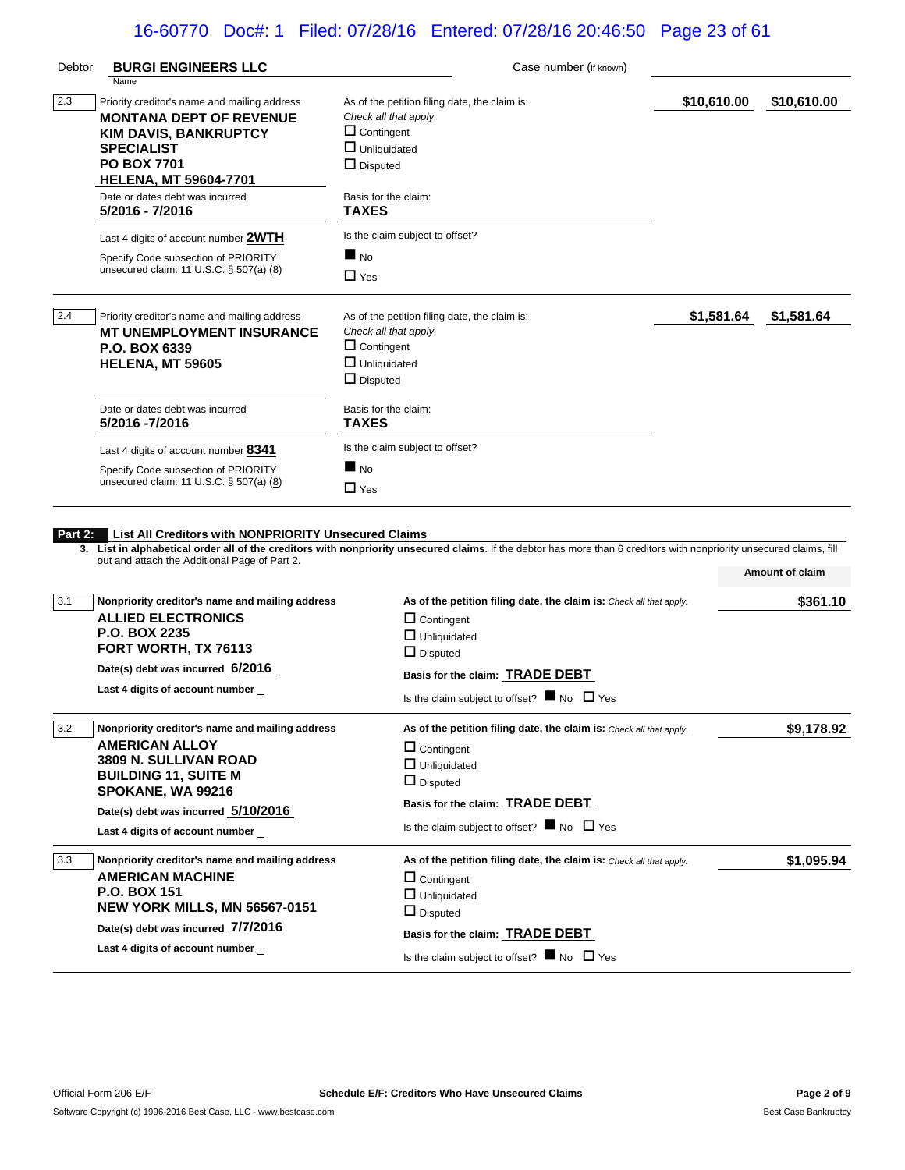# 16-60770 Doc#: 1 Filed: 07/28/16 Entered: 07/28/16 20:46:50 Page 23 of 61

| Debtor     | <b>BURGI ENGINEERS LLC</b>                                                     | Case number (if known)                                                                                                                                                |             |                          |  |
|------------|--------------------------------------------------------------------------------|-----------------------------------------------------------------------------------------------------------------------------------------------------------------------|-------------|--------------------------|--|
|            | Name                                                                           |                                                                                                                                                                       |             |                          |  |
| 2.3        | Priority creditor's name and mailing address                                   | As of the petition filing date, the claim is:                                                                                                                         | \$10,610.00 | \$10,610.00              |  |
|            | <b>MONTANA DEPT OF REVENUE</b>                                                 | Check all that apply.                                                                                                                                                 |             |                          |  |
|            | <b>KIM DAVIS, BANKRUPTCY</b>                                                   | $\Box$ Contingent                                                                                                                                                     |             |                          |  |
|            | <b>SPECIALIST</b>                                                              | $\Box$ Unliquidated                                                                                                                                                   |             |                          |  |
|            | <b>PO BOX 7701</b><br><b>HELENA, MT 59604-7701</b>                             | $\Box$ Disputed                                                                                                                                                       |             |                          |  |
|            | Date or dates debt was incurred<br>5/2016 - 7/2016                             | Basis for the claim:<br><b>TAXES</b>                                                                                                                                  |             |                          |  |
|            |                                                                                | Is the claim subject to offset?                                                                                                                                       |             |                          |  |
|            | Last 4 digits of account number 2WTH                                           | $\blacksquare$ No                                                                                                                                                     |             |                          |  |
|            | Specify Code subsection of PRIORITY<br>unsecured claim: 11 U.S.C. § 507(a) (8) | $\Box$ Yes                                                                                                                                                            |             |                          |  |
| 2.4        | Priority creditor's name and mailing address                                   | As of the petition filing date, the claim is:                                                                                                                         | \$1,581.64  | \$1,581.64               |  |
|            | <b>MT UNEMPLOYMENT INSURANCE</b>                                               | Check all that apply.                                                                                                                                                 |             |                          |  |
|            | P.O. BOX 6339                                                                  | $\Box$ Contingent                                                                                                                                                     |             |                          |  |
|            | <b>HELENA, MT 59605</b>                                                        | $\Box$ Unliquidated                                                                                                                                                   |             |                          |  |
|            |                                                                                | $\Box$ Disputed                                                                                                                                                       |             |                          |  |
|            | Date or dates debt was incurred                                                | Basis for the claim:                                                                                                                                                  |             |                          |  |
|            | 5/2016 -7/2016                                                                 | <b>TAXES</b>                                                                                                                                                          |             |                          |  |
|            | Last 4 digits of account number 8341                                           | Is the claim subject to offset?                                                                                                                                       |             |                          |  |
|            | Specify Code subsection of PRIORITY                                            | $\blacksquare$ No                                                                                                                                                     |             |                          |  |
|            | unsecured claim: 11 U.S.C. § 507(a) (8)                                        | $\Box$ Yes                                                                                                                                                            |             |                          |  |
|            | out and attach the Additional Page of Part 2.                                  | 3. List in alphabetical order all of the creditors with nonpriority unsecured claims. If the debtor has more than 6 creditors with nonpriority unsecured claims, fill |             | Amount of claim          |  |
| 3.1        | Nonpriority creditor's name and mailing address                                | As of the petition filing date, the claim is: Check all that apply.                                                                                                   |             | \$361.10                 |  |
|            | <b>ALLIED ELECTRONICS</b>                                                      | $\Box$ Contingent                                                                                                                                                     |             |                          |  |
|            | <b>P.O. BOX 2235</b>                                                           |                                                                                                                                                                       |             |                          |  |
|            | FORT WORTH, TX 76113                                                           | $\Box$ Unliquidated                                                                                                                                                   |             |                          |  |
|            | Date(s) debt was incurred 6/2016                                               | $\Box$ Disputed                                                                                                                                                       |             |                          |  |
|            | Last 4 digits of account number                                                | Basis for the claim: TRADE DEBT                                                                                                                                       |             |                          |  |
|            |                                                                                | Is the claim subject to offset? $\blacksquare$ No $\Box$ Yes                                                                                                          |             |                          |  |
|            |                                                                                |                                                                                                                                                                       |             |                          |  |
|            | Nonpriority creditor's name and mailing address                                | As of the petition filing date, the claim is: Check all that apply.                                                                                                   |             |                          |  |
|            | <b>AMERICAN ALLOY</b>                                                          | $\Box$ Contingent                                                                                                                                                     |             |                          |  |
|            | 3809 N. SULLIVAN ROAD                                                          | $\Box$ Unliquidated                                                                                                                                                   |             |                          |  |
|            | <b>BUILDING 11, SUITE M</b>                                                    | $\Box$ Disputed                                                                                                                                                       |             |                          |  |
|            | SPOKANE, WA 99216                                                              | Basis for the claim: <b>TRADE DEBT</b>                                                                                                                                |             |                          |  |
|            | Date(s) debt was incurred 5/10/2016                                            | Is the claim subject to offset? $\blacksquare$ No $\Box$ Yes                                                                                                          |             |                          |  |
|            | Last 4 digits of account number                                                |                                                                                                                                                                       |             |                          |  |
|            | Nonpriority creditor's name and mailing address                                | As of the petition filing date, the claim is: Check all that apply.                                                                                                   |             |                          |  |
|            | <b>AMERICAN MACHINE</b>                                                        | $\Box$ Contingent                                                                                                                                                     |             |                          |  |
|            | <b>P.O. BOX 151</b>                                                            | $\Box$ Unliquidated                                                                                                                                                   |             |                          |  |
|            | <b>NEW YORK MILLS, MN 56567-0151</b>                                           | $\Box$ Disputed                                                                                                                                                       |             |                          |  |
| 3.2<br>3.3 | Date(s) debt was incurred 7/7/2016<br>Last 4 digits of account number          | Basis for the claim: TRADE DEBT                                                                                                                                       |             | \$9,178.92<br>\$1,095.94 |  |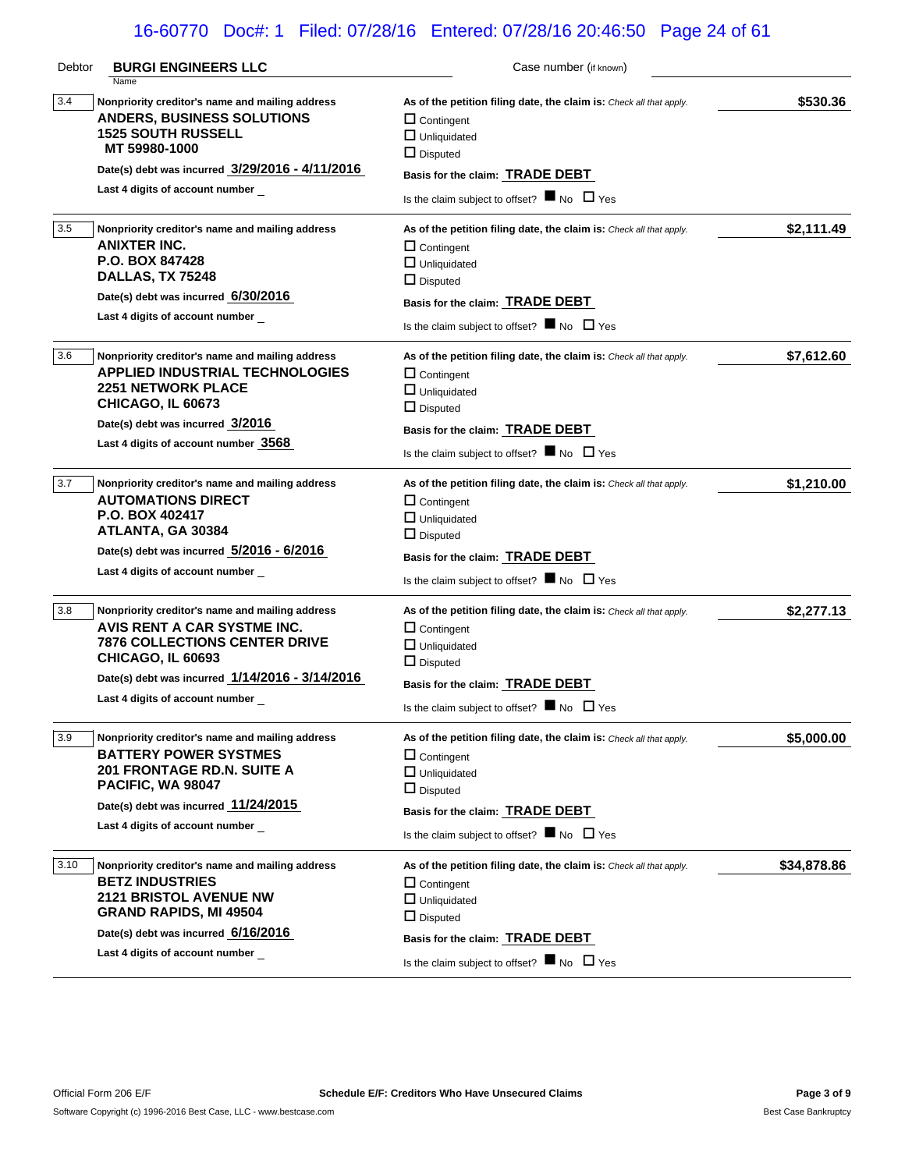# 16-60770 Doc#: 1 Filed: 07/28/16 Entered: 07/28/16 20:46:50 Page 24 of 61

| Debtor | <b>BURGI ENGINEERS LLC</b>                                                                                                                                                                                                               | Case number (if known)                                                                                                                                                                                                                       |             |
|--------|------------------------------------------------------------------------------------------------------------------------------------------------------------------------------------------------------------------------------------------|----------------------------------------------------------------------------------------------------------------------------------------------------------------------------------------------------------------------------------------------|-------------|
| 3.4    | Name<br>Nonpriority creditor's name and mailing address<br><b>ANDERS, BUSINESS SOLUTIONS</b><br><b>1525 SOUTH RUSSELL</b><br>MT 59980-1000<br>Date(s) debt was incurred 3/29/2016 - 4/11/2016<br>Last 4 digits of account number         | As of the petition filing date, the claim is: Check all that apply.<br>$\Box$ Contingent<br>$\Box$ Unliquidated<br>$\Box$ Disputed<br>Basis for the claim: TRADE DEBT<br>Is the claim subject to offset? $\blacksquare$ No $\Box$ Yes        | \$530.36    |
| 3.5    | Nonpriority creditor's name and mailing address<br><b>ANIXTER INC.</b><br>P.O. BOX 847428<br>DALLAS, TX 75248<br>Date(s) debt was incurred 6/30/2016<br>Last 4 digits of account number                                                  | As of the petition filing date, the claim is: Check all that apply.<br>$\Box$ Contingent<br>$\Box$ Unliquidated<br>$\Box$ Disputed<br>Basis for the claim: <b>TRADE DEBT</b><br>Is the claim subject to offset? $\blacksquare$ No $\Box$ Yes | \$2,111.49  |
| 3.6    | Nonpriority creditor's name and mailing address<br><b>APPLIED INDUSTRIAL TECHNOLOGIES</b><br><b>2251 NETWORK PLACE</b><br>CHICAGO, IL 60673<br>Date(s) debt was incurred 3/2016<br>Last 4 digits of account number 3568                  | As of the petition filing date, the claim is: Check all that apply.<br>$\Box$ Contingent<br>$\Box$ Unliquidated<br>$\Box$ Disputed<br>Basis for the claim: TRADE DEBT<br>Is the claim subject to offset? $\blacksquare$ No $\Box$ Yes        | \$7,612.60  |
| 3.7    | Nonpriority creditor's name and mailing address<br><b>AUTOMATIONS DIRECT</b><br>P.O. BOX 402417<br>ATLANTA, GA 30384<br>Date(s) debt was incurred 5/2016 - 6/2016<br>Last 4 digits of account number                                     | As of the petition filing date, the claim is: Check all that apply.<br>$\Box$ Contingent<br>$\Box$ Unliquidated<br>$\Box$ Disputed<br>Basis for the claim: <b>TRADE DEBT</b><br>Is the claim subject to offset? $\blacksquare$ No $\Box$ Yes | \$1,210.00  |
| 3.8    | Nonpriority creditor's name and mailing address<br>AVIS RENT A CAR SYSTME INC.<br><b>7876 COLLECTIONS CENTER DRIVE</b><br><b>CHICAGO, IL 60693</b><br>Date(s) debt was incurred 1/14/2016 - 3/14/2016<br>Last 4 digits of account number | As of the petition filing date, the claim is: Check all that apply.<br>$\Box$ Contingent<br>$\Box$ Unliquidated<br>$\Box$ Disputed<br>Basis for the claim: TRADE DEBT<br>Is the claim subject to offset? $\blacksquare$ No $\Box$ Yes        | \$2,277.13  |
| 3.9    | Nonpriority creditor's name and mailing address<br><b>BATTERY POWER SYSTMES</b><br><b>201 FRONTAGE RD.N. SUITE A</b><br>PACIFIC, WA 98047<br>Date(s) debt was incurred 11/24/2015<br>Last 4 digits of account number                     | As of the petition filing date, the claim is: Check all that apply.<br>$\Box$ Contingent<br>$\Box$ Unliquidated<br>$\Box$ Disputed<br>Basis for the claim: TRADE DEBT<br>Is the claim subject to offset? $\blacksquare$ No $\Box$ Yes        | \$5,000.00  |
| 3.10   | Nonpriority creditor's name and mailing address<br><b>BETZ INDUSTRIES</b><br><b>2121 BRISTOL AVENUE NW</b><br><b>GRAND RAPIDS, MI 49504</b><br>Date(s) debt was incurred 6/16/2016<br>Last 4 digits of account number                    | As of the petition filing date, the claim is: Check all that apply.<br>$\Box$ Contingent<br>$\Box$ Unliquidated<br>$\Box$ Disputed<br>Basis for the claim: TRADE DEBT<br>Is the claim subject to offset? $\blacksquare$ No $\Box$ Yes        | \$34,878.86 |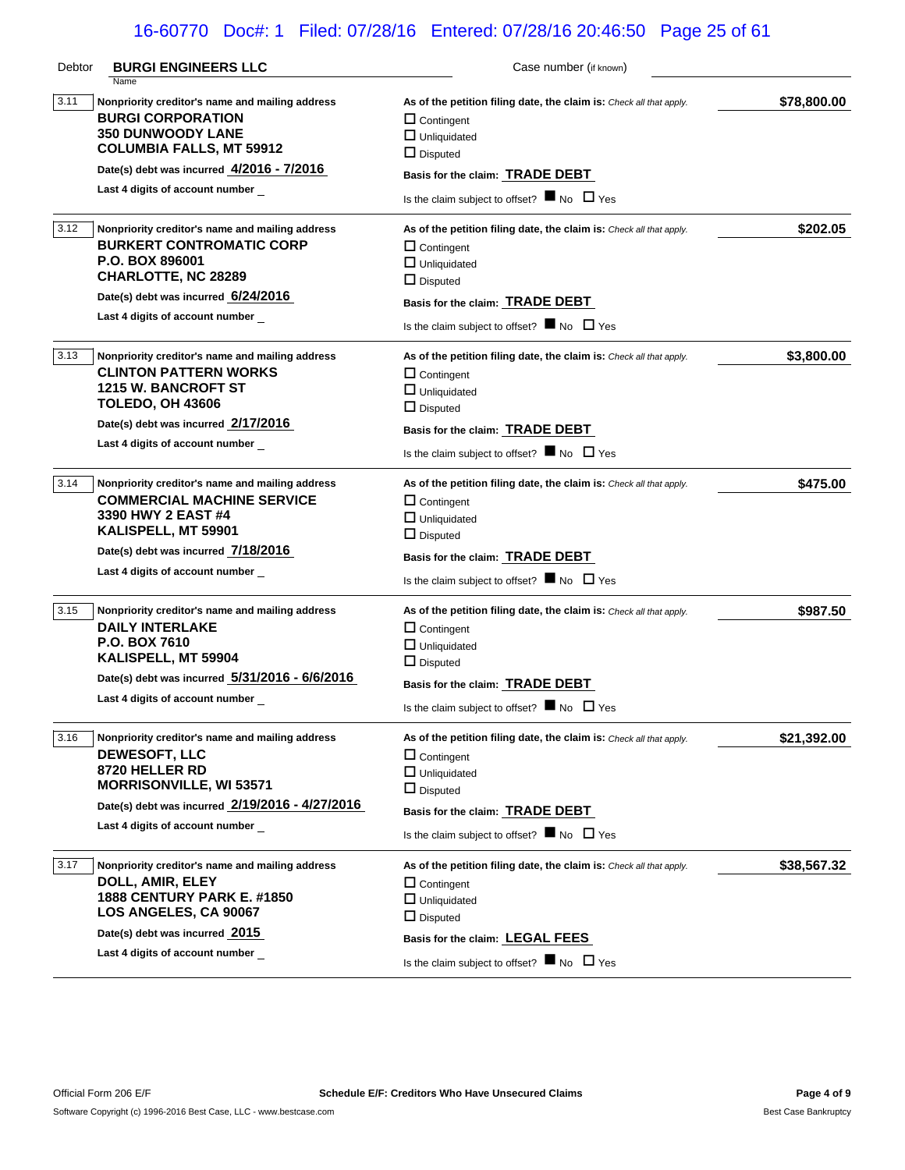# 16-60770 Doc#: 1 Filed: 07/28/16 Entered: 07/28/16 20:46:50 Page 25 of 61

| Debtor | <b>BURGI ENGINEERS LLC</b>                                                                                                                                                                                                         | Case number (if known)                                                                                                                                                                                                                       |             |
|--------|------------------------------------------------------------------------------------------------------------------------------------------------------------------------------------------------------------------------------------|----------------------------------------------------------------------------------------------------------------------------------------------------------------------------------------------------------------------------------------------|-------------|
| 3.11   | Name<br>Nonpriority creditor's name and mailing address<br><b>BURGI CORPORATION</b><br><b>350 DUNWOODY LANE</b><br><b>COLUMBIA FALLS, MT 59912</b><br>Date(s) debt was incurred 4/2016 - 7/2016<br>Last 4 digits of account number | As of the petition filing date, the claim is: Check all that apply.<br>$\Box$ Contingent<br>$\Box$ Unliquidated<br>$\Box$ Disputed<br>Basis for the claim: TRADE DEBT<br>Is the claim subject to offset? $\blacksquare$ No $\Box$ Yes        | \$78,800.00 |
| 3.12   | Nonpriority creditor's name and mailing address<br><b>BURKERT CONTROMATIC CORP</b><br>P.O. BOX 896001<br><b>CHARLOTTE, NC 28289</b><br>Date(s) debt was incurred 6/24/2016<br>Last 4 digits of account number                      | As of the petition filing date, the claim is: Check all that apply.<br>$\Box$ Contingent<br>$\Box$ Unliquidated<br>$\Box$ Disputed<br>Basis for the claim: TRADE DEBT<br>Is the claim subject to offset? $\blacksquare$ No $\Box$ Yes        | \$202.05    |
| 3.13   | Nonpriority creditor's name and mailing address<br><b>CLINTON PATTERN WORKS</b><br><b>1215 W. BANCROFT ST</b><br><b>TOLEDO, OH 43606</b><br>Date(s) debt was incurred 2/17/2016<br>Last 4 digits of account number                 | As of the petition filing date, the claim is: Check all that apply.<br>$\Box$ Contingent<br>$\Box$ Unliquidated<br>$\Box$ Disputed<br>Basis for the claim: TRADE DEBT<br>Is the claim subject to offset? $\blacksquare$ No $\Box$ Yes        | \$3,800.00  |
| 3.14   | Nonpriority creditor's name and mailing address<br><b>COMMERCIAL MACHINE SERVICE</b><br>3390 HWY 2 EAST #4<br>KALISPELL, MT 59901<br>Date(s) debt was incurred 7/18/2016<br>Last 4 digits of account number                        | As of the petition filing date, the claim is: Check all that apply.<br>$\Box$ Contingent<br>$\Box$ Unliquidated<br>$\Box$ Disputed<br>Basis for the claim: <b>TRADE DEBT</b><br>Is the claim subject to offset? $\blacksquare$ No $\Box$ Yes | \$475.00    |
| 3.15   | Nonpriority creditor's name and mailing address<br><b>DAILY INTERLAKE</b><br>P.O. BOX 7610<br>KALISPELL, MT 59904<br>Date(s) debt was incurred 5/31/2016 - 6/6/2016<br>Last 4 digits of account number                             | As of the petition filing date, the claim is: Check all that apply.<br>$\Box$ Contingent<br>$\Box$ Unliquidated<br>$\Box$ Disputed<br>Basis for the claim: TRADE DEBT<br>Is the claim subject to offset? $\blacksquare$ No $\Box$ Yes        | \$987.50    |
| 3.16   | Nonpriority creditor's name and mailing address<br><b>DEWESOFT, LLC</b><br>8720 HELLER RD<br>MORRISONVILLE, WI 53571<br>Date(s) debt was incurred 2/19/2016 - 4/27/2016<br>Last 4 digits of account number                         | As of the petition filing date, the claim is: Check all that apply.<br>$\Box$ Contingent<br>$\Box$ Unliquidated<br>$\Box$ Disputed<br>Basis for the claim: TRADE DEBT<br>Is the claim subject to offset? $\blacksquare$ No $\Box$ Yes        | \$21,392.00 |
| 3.17   | Nonpriority creditor's name and mailing address<br>DOLL, AMIR, ELEY<br><b>1888 CENTURY PARK E. #1850</b><br>LOS ANGELES, CA 90067<br>Date(s) debt was incurred 2015<br>Last 4 digits of account number                             | As of the petition filing date, the claim is: Check all that apply.<br>$\Box$ Contingent<br>$\Box$ Unliquidated<br>$\Box$ Disputed<br>Basis for the claim: LEGAL FEES<br>Is the claim subject to offset? $\blacksquare$ No $\Box$ Yes        | \$38,567.32 |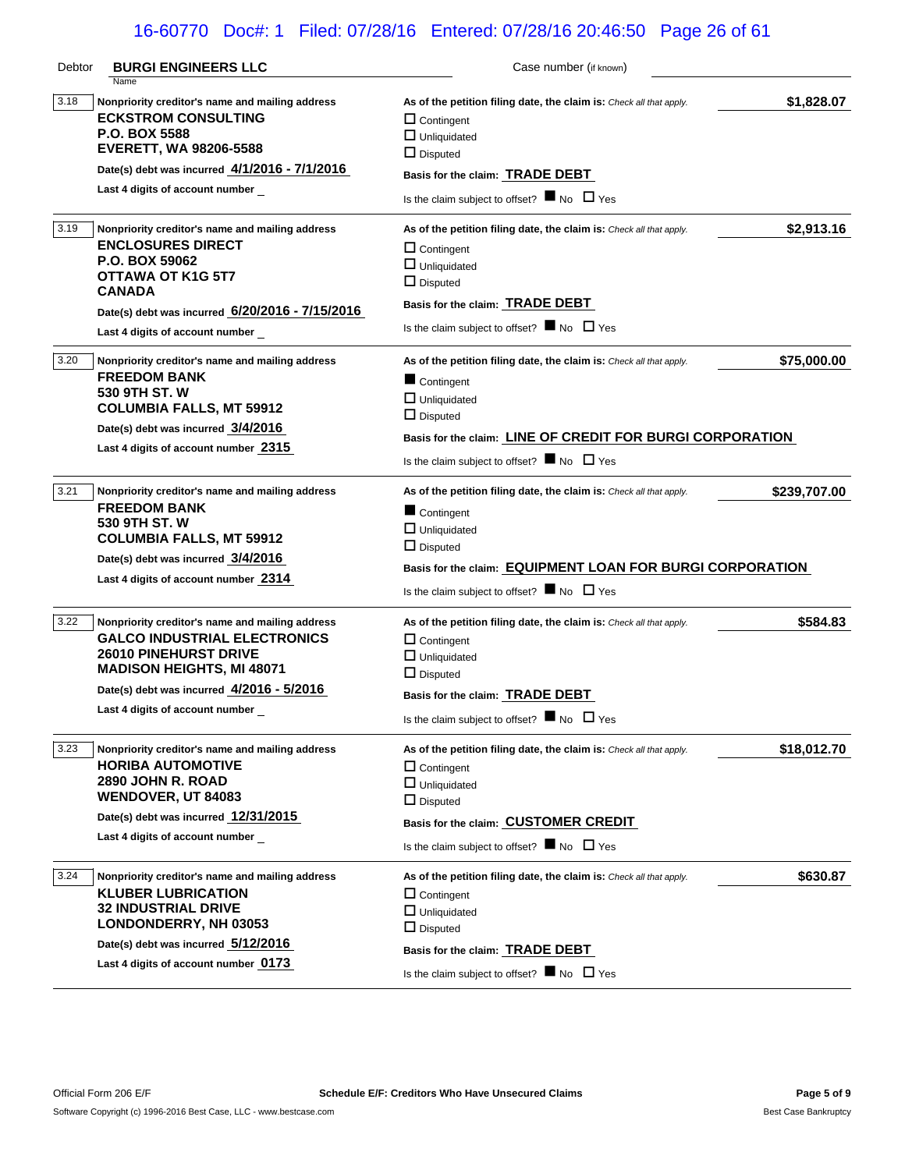# 16-60770 Doc#: 1 Filed: 07/28/16 Entered: 07/28/16 20:46:50 Page 26 of 61

| Debtor | <b>BURGI ENGINEERS LLC</b>                              | Case number (if known)                                              |              |
|--------|---------------------------------------------------------|---------------------------------------------------------------------|--------------|
| 3.18   | Name<br>Nonpriority creditor's name and mailing address |                                                                     |              |
|        | <b>ECKSTROM CONSULTING</b>                              | As of the petition filing date, the claim is: Check all that apply. | \$1,828.07   |
|        | P.O. BOX 5588                                           | $\Box$ Contingent<br>$\Box$ Unliquidated                            |              |
|        | <b>EVERETT, WA 98206-5588</b>                           | $\Box$ Disputed                                                     |              |
|        | Date(s) debt was incurred 4/1/2016 - 7/1/2016           |                                                                     |              |
|        | Last 4 digits of account number                         | Basis for the claim: TRADE DEBT                                     |              |
|        |                                                         | Is the claim subject to offset? $\blacksquare$ No $\Box$ Yes        |              |
| 3.19   | Nonpriority creditor's name and mailing address         | As of the petition filing date, the claim is: Check all that apply. | \$2,913.16   |
|        | <b>ENCLOSURES DIRECT</b>                                | $\Box$ Contingent                                                   |              |
|        | P.O. BOX 59062                                          | $\Box$ Unliquidated                                                 |              |
|        | <b>OTTAWA OT K1G 5T7</b>                                | $\Box$ Disputed                                                     |              |
|        | <b>CANADA</b>                                           | Basis for the claim: TRADE DEBT                                     |              |
|        | Date(s) debt was incurred 6/20/2016 - 7/15/2016         | Is the claim subject to offset? $\blacksquare$ No $\Box$ Yes        |              |
|        | Last 4 digits of account number                         |                                                                     |              |
| 3.20   | Nonpriority creditor's name and mailing address         | As of the petition filing date, the claim is: Check all that apply. | \$75,000.00  |
|        | <b>FREEDOM BANK</b>                                     | Contingent                                                          |              |
|        | 530 9TH ST. W                                           | $\Box$ Unliquidated                                                 |              |
|        | <b>COLUMBIA FALLS, MT 59912</b>                         | $\Box$ Disputed                                                     |              |
|        | Date(s) debt was incurred 3/4/2016                      | Basis for the claim: LINE OF CREDIT FOR BURGI CORPORATION           |              |
|        | Last 4 digits of account number 2315                    | Is the claim subject to offset? $\blacksquare$ No $\Box$ Yes        |              |
| 3.21   | Nonpriority creditor's name and mailing address         | As of the petition filing date, the claim is: Check all that apply. | \$239,707.00 |
|        | <b>FREEDOM BANK</b>                                     |                                                                     |              |
|        | 530 9TH ST. W                                           | Contingent                                                          |              |
|        | <b>COLUMBIA FALLS, MT 59912</b>                         | $\Box$ Unliquidated                                                 |              |
|        | Date(s) debt was incurred 3/4/2016                      | $\Box$ Disputed                                                     |              |
|        | Last 4 digits of account number 2314                    | Basis for the claim: EQUIPMENT LOAN FOR BURGI CORPORATION           |              |
|        |                                                         | Is the claim subject to offset? $\blacksquare$ No $\Box$ Yes        |              |
| 3.22   | Nonpriority creditor's name and mailing address         | As of the petition filing date, the claim is: Check all that apply. | \$584.83     |
|        | <b>GALCO INDUSTRIAL ELECTRONICS</b>                     | $\Box$ Contingent                                                   |              |
|        | <b>26010 PINEHURST DRIVE</b>                            | $\Box$ Unliquidated                                                 |              |
|        | <b>MADISON HEIGHTS, MI 48071</b>                        | $\Box$ Disputed                                                     |              |
|        | Date(s) debt was incurred 4/2016 - 5/2016               | Basis for the claim: TRADE DEBT                                     |              |
|        | Last 4 digits of account number                         | Is the claim subject to offset? $\blacksquare$ No $\Box$ Yes        |              |
|        |                                                         |                                                                     |              |
| 3.23   | Nonpriority creditor's name and mailing address         | As of the petition filing date, the claim is: Check all that apply. | \$18,012.70  |
|        | <b>HORIBA AUTOMOTIVE</b>                                | $\Box$ Contingent                                                   |              |
|        | <b>2890 JOHN R. ROAD</b>                                | $\Box$ Unliquidated                                                 |              |
|        | <b>WENDOVER, UT 84083</b>                               | $\Box$ Disputed                                                     |              |
|        | Date(s) debt was incurred 12/31/2015                    | Basis for the claim: CUSTOMER CREDIT                                |              |
|        | Last 4 digits of account number                         | Is the claim subject to offset? $\blacksquare$ No $\Box$ Yes        |              |
| 3.24   | Nonpriority creditor's name and mailing address         | As of the petition filing date, the claim is: Check all that apply. | \$630.87     |
|        | <b>KLUBER LUBRICATION</b>                               | $\Box$ Contingent                                                   |              |
|        | <b>32 INDUSTRIAL DRIVE</b>                              | $\Box$ Unliquidated                                                 |              |
|        | LONDONDERRY, NH 03053                                   | $\Box$ Disputed                                                     |              |
|        | Date(s) debt was incurred 5/12/2016                     | Basis for the claim: TRADE DEBT                                     |              |
|        | Last 4 digits of account number 0173                    | Is the claim subject to offset? $\blacksquare$ No $\Box$ Yes        |              |
|        |                                                         |                                                                     |              |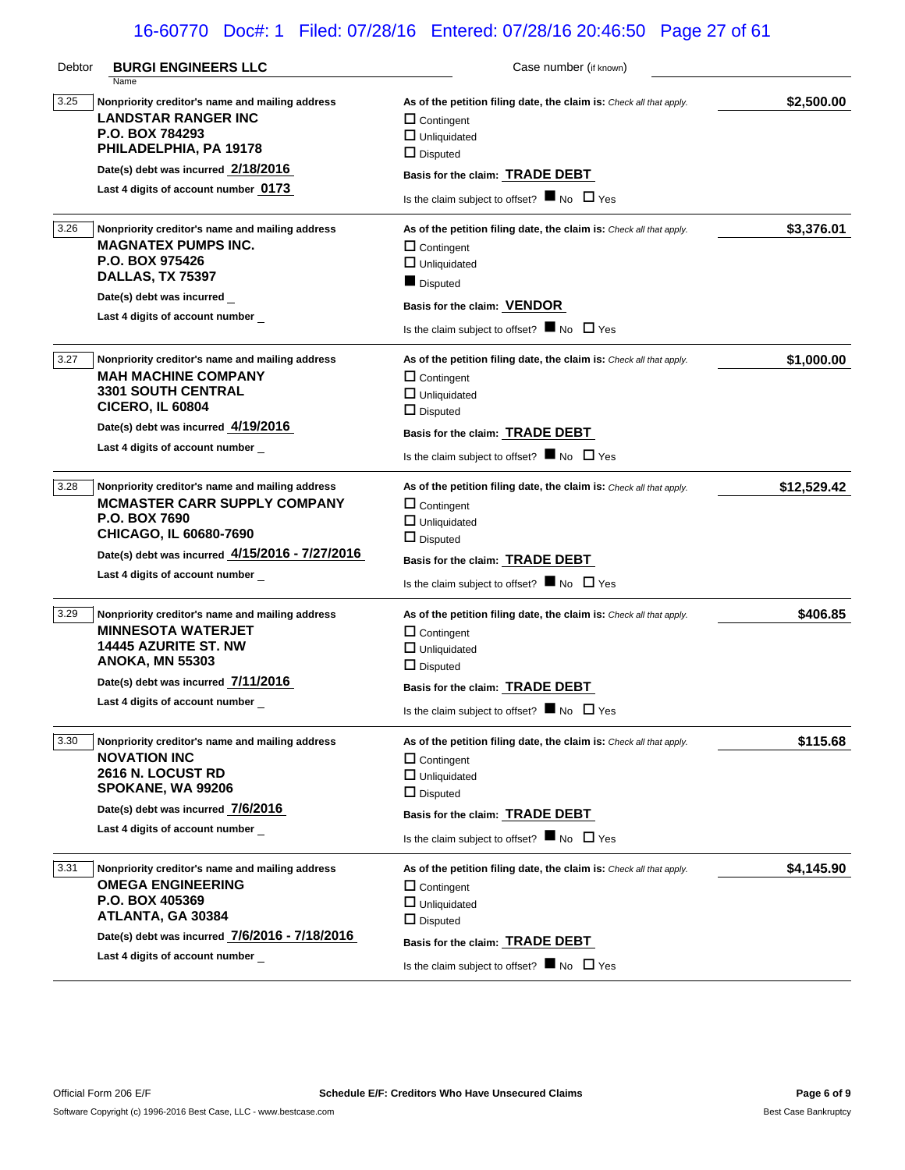# 16-60770 Doc#: 1 Filed: 07/28/16 Entered: 07/28/16 20:46:50 Page 27 of 61

| Debtor | <b>BURGI ENGINEERS LLC</b>                                                                                                                                                                                                     | Case number (if known)                                                                                                                                                                                                                       |             |
|--------|--------------------------------------------------------------------------------------------------------------------------------------------------------------------------------------------------------------------------------|----------------------------------------------------------------------------------------------------------------------------------------------------------------------------------------------------------------------------------------------|-------------|
| 3.25   | Name<br>Nonpriority creditor's name and mailing address<br><b>LANDSTAR RANGER INC</b><br>P.O. BOX 784293<br>PHILADELPHIA, PA 19178<br>Date(s) debt was incurred 2/18/2016<br>Last 4 digits of account number 0173              | As of the petition filing date, the claim is: Check all that apply.<br>$\Box$ Contingent<br>$\Box$ Unliquidated<br>$\Box$ Disputed<br>Basis for the claim: TRADE DEBT                                                                        | \$2,500.00  |
|        |                                                                                                                                                                                                                                | Is the claim subject to offset? $\blacksquare$ No $\Box$ Yes                                                                                                                                                                                 |             |
| 3.26   | Nonpriority creditor's name and mailing address<br><b>MAGNATEX PUMPS INC.</b><br>P.O. BOX 975426<br><b>DALLAS, TX 75397</b><br>Date(s) debt was incurred<br>Last 4 digits of account number                                    | As of the petition filing date, the claim is: Check all that apply.<br>$\Box$ Contingent<br>$\Box$ Unliquidated<br>Disputed<br>Basis for the claim: VENDOR<br>Is the claim subject to offset? $\blacksquare$ No $\Box$ Yes                   | \$3,376.01  |
| 3.27   | Nonpriority creditor's name and mailing address<br><b>MAH MACHINE COMPANY</b><br><b>3301 SOUTH CENTRAL</b><br><b>CICERO, IL 60804</b><br>Date(s) debt was incurred 4/19/2016<br>Last 4 digits of account number                | As of the petition filing date, the claim is: Check all that apply.<br>$\Box$ Contingent<br>$\Box$ Unliquidated<br>$\Box$ Disputed<br>Basis for the claim: <b>TRADE DEBT</b><br>Is the claim subject to offset? $\blacksquare$ No $\Box$ Yes | \$1,000.00  |
| 3.28   | Nonpriority creditor's name and mailing address<br><b>MCMASTER CARR SUPPLY COMPANY</b><br><b>P.O. BOX 7690</b><br>CHICAGO, IL 60680-7690<br>Date(s) debt was incurred 4/15/2016 - 7/27/2016<br>Last 4 digits of account number | As of the petition filing date, the claim is: Check all that apply.<br>$\Box$ Contingent<br>$\Box$ Unliquidated<br>$\Box$ Disputed<br>Basis for the claim: <b>TRADE DEBT</b><br>Is the claim subject to offset? $\blacksquare$ No $\Box$ Yes | \$12,529.42 |
| 3.29   | Nonpriority creditor's name and mailing address<br><b>MINNESOTA WATERJET</b><br><b>14445 AZURITE ST. NW</b><br><b>ANOKA, MN 55303</b><br>Date(s) debt was incurred 7/11/2016<br>Last 4 digits of account number                | As of the petition filing date, the claim is: Check all that apply.<br>$\Box$ Contingent<br>$\Box$ Unliquidated<br>$\Box$ Disputed<br>Basis for the claim: TRADE DEBT<br>Is the claim subject to offset? $\blacksquare$ No $\Box$ Yes        | \$406.85    |
| 3.30   | Nonpriority creditor's name and mailing address<br><b>NOVATION INC</b><br><b>2616 N. LOCUST RD</b><br>SPOKANE, WA 99206<br>Date(s) debt was incurred 7/6/2016<br>Last 4 digits of account number                               | As of the petition filing date, the claim is: Check all that apply.<br>$\Box$ Contingent<br>$\Box$ Unliquidated<br>$\Box$ Disputed<br>Basis for the claim: <b>TRADE DEBT</b><br>Is the claim subject to offset? $\blacksquare$ No $\Box$ Yes | \$115.68    |
| 3.31   | Nonpriority creditor's name and mailing address<br><b>OMEGA ENGINEERING</b><br>P.O. BOX 405369<br>ATLANTA, GA 30384<br>Date(s) debt was incurred 7/6/2016 - 7/18/2016<br>Last 4 digits of account number                       | As of the petition filing date, the claim is: Check all that apply.<br>$\Box$ Contingent<br>$\Box$ Unliquidated<br>$\Box$ Disputed<br>Basis for the claim: <b>TRADE DEBT</b><br>Is the claim subject to offset? $\blacksquare$ No $\Box$ Yes | \$4,145.90  |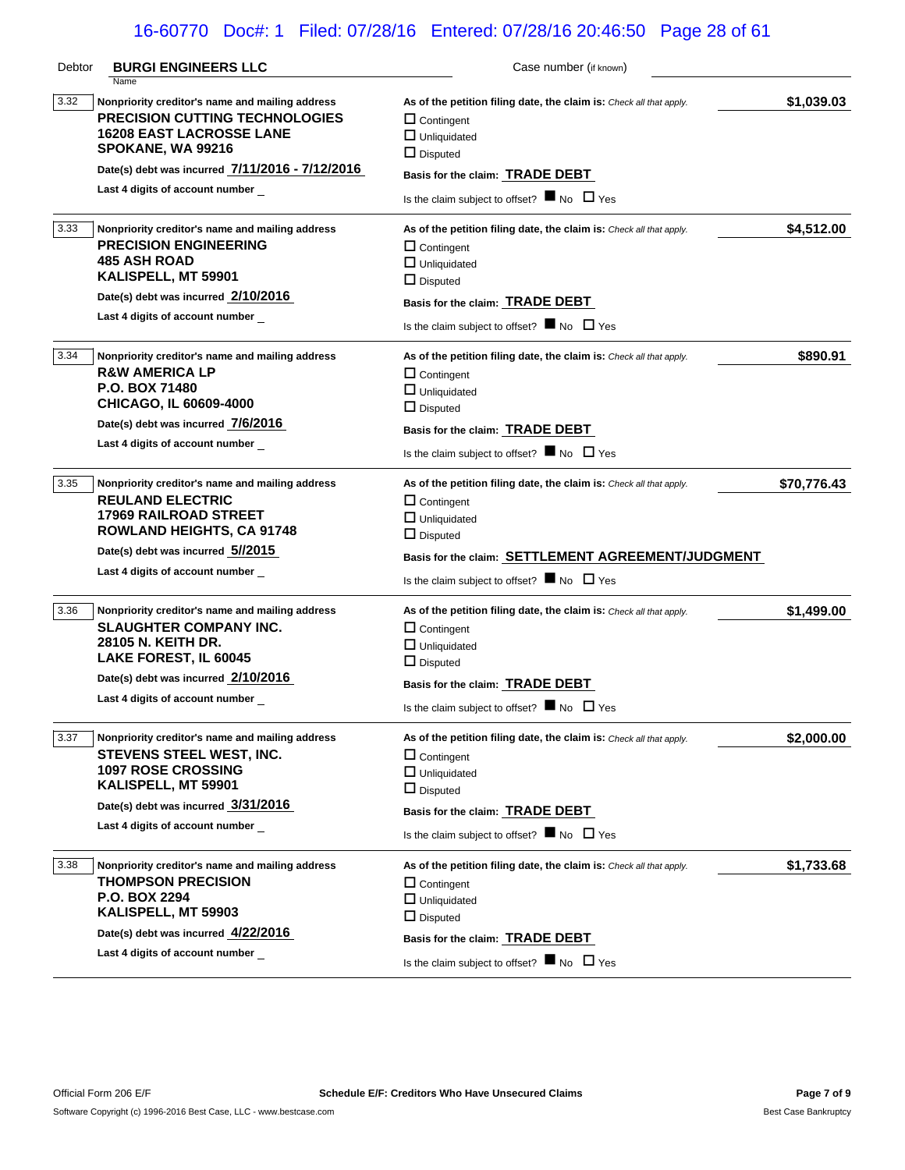# 16-60770 Doc#: 1 Filed: 07/28/16 Entered: 07/28/16 20:46:50 Page 28 of 61

| Debtor | <b>BURGI ENGINEERS LLC</b>                                                                                                                                                                                                                     | Case number (if known)                                                                                                                                                                                                                                   |             |
|--------|------------------------------------------------------------------------------------------------------------------------------------------------------------------------------------------------------------------------------------------------|----------------------------------------------------------------------------------------------------------------------------------------------------------------------------------------------------------------------------------------------------------|-------------|
| 3.32   | Name<br>Nonpriority creditor's name and mailing address<br><b>PRECISION CUTTING TECHNOLOGIES</b><br><b>16208 EAST LACROSSE LANE</b><br>SPOKANE, WA 99216<br>Date(s) debt was incurred 7/11/2016 - 7/12/2016<br>Last 4 digits of account number | As of the petition filing date, the claim is: Check all that apply.<br>$\Box$ Contingent<br>$\Box$ Unliquidated<br>$\Box$ Disputed<br>Basis for the claim: TRADE DEBT<br>Is the claim subject to offset? $\blacksquare$ No $\Box$ Yes                    | \$1,039.03  |
| 3.33   | Nonpriority creditor's name and mailing address<br><b>PRECISION ENGINEERING</b><br><b>485 ASH ROAD</b><br>KALISPELL, MT 59901<br>Date(s) debt was incurred 2/10/2016<br>Last 4 digits of account number                                        | As of the petition filing date, the claim is: Check all that apply.<br>$\Box$ Contingent<br>$\Box$ Unliquidated<br>$\Box$ Disputed<br>Basis for the claim: TRADE DEBT<br>Is the claim subject to offset? $\blacksquare$ No $\Box$ Yes                    | \$4,512.00  |
| 3.34   | Nonpriority creditor's name and mailing address<br><b>R&amp;W AMERICA LP</b><br><b>P.O. BOX 71480</b><br>CHICAGO, IL 60609-4000<br>Date(s) debt was incurred 7/6/2016<br>Last 4 digits of account number                                       | As of the petition filing date, the claim is: Check all that apply.<br>$\Box$ Contingent<br>$\Box$ Unliquidated<br>$\Box$ Disputed<br>Basis for the claim: TRADE DEBT<br>Is the claim subject to offset? $\blacksquare$ No $\Box$ Yes                    | \$890.91    |
| 3.35   | Nonpriority creditor's name and mailing address<br><b>REULAND ELECTRIC</b><br><b>17969 RAILROAD STREET</b><br><b>ROWLAND HEIGHTS, CA 91748</b><br>Date(s) debt was incurred 5//2015<br>Last 4 digits of account number                         | As of the petition filing date, the claim is: Check all that apply.<br>$\Box$ Contingent<br>$\Box$ Unliquidated<br>$\Box$ Disputed<br>Basis for the claim: SETTLEMENT AGREEMENT/JUDGMENT<br>Is the claim subject to offset? $\blacksquare$ No $\Box$ Yes | \$70,776.43 |
| 3.36   | Nonpriority creditor's name and mailing address<br><b>SLAUGHTER COMPANY INC.</b><br>28105 N. KEITH DR.<br>LAKE FOREST, IL 60045<br>Date(s) debt was incurred 2/10/2016<br>Last 4 digits of account number                                      | As of the petition filing date, the claim is: Check all that apply.<br>$\Box$ Contingent<br>$\Box$ Unliquidated<br>$\Box$ Disputed<br>Basis for the claim: TRADE DEBT<br>Is the claim subject to offset? $\blacksquare$ No $\Box$ Yes                    | \$1,499.00  |
| 3.37   | Nonpriority creditor's name and mailing address<br>STEVENS STEEL WEST, INC.<br><b>1097 ROSE CROSSING</b><br>KALISPELL, MT 59901<br>Date(s) debt was incurred 3/31/2016<br>Last 4 digits of account number                                      | As of the petition filing date, the claim is: Check all that apply.<br>$\Box$ Contingent<br>$\Box$ Unliquidated<br>$\Box$ Disputed<br>Basis for the claim: TRADE DEBT<br>Is the claim subject to offset? $\blacksquare$ No $\Box$ Yes                    | \$2,000.00  |
| 3.38   | Nonpriority creditor's name and mailing address<br><b>THOMPSON PRECISION</b><br><b>P.O. BOX 2294</b><br>KALISPELL, MT 59903<br>Date(s) debt was incurred 4/22/2016<br>Last 4 digits of account number                                          | As of the petition filing date, the claim is: Check all that apply.<br>$\Box$ Contingent<br>$\Box$ Unliquidated<br>$\Box$ Disputed<br>Basis for the claim: TRADE DEBT<br>Is the claim subject to offset? $\blacksquare$ No $\Box$ Yes                    | \$1,733.68  |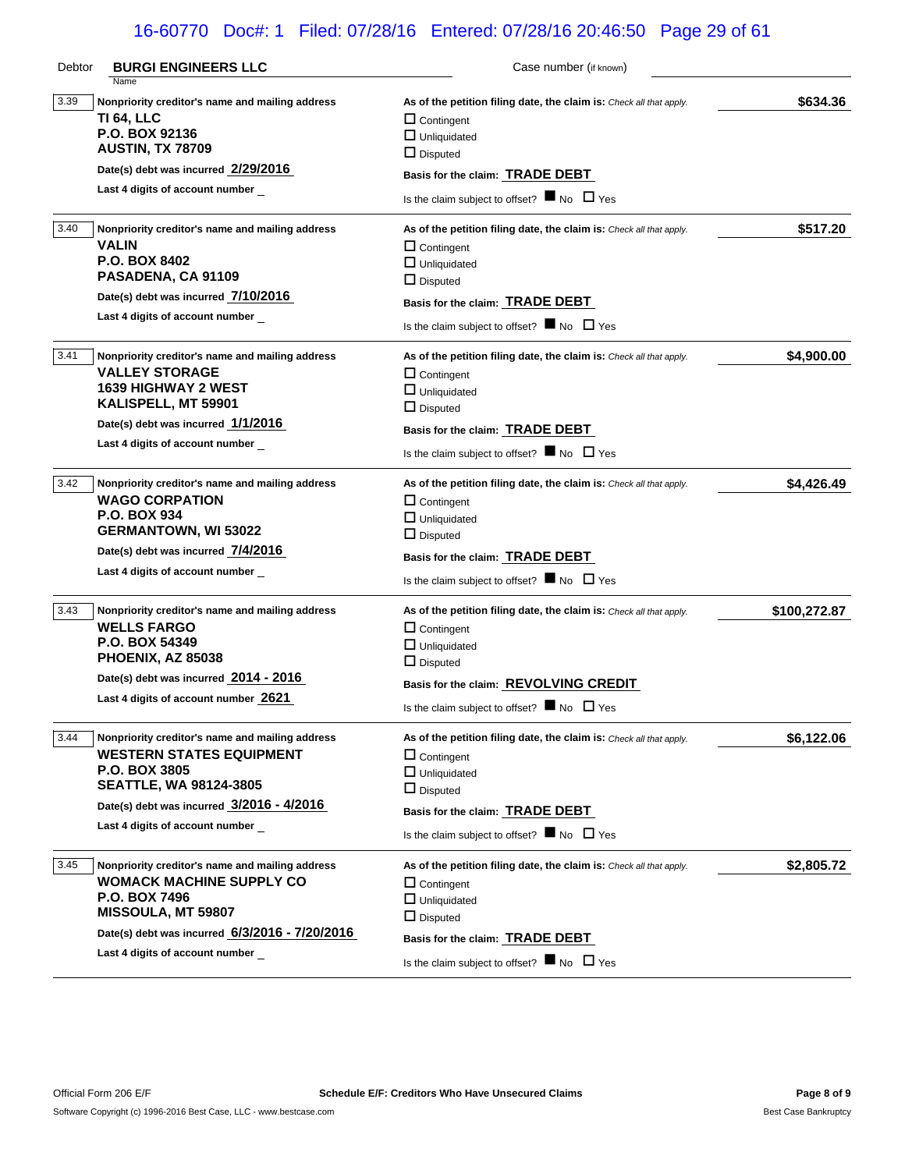# 16-60770 Doc#: 1 Filed: 07/28/16 Entered: 07/28/16 20:46:50 Page 29 of 61

| Debtor | <b>BURGI ENGINEERS LLC</b><br>Name                                                                                                                                                                                            | Case number (if known)                                                                                                                                                                                                                       |              |
|--------|-------------------------------------------------------------------------------------------------------------------------------------------------------------------------------------------------------------------------------|----------------------------------------------------------------------------------------------------------------------------------------------------------------------------------------------------------------------------------------------|--------------|
| 3.39   | Nonpriority creditor's name and mailing address<br>TI 64, LLC<br>P.O. BOX 92136<br><b>AUSTIN, TX 78709</b><br>Date(s) debt was incurred 2/29/2016                                                                             | As of the petition filing date, the claim is: Check all that apply.<br>$\Box$ Contingent<br>$\Box$ Unliquidated<br>$\Box$ Disputed<br>Basis for the claim: TRADE DEBT                                                                        | \$634.36     |
|        | Last 4 digits of account number                                                                                                                                                                                               | Is the claim subject to offset? $\blacksquare$ No $\Box$ Yes                                                                                                                                                                                 |              |
| 3.40   | Nonpriority creditor's name and mailing address<br><b>VALIN</b><br>P.O. BOX 8402<br>PASADENA, CA 91109<br>Date(s) debt was incurred 7/10/2016<br>Last 4 digits of account number                                              | As of the petition filing date, the claim is: Check all that apply.<br>$\Box$ Contingent<br>$\Box$ Unliquidated<br>$\Box$ Disputed<br>Basis for the claim: TRADE DEBT<br>Is the claim subject to offset? $\blacksquare$ No $\Box$ Yes        | \$517.20     |
| 3.41   | Nonpriority creditor's name and mailing address<br><b>VALLEY STORAGE</b><br><b>1639 HIGHWAY 2 WEST</b><br>KALISPELL, MT 59901<br>Date(s) debt was incurred 1/1/2016<br>Last 4 digits of account number                        | As of the petition filing date, the claim is: Check all that apply.<br>$\Box$ Contingent<br>$\Box$ Unliquidated<br>$\Box$ Disputed<br>Basis for the claim: <b>TRADE DEBT</b><br>Is the claim subject to offset? $\blacksquare$ No $\Box$ Yes | \$4,900.00   |
| 3.42   | Nonpriority creditor's name and mailing address<br><b>WAGO CORPATION</b><br><b>P.O. BOX 934</b><br><b>GERMANTOWN, WI 53022</b><br>Date(s) debt was incurred 7/4/2016<br>Last 4 digits of account number                       | As of the petition filing date, the claim is: Check all that apply.<br>$\Box$ Contingent<br>$\Box$ Unliquidated<br>$\Box$ Disputed<br>Basis for the claim: <b>TRADE DEBT</b><br>Is the claim subject to offset? $\blacksquare$ No $\Box$ Yes | \$4,426.49   |
| 3.43   | Nonpriority creditor's name and mailing address<br><b>WELLS FARGO</b><br>P.O. BOX 54349<br>PHOENIX, AZ 85038<br>Date(s) debt was incurred 2014 - 2016<br>Last 4 digits of account number 2621                                 | As of the petition filing date, the claim is: Check all that apply.<br>$\Box$ Contingent<br>$\Box$ Unliquidated<br>$\Box$ Disputed<br>Basis for the claim: REVOLVING CREDIT<br>Is the claim subject to offset? $\blacksquare$ No $\Box$ Yes  | \$100,272.87 |
| 3.44   | Nonpriority creditor's name and mailing address<br><b>WESTERN STATES EQUIPMENT</b><br><b>P.O. BOX 3805</b><br><b>SEATTLE, WA 98124-3805</b><br>Date(s) debt was incurred $3/2016 - 4/2016$<br>Last 4 digits of account number | As of the petition filing date, the claim is: Check all that apply.<br>$\Box$ Contingent<br>$\Box$ Unliquidated<br>$\Box$ Disputed<br>Basis for the claim: TRADE DEBT<br>Is the claim subject to offset? $\blacksquare$ No $\Box$ Yes        | \$6,122.06   |
| 3.45   | Nonpriority creditor's name and mailing address<br><b>WOMACK MACHINE SUPPLY CO</b><br><b>P.O. BOX 7496</b><br>MISSOULA, MT 59807<br>Date(s) debt was incurred 6/3/2016 - 7/20/2016<br>Last 4 digits of account number         | As of the petition filing date, the claim is: Check all that apply.<br>$\Box$ Contingent<br>$\Box$ Unliquidated<br>$\Box$ Disputed<br>Basis for the claim: TRADE DEBT<br>Is the claim subject to offset? $\blacksquare$ No $\Box$ Yes        | \$2,805.72   |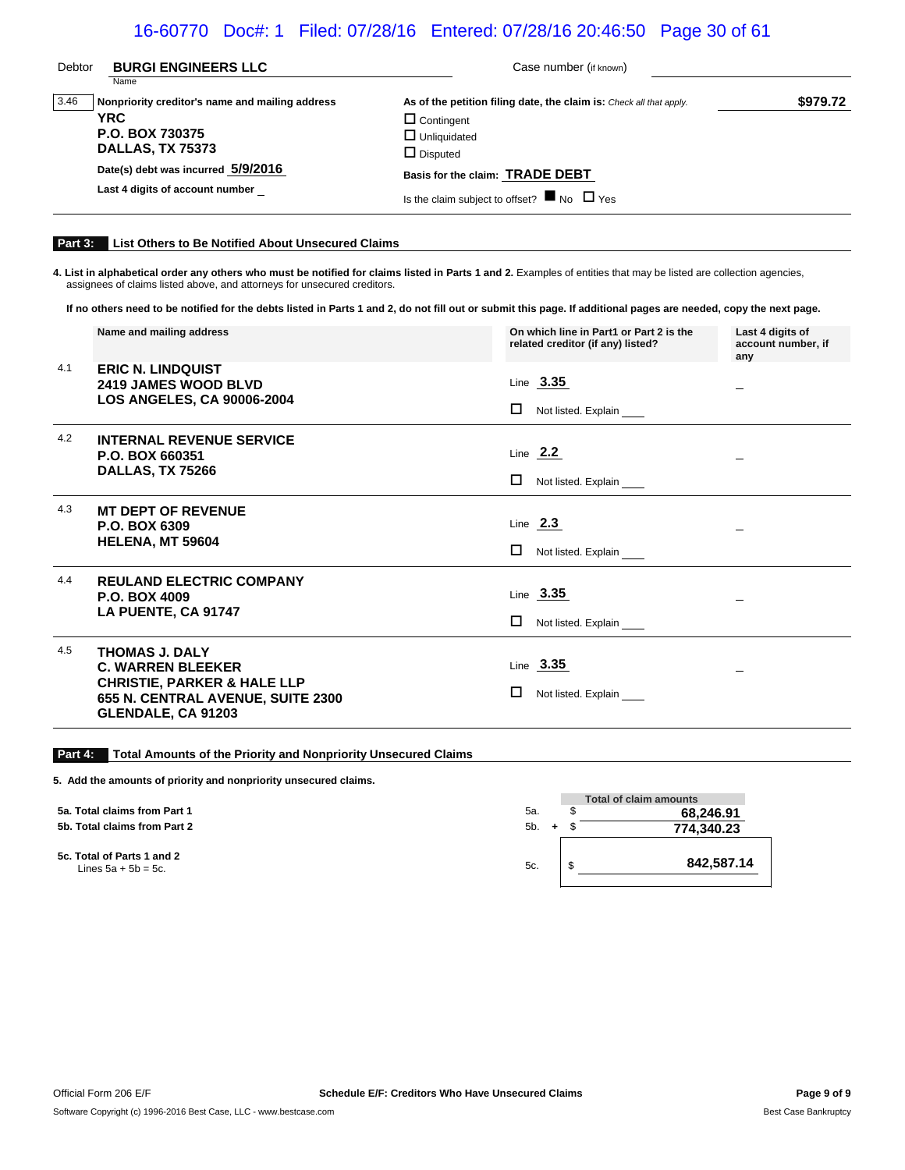## 16-60770 Doc#: 1 Filed: 07/28/16 Entered: 07/28/16 20:46:50 Page 30 of 61

| Debtor | <b>BURGI ENGINEERS LLC</b><br>Name                                                                                                                                                   | Case number (if known)                                                                                                                                                                                                                |          |
|--------|--------------------------------------------------------------------------------------------------------------------------------------------------------------------------------------|---------------------------------------------------------------------------------------------------------------------------------------------------------------------------------------------------------------------------------------|----------|
| 3.46   | Nonpriority creditor's name and mailing address<br><b>YRC</b><br>P.O. BOX 730375<br><b>DALLAS, TX 75373</b><br>Date(s) debt was incurred 5/9/2016<br>Last 4 digits of account number | As of the petition filing date, the claim is: Check all that apply.<br>$\Box$ Contingent<br>$\Box$ Unliquidated<br>$\Box$ Disputed<br>Basis for the claim: TRADE DEBT<br>Is the claim subject to offset? $\blacksquare$ No $\Box$ Yes | \$979.72 |
|        |                                                                                                                                                                                      |                                                                                                                                                                                                                                       |          |

### **Part 3: List Others to Be Notified About Unsecured Claims**

4. List in alphabetical order any others who must be notified for claims listed in Parts 1 and 2. Examples of entities that may be listed are collection agencies, assignees of claims listed above, and attorneys for unsecured creditors.

**If no others need to be notified for the debts listed in Parts 1 and 2, do not fill out or submit this page. If additional pages are needed, copy the next page.**

|     | Name and mailing address                                                                                                                               | On which line in Part1 or Part 2 is the<br>related creditor (if any) listed? | Last 4 digits of<br>account number, if<br>any |
|-----|--------------------------------------------------------------------------------------------------------------------------------------------------------|------------------------------------------------------------------------------|-----------------------------------------------|
| 4.1 | <b>ERIC N. LINDQUIST</b><br><b>2419 JAMES WOOD BLVD</b><br><b>LOS ANGELES, CA 90006-2004</b>                                                           | Line $3.35$<br>□<br>Not listed. Explain                                      |                                               |
| 4.2 | <b>INTERNAL REVENUE SERVICE</b><br>P.O. BOX 660351<br>DALLAS, TX 75266                                                                                 | Line $2.2$<br>ш<br>Not listed. Explain                                       | $\qquad \qquad \longleftarrow$                |
| 4.3 | <b>MT DEPT OF REVENUE</b><br>P.O. BOX 6309<br><b>HELENA, MT 59604</b>                                                                                  | Line $2.3$<br>□<br>Not listed. Explain                                       |                                               |
| 4.4 | <b>REULAND ELECTRIC COMPANY</b><br><b>P.O. BOX 4009</b><br>LA PUENTE, CA 91747                                                                         | Line $3.35$<br>□<br>Not listed. Explain                                      |                                               |
| 4.5 | <b>THOMAS J. DALY</b><br><b>C. WARREN BLEEKER</b><br><b>CHRISTIE, PARKER &amp; HALE LLP</b><br>655 N. CENTRAL AVENUE, SUITE 2300<br>GLENDALE, CA 91203 | Line 3.35<br>□<br>Not listed. Explain                                        |                                               |

### **Part 4: Total Amounts of the Priority and Nonpriority Unsecured Claims**

**5. Add the amounts of priority and nonpriority unsecured claims.**

- **5a. Total claims from Part 1**
- **5b. Total claims from Part 2**
- **5c. Total of Parts 1 and 2**

|                                                         |                     | <b>Total of claim amounts</b> |
|---------------------------------------------------------|---------------------|-------------------------------|
| <b>Fotal claims from Part 1</b>                         | 5a.                 | 68,246.91                     |
| <b>Total claims from Part 2</b>                         | 5b.<br>$\leftarrow$ | 774,340.23                    |
| <b>Fotal of Parts 1 and 2</b><br>Lines $5a + 5b = 5c$ . | 5c.                 | 842.587.14                    |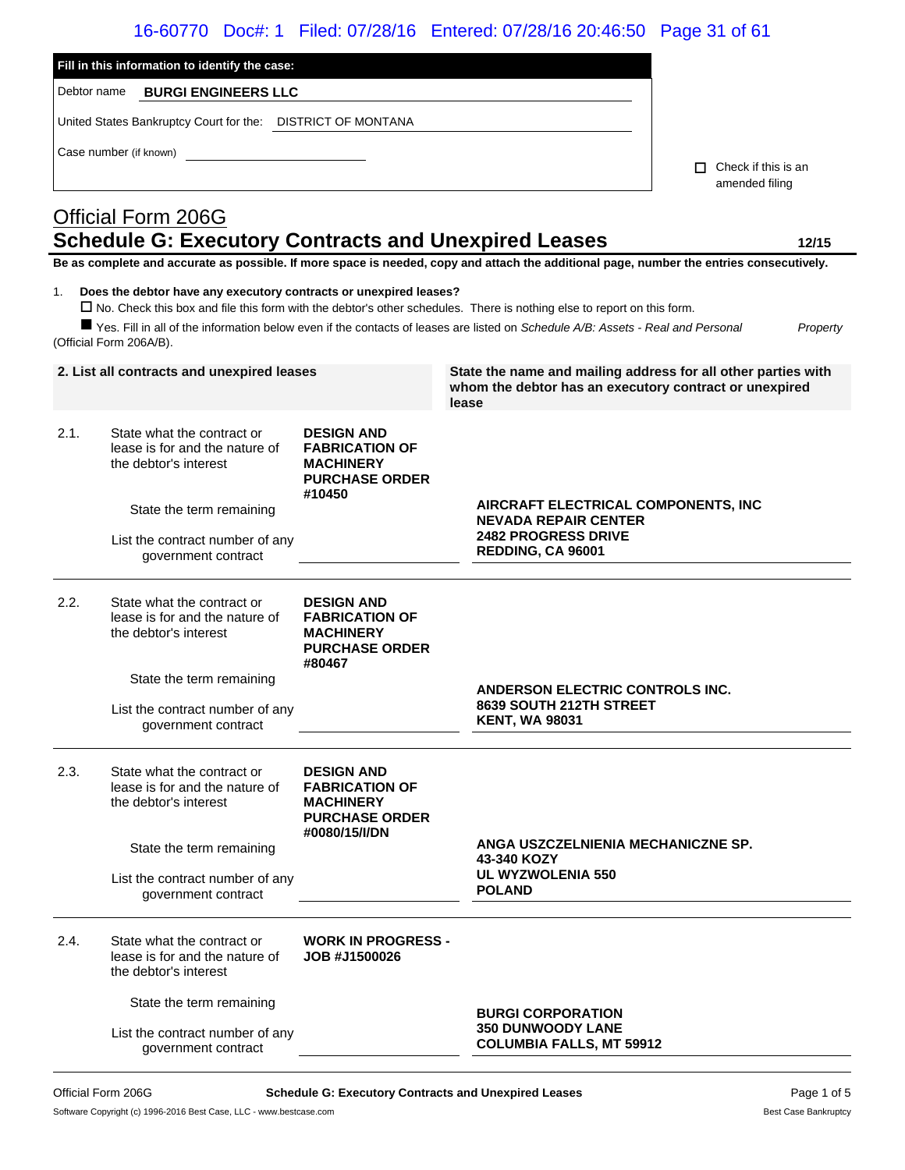|             |                                                                                              |                                                                                                          | 16-60770 Doc#: 1 Filed: 07/28/16 Entered: 07/28/16 20:46:50 Page 31 of 61                                                                                                                                                                                     |                            |
|-------------|----------------------------------------------------------------------------------------------|----------------------------------------------------------------------------------------------------------|---------------------------------------------------------------------------------------------------------------------------------------------------------------------------------------------------------------------------------------------------------------|----------------------------|
|             | Fill in this information to identify the case:                                               |                                                                                                          |                                                                                                                                                                                                                                                               |                            |
| Debtor name | <b>BURGI ENGINEERS LLC</b>                                                                   |                                                                                                          |                                                                                                                                                                                                                                                               |                            |
|             | United States Bankruptcy Court for the: DISTRICT OF MONTANA                                  |                                                                                                          |                                                                                                                                                                                                                                                               |                            |
|             | Case number (if known)                                                                       |                                                                                                          |                                                                                                                                                                                                                                                               | $\Box$ Check if this is an |
|             |                                                                                              |                                                                                                          |                                                                                                                                                                                                                                                               | amended filing             |
|             | <b>Official Form 206G</b>                                                                    |                                                                                                          |                                                                                                                                                                                                                                                               |                            |
|             | <b>Schedule G: Executory Contracts and Unexpired Leases</b>                                  |                                                                                                          | Be as complete and accurate as possible. If more space is needed, copy and attach the additional page, number the entries consecutively.                                                                                                                      | 12/15                      |
| 1.          | Does the debtor have any executory contracts or unexpired leases?<br>(Official Form 206A/B). |                                                                                                          | □ No. Check this box and file this form with the debtor's other schedules. There is nothing else to report on this form.<br>■ Yes. Fill in all of the information below even if the contacts of leases are listed on Schedule A/B: Assets - Real and Personal | Property                   |
|             | 2. List all contracts and unexpired leases                                                   |                                                                                                          | State the name and mailing address for all other parties with<br>whom the debtor has an executory contract or unexpired<br>lease                                                                                                                              |                            |
| 2.1.        | State what the contract or<br>lease is for and the nature of<br>the debtor's interest        | <b>DESIGN AND</b><br><b>FABRICATION OF</b><br><b>MACHINERY</b><br><b>PURCHASE ORDER</b><br>#10450        |                                                                                                                                                                                                                                                               |                            |
|             | State the term remaining                                                                     |                                                                                                          | AIRCRAFT ELECTRICAL COMPONENTS, INC<br><b>NEVADA REPAIR CENTER</b>                                                                                                                                                                                            |                            |
|             | List the contract number of any<br>government contract                                       |                                                                                                          | <b>2482 PROGRESS DRIVE</b><br>REDDING, CA 96001                                                                                                                                                                                                               |                            |
| 2.2.        | State what the contract or<br>lease is for and the nature of<br>the debtor's interest        | <b>DESIGN AND</b><br><b>FABRICATION OF</b><br><b>MACHINERY</b><br><b>PURCHASE ORDER</b><br>#80467        |                                                                                                                                                                                                                                                               |                            |
|             | State the term remaining                                                                     |                                                                                                          | <b>ANDERSON ELECTRIC CONTROLS INC.</b>                                                                                                                                                                                                                        |                            |
|             | List the contract number of any<br>government contract                                       |                                                                                                          | 8639 SOUTH 212TH STREET<br><b>KENT, WA 98031</b>                                                                                                                                                                                                              |                            |
| 2.3.        | State what the contract or<br>lease is for and the nature of<br>the debtor's interest        | <b>DESIGN AND</b><br><b>FABRICATION OF</b><br><b>MACHINERY</b><br><b>PURCHASE ORDER</b><br>#0080/15/I/DN |                                                                                                                                                                                                                                                               |                            |
|             | State the term remaining                                                                     |                                                                                                          | ANGA USZCZELNIENIA MECHANICZNE SP.<br>43-340 KOZY                                                                                                                                                                                                             |                            |
|             | List the contract number of any<br>government contract                                       |                                                                                                          | <b>UL WYZWOLENIA 550</b><br><b>POLAND</b>                                                                                                                                                                                                                     |                            |
| 2.4.        | State what the contract or<br>lease is for and the nature of<br>the debtor's interest        | <b>WORK IN PROGRESS -</b><br>JOB #J1500026                                                               |                                                                                                                                                                                                                                                               |                            |
|             | State the term remaining                                                                     |                                                                                                          |                                                                                                                                                                                                                                                               |                            |

List the contract number of any government contract

**BURGI CORPORATION 350 DUNWOODY LANE COLUMBIA FALLS, MT 59912**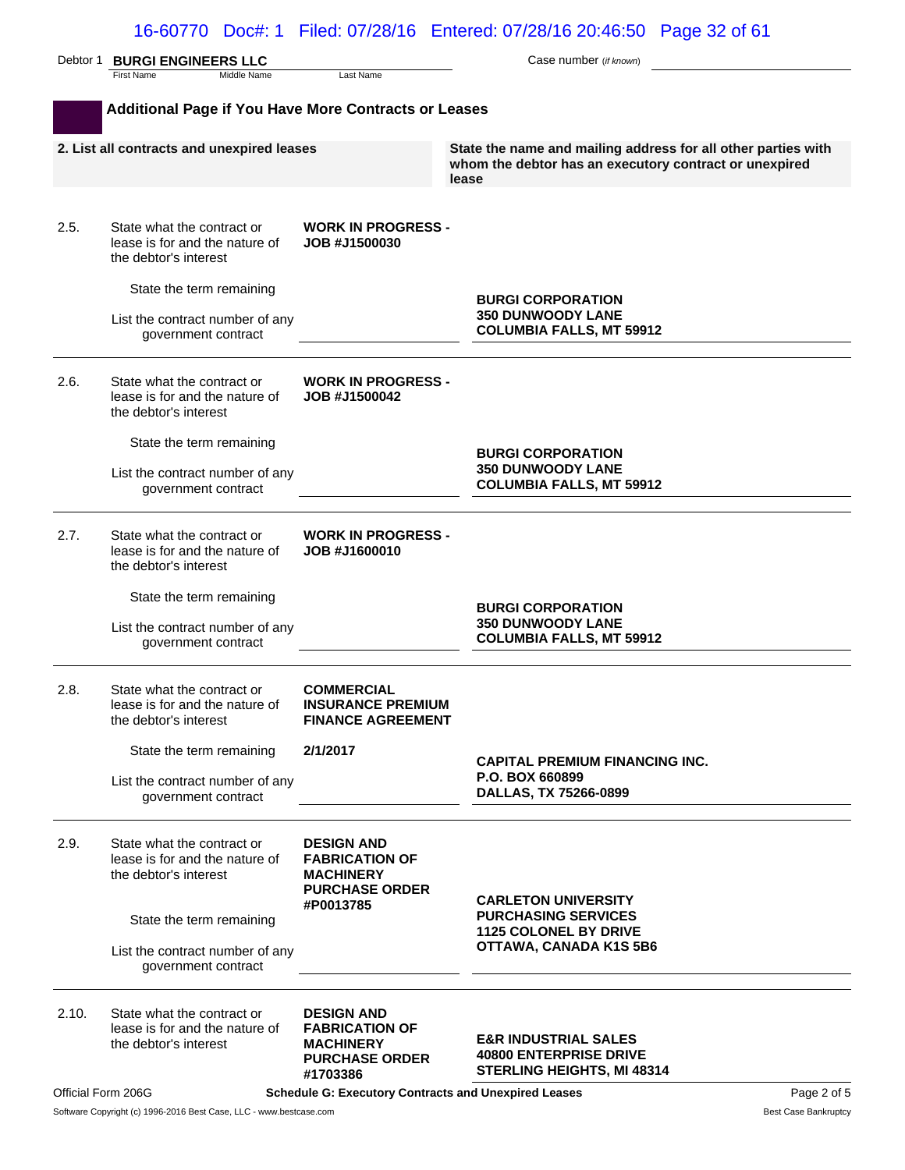| Debtor 1 | <b>BURGI ENGINEERS LLC</b>                                                            |                                                                                                      | Case number (if known)                                                                                                           |
|----------|---------------------------------------------------------------------------------------|------------------------------------------------------------------------------------------------------|----------------------------------------------------------------------------------------------------------------------------------|
|          | First Name<br>Middle Name                                                             | Last Name                                                                                            |                                                                                                                                  |
|          | <b>Additional Page if You Have More Contracts or Leases</b>                           |                                                                                                      |                                                                                                                                  |
|          | 2. List all contracts and unexpired leases                                            |                                                                                                      | State the name and mailing address for all other parties with<br>whom the debtor has an executory contract or unexpired<br>lease |
| 2.5.     | State what the contract or<br>lease is for and the nature of<br>the debtor's interest | <b>WORK IN PROGRESS -</b><br>JOB #J1500030                                                           |                                                                                                                                  |
|          | State the term remaining<br>List the contract number of any<br>government contract    |                                                                                                      | <b>BURGI CORPORATION</b><br><b>350 DUNWOODY LANE</b><br><b>COLUMBIA FALLS, MT 59912</b>                                          |
| 2.6.     | State what the contract or<br>lease is for and the nature of<br>the debtor's interest | <b>WORK IN PROGRESS -</b><br>JOB #J1500042                                                           |                                                                                                                                  |
|          | State the term remaining<br>List the contract number of any<br>government contract    |                                                                                                      | <b>BURGI CORPORATION</b><br><b>350 DUNWOODY LANE</b><br><b>COLUMBIA FALLS, MT 59912</b>                                          |
| 2.7.     | State what the contract or<br>lease is for and the nature of<br>the debtor's interest | <b>WORK IN PROGRESS -</b><br>JOB #J1600010                                                           |                                                                                                                                  |
|          | State the term remaining<br>List the contract number of any<br>government contract    |                                                                                                      | <b>BURGI CORPORATION</b><br><b>350 DUNWOODY LANE</b><br><b>COLUMBIA FALLS, MT 59912</b>                                          |
| 2.8.     | State what the contract or<br>lease is for and the nature of<br>the debtor's interest | <b>COMMERCIAL</b><br><b>INSURANCE PREMIUM</b><br><b>FINANCE AGREEMENT</b>                            |                                                                                                                                  |
|          | State the term remaining<br>List the contract number of any<br>government contract    | 2/1/2017                                                                                             | <b>CAPITAL PREMIUM FINANCING INC.</b><br>P.O. BOX 660899<br>DALLAS, TX 75266-0899                                                |
| 2.9.     | State what the contract or<br>lease is for and the nature of<br>the debtor's interest | <b>DESIGN AND</b><br><b>FABRICATION OF</b><br><b>MACHINERY</b><br><b>PURCHASE ORDER</b><br>#P0013785 | <b>CARLETON UNIVERSITY</b>                                                                                                       |
|          | State the term remaining<br>List the contract number of any<br>government contract    |                                                                                                      | <b>PURCHASING SERVICES</b><br><b>1125 COLONEL BY DRIVE</b><br>OTTAWA, CANADA K1S 5B6                                             |
| 2.10.    | State what the contract or<br>lease is for and the nature of<br>the debtor's interest | <b>DESIGN AND</b><br><b>FABRICATION OF</b><br><b>MACHINERY</b><br><b>PURCHASE ORDER</b><br>#1703386  | <b>E&amp;R INDUSTRIAL SALES</b><br><b>40800 ENTERPRISE DRIVE</b><br><b>STERLING HEIGHTS, MI 48314</b>                            |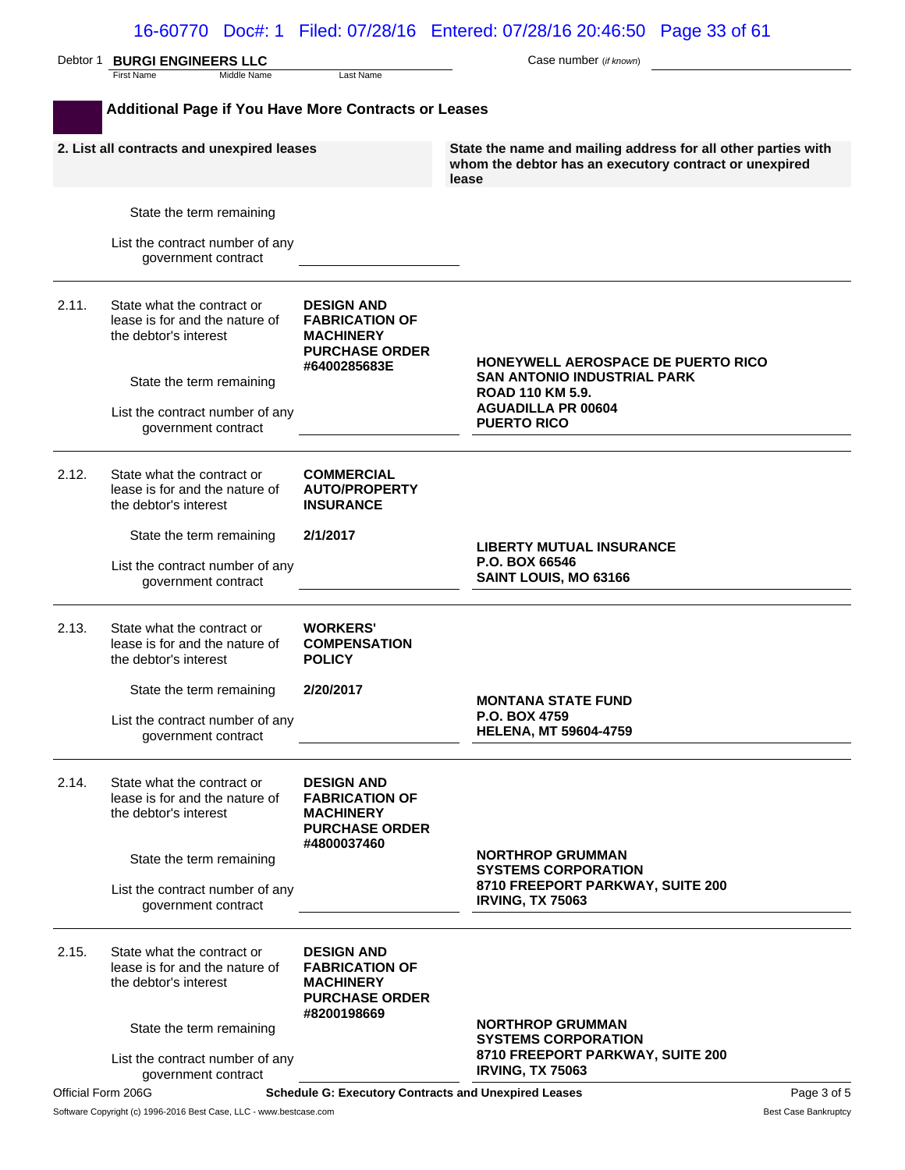|                    | Debtor 1 <b>BURGI ENGINEERS LLC</b><br><b>First Name</b><br>Middle Name               | Last Name                                                                                               | Case number (if known)                                                                                                           |             |
|--------------------|---------------------------------------------------------------------------------------|---------------------------------------------------------------------------------------------------------|----------------------------------------------------------------------------------------------------------------------------------|-------------|
|                    | <b>Additional Page if You Have More Contracts or Leases</b>                           |                                                                                                         |                                                                                                                                  |             |
|                    | 2. List all contracts and unexpired leases                                            |                                                                                                         | State the name and mailing address for all other parties with<br>whom the debtor has an executory contract or unexpired<br>lease |             |
|                    | State the term remaining                                                              |                                                                                                         |                                                                                                                                  |             |
|                    | List the contract number of any<br>government contract                                |                                                                                                         |                                                                                                                                  |             |
| 2.11.              | State what the contract or<br>lease is for and the nature of<br>the debtor's interest | <b>DESIGN AND</b><br><b>FABRICATION OF</b><br><b>MACHINERY</b><br><b>PURCHASE ORDER</b><br>#6400285683E | <b>HONEYWELL AEROSPACE DE PUERTO RICO</b>                                                                                        |             |
|                    | State the term remaining                                                              |                                                                                                         | <b>SAN ANTONIO INDUSTRIAL PARK</b><br><b>ROAD 110 KM 5.9.</b>                                                                    |             |
|                    | List the contract number of any<br>government contract                                |                                                                                                         | <b>AGUADILLA PR 00604</b><br><b>PUERTO RICO</b>                                                                                  |             |
| 2.12.              | State what the contract or<br>lease is for and the nature of<br>the debtor's interest | <b>COMMERCIAL</b><br><b>AUTO/PROPERTY</b><br><b>INSURANCE</b>                                           |                                                                                                                                  |             |
|                    | State the term remaining                                                              | 2/1/2017                                                                                                |                                                                                                                                  |             |
|                    | List the contract number of any<br>government contract                                |                                                                                                         | <b>LIBERTY MUTUAL INSURANCE</b><br>P.O. BOX 66546<br>SAINT LOUIS, MO 63166                                                       |             |
| 2.13.              | State what the contract or<br>lease is for and the nature of<br>the debtor's interest | <b>WORKERS'</b><br><b>COMPENSATION</b><br><b>POLICY</b>                                                 |                                                                                                                                  |             |
|                    | State the term remaining                                                              | 2/20/2017                                                                                               |                                                                                                                                  |             |
|                    | List the contract number of any<br>government contract                                |                                                                                                         | <b>MONTANA STATE FUND</b><br>P.O. BOX 4759<br><b>HELENA, MT 59604-4759</b>                                                       |             |
| 2.14.              | State what the contract or<br>lease is for and the nature of<br>the debtor's interest | <b>DESIGN AND</b><br><b>FABRICATION OF</b><br><b>MACHINERY</b><br><b>PURCHASE ORDER</b><br>#4800037460  |                                                                                                                                  |             |
|                    | State the term remaining                                                              |                                                                                                         | <b>NORTHROP GRUMMAN</b><br><b>SYSTEMS CORPORATION</b>                                                                            |             |
|                    | List the contract number of any<br>government contract                                |                                                                                                         | 8710 FREEPORT PARKWAY, SUITE 200<br><b>IRVING, TX 75063</b>                                                                      |             |
| 2.15.              | State what the contract or<br>lease is for and the nature of<br>the debtor's interest | <b>DESIGN AND</b><br><b>FABRICATION OF</b><br><b>MACHINERY</b><br><b>PURCHASE ORDER</b>                 |                                                                                                                                  |             |
|                    | State the term remaining                                                              | #8200198669                                                                                             | <b>NORTHROP GRUMMAN</b><br><b>SYSTEMS CORPORATION</b>                                                                            |             |
|                    | List the contract number of any                                                       |                                                                                                         | 8710 FREEPORT PARKWAY, SUITE 200<br><b>IRVING, TX 75063</b>                                                                      |             |
| Official Form 206G | government contract                                                                   | <b>Schedule G: Executory Contracts and Unexpired Leases</b>                                             |                                                                                                                                  | Page 3 of 5 |

Software Copyright (c) 1996-2016 Best Case, LLC - www.bestcase.com **Best Case Bankruptcy** Best Case Bankruptcy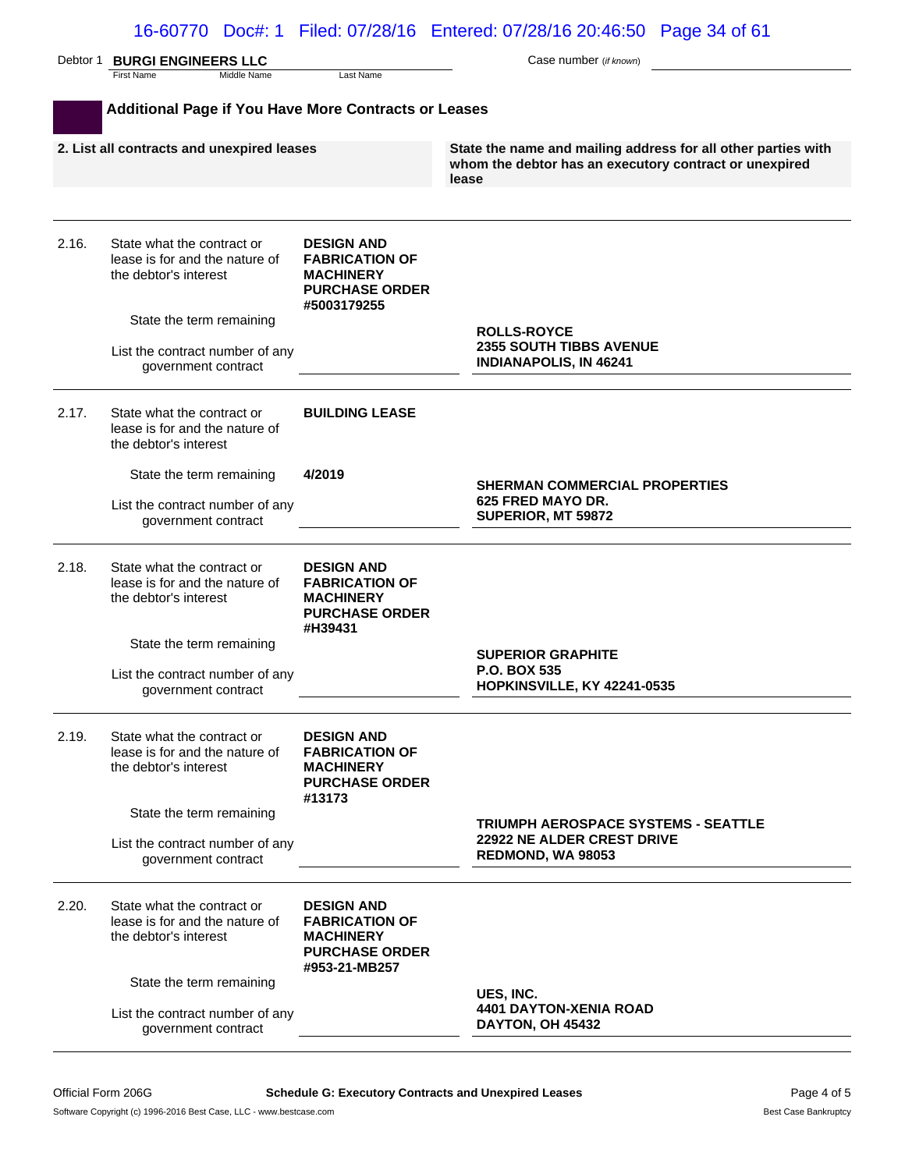|       | Debtor 1 BURGI ENGINEERS LLC                                                          |                                                                                                          | Case number (if known)                                                                                                           |
|-------|---------------------------------------------------------------------------------------|----------------------------------------------------------------------------------------------------------|----------------------------------------------------------------------------------------------------------------------------------|
|       | <b>First Name</b><br>Middle Name                                                      | Last Name                                                                                                |                                                                                                                                  |
|       | Additional Page if You Have More Contracts or Leases                                  |                                                                                                          |                                                                                                                                  |
|       | 2. List all contracts and unexpired leases                                            |                                                                                                          | State the name and mailing address for all other parties with<br>whom the debtor has an executory contract or unexpired<br>lease |
| 2.16. | State what the contract or<br>lease is for and the nature of<br>the debtor's interest | <b>DESIGN AND</b><br><b>FABRICATION OF</b><br><b>MACHINERY</b><br><b>PURCHASE ORDER</b><br>#5003179255   |                                                                                                                                  |
|       | State the term remaining                                                              |                                                                                                          | <b>ROLLS-ROYCE</b>                                                                                                               |
|       | List the contract number of any<br>government contract                                |                                                                                                          | <b>2355 SOUTH TIBBS AVENUE</b><br><b>INDIANAPOLIS, IN 46241</b>                                                                  |
| 2.17. | State what the contract or<br>lease is for and the nature of<br>the debtor's interest | <b>BUILDING LEASE</b>                                                                                    |                                                                                                                                  |
|       | State the term remaining                                                              | 4/2019                                                                                                   | <b>SHERMAN COMMERCIAL PROPERTIES</b>                                                                                             |
|       | List the contract number of any<br>government contract                                |                                                                                                          | 625 FRED MAYO DR.<br>SUPERIOR, MT 59872                                                                                          |
| 2.18. | State what the contract or<br>lease is for and the nature of<br>the debtor's interest | <b>DESIGN AND</b><br><b>FABRICATION OF</b><br><b>MACHINERY</b><br><b>PURCHASE ORDER</b><br>#H39431       |                                                                                                                                  |
|       | State the term remaining                                                              |                                                                                                          | <b>SUPERIOR GRAPHITE</b>                                                                                                         |
|       | List the contract number of any<br>government contract                                |                                                                                                          | <b>P.O. BOX 535</b><br><b>HOPKINSVILLE, KY 42241-0535</b>                                                                        |
| 2.19. | State what the contract or<br>lease is for and the nature of<br>the debtor's interest | <b>DESIGN AND</b><br><b>FABRICATION OF</b><br><b>MACHINERY</b><br><b>PURCHASE ORDER</b><br>#13173        |                                                                                                                                  |
|       | State the term remaining                                                              |                                                                                                          | <b>TRIUMPH AEROSPACE SYSTEMS - SEATTLE</b>                                                                                       |
|       | List the contract number of any<br>government contract                                |                                                                                                          | 22922 NE ALDER CREST DRIVE<br>REDMOND, WA 98053                                                                                  |
| 2.20. | State what the contract or<br>lease is for and the nature of<br>the debtor's interest | <b>DESIGN AND</b><br><b>FABRICATION OF</b><br><b>MACHINERY</b><br><b>PURCHASE ORDER</b><br>#953-21-MB257 |                                                                                                                                  |
|       | State the term remaining                                                              |                                                                                                          | UES, INC.                                                                                                                        |
|       | List the contract number of any<br>government contract                                |                                                                                                          | <b>4401 DAYTON-XENIA ROAD</b><br>DAYTON, OH 45432                                                                                |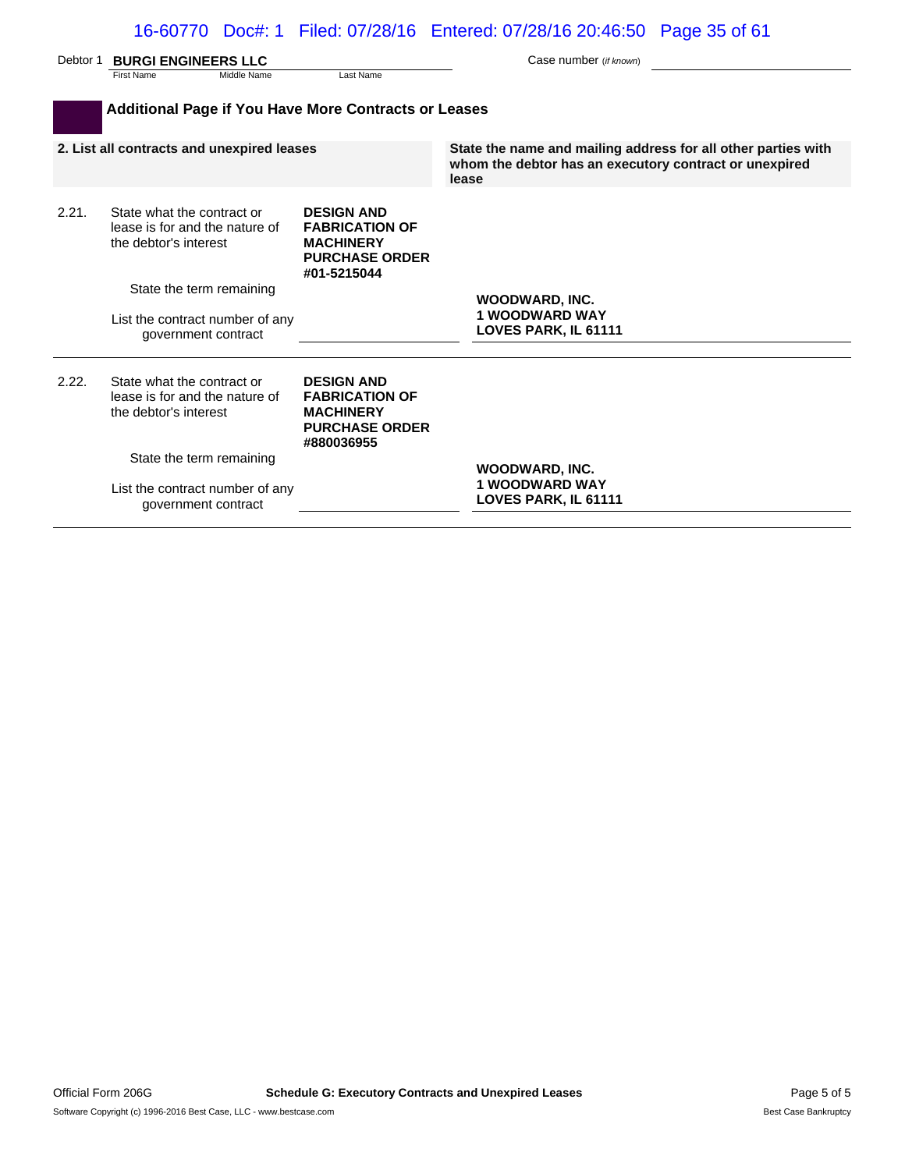| Debtor 1 | <b>BURGI ENGINEERS LLC</b>                                                                                |                                                                                                        | Case number (if known)                                          |  |  |
|----------|-----------------------------------------------------------------------------------------------------------|--------------------------------------------------------------------------------------------------------|-----------------------------------------------------------------|--|--|
|          | First Name<br>Middle Name                                                                                 | Last Name                                                                                              |                                                                 |  |  |
|          | <b>Additional Page if You Have More Contracts or Leases</b><br>2. List all contracts and unexpired leases |                                                                                                        | State the name and mailing address for all other parties with   |  |  |
|          |                                                                                                           |                                                                                                        | whom the debtor has an executory contract or unexpired<br>lease |  |  |
| 2.21.    | State what the contract or<br>lease is for and the nature of<br>the debtor's interest                     | <b>DESIGN AND</b><br><b>FABRICATION OF</b><br><b>MACHINERY</b><br><b>PURCHASE ORDER</b><br>#01-5215044 |                                                                 |  |  |
|          | State the term remaining                                                                                  |                                                                                                        |                                                                 |  |  |
|          | List the contract number of any<br>government contract                                                    |                                                                                                        | WOODWARD, INC.<br><b>1 WOODWARD WAY</b><br>LOVES PARK, IL 61111 |  |  |
| 2.22.    | State what the contract or<br>lease is for and the nature of<br>the debtor's interest                     | <b>DESIGN AND</b><br><b>FABRICATION OF</b><br><b>MACHINERY</b><br><b>PURCHASE ORDER</b><br>#880036955  |                                                                 |  |  |
|          | State the term remaining                                                                                  |                                                                                                        | <b>WOODWARD, INC.</b>                                           |  |  |
|          | List the contract number of any<br>government contract                                                    |                                                                                                        | <b>1 WOODWARD WAY</b><br>LOVES PARK, IL 61111                   |  |  |
|          |                                                                                                           |                                                                                                        |                                                                 |  |  |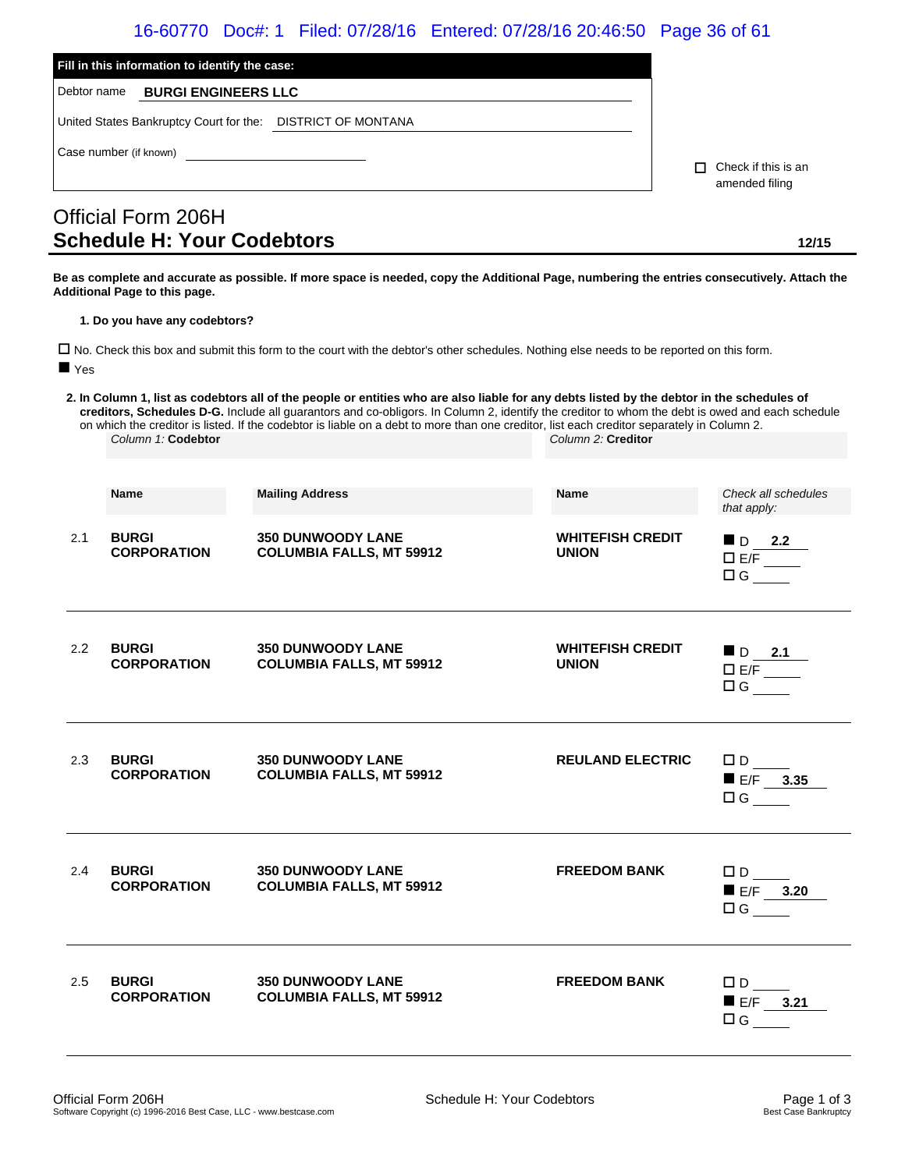### 16-60770 Doc#: 1 Filed: 07/28/16 Entered: 07/28/16 20:46:50 Page 36 of 61

| Fill in this information to identify the case:              |                                            |
|-------------------------------------------------------------|--------------------------------------------|
| <b>BURGI ENGINEERS LLC</b><br>Debtor name                   |                                            |
| United States Bankruptcy Court for the: DISTRICT OF MONTANA |                                            |
| Case number (if known)                                      | Check if this is an<br>п<br>amended filing |
| Official Form 206H<br><b>Schedule H: Your Codebtors</b>     | 12/15                                      |

**Be as complete and accurate as possible. If more space is needed, copy the Additional Page, numbering the entries consecutively. Attach the Additional Page to this page.**

**1. Do you have any codebtors?**

 No. Check this box and submit this form to the court with the debtor's other schedules. Nothing else needs to be reported on this form. **Yes** 

**2. In Column 1, list as codebtors all of the people or entities who are also liable for any debts listed by the debtor in the schedules of creditors, Schedules D-G.** Include all guarantors and co-obligors. In Column 2, identify the creditor to whom the debt is owed and each schedule on which the creditor is listed. If the codebtor is liable on a debt to more than one creditor, list each creditor separately in Column 2. *Column 1:* **Codebtor** *Column 2:* **Creditor**

|     | <b>Name</b>                        | <b>Mailing Address</b>                                      | <b>Name</b>                             | Check all schedules                                         |
|-----|------------------------------------|-------------------------------------------------------------|-----------------------------------------|-------------------------------------------------------------|
|     |                                    |                                                             |                                         | that apply:                                                 |
| 2.1 | <b>BURGI</b><br><b>CORPORATION</b> | <b>350 DUNWOODY LANE</b><br><b>COLUMBIA FALLS, MT 59912</b> | <b>WHITEFISH CREDIT</b><br><b>UNION</b> | $\blacksquare$ D 2.2<br>$D E/F$ <sub>____</sub><br>$\Box G$ |
| 2.2 | <b>BURGI</b><br><b>CORPORATION</b> | <b>350 DUNWOODY LANE</b><br><b>COLUMBIA FALLS, MT 59912</b> | <b>WHITEFISH CREDIT</b><br><b>UNION</b> | $\blacksquare$ D 2.1<br>$\overline{E/F}$<br>$\Box G$        |
| 2.3 | <b>BURGI</b><br><b>CORPORATION</b> | <b>350 DUNWOODY LANE</b><br><b>COLUMBIA FALLS, MT 59912</b> | <b>REULAND ELECTRIC</b>                 | $\square$ D<br>$E/F$ 3.35<br>$\Box G$                       |
| 2.4 | <b>BURGI</b><br><b>CORPORATION</b> | <b>350 DUNWOODY LANE</b><br><b>COLUMBIA FALLS, MT 59912</b> | <b>FREEDOM BANK</b>                     | $\Box D$<br>$E/F$ 3.20<br>$\Box G$                          |
| 2.5 | <b>BURGI</b><br><b>CORPORATION</b> | <b>350 DUNWOODY LANE</b><br><b>COLUMBIA FALLS, MT 59912</b> | <b>FREEDOM BANK</b>                     | $\square$ D<br>$E/F$ 3.21<br>$\Box G$                       |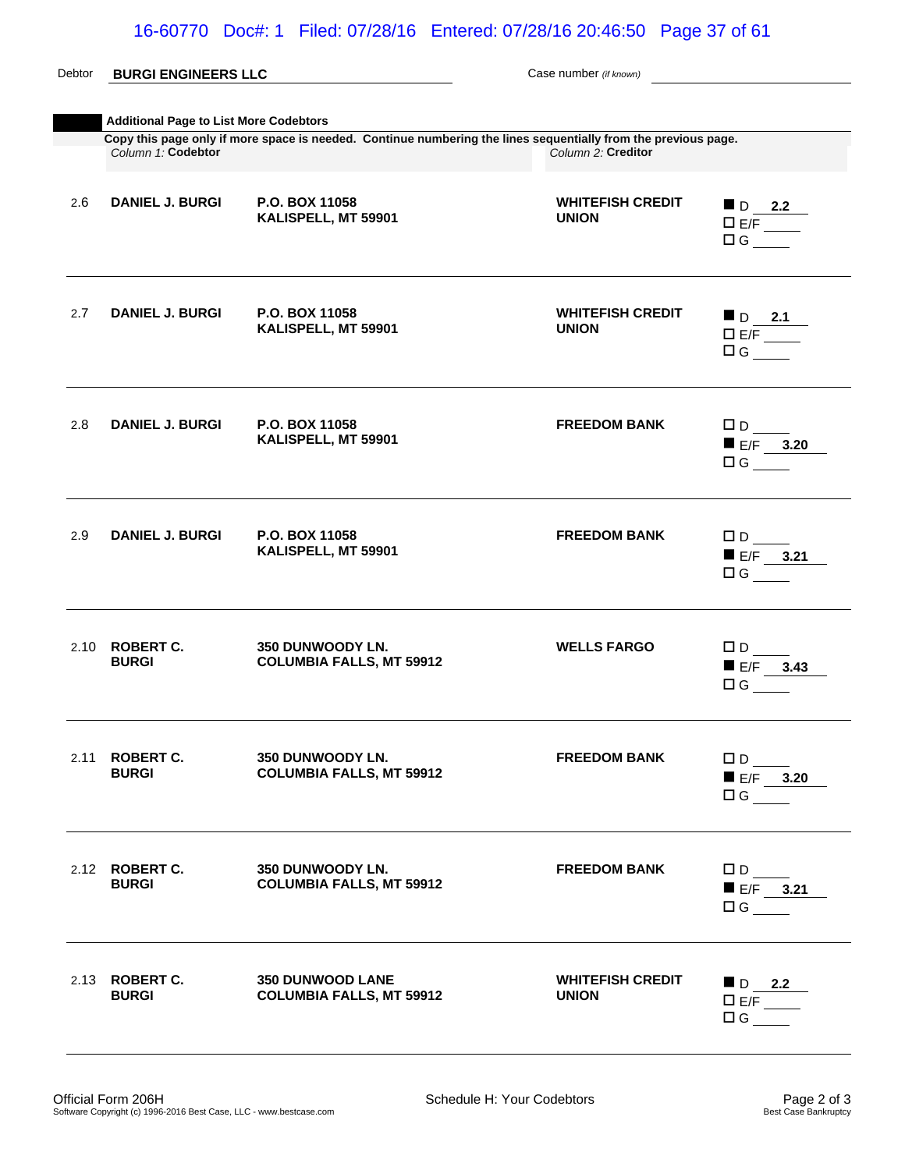### Debtor **BURGI ENGINEERS LLC** Case number *(if known)* **Additional Page to List More Codebtors Copy this page only if more space is needed. Continue numbering the lines sequentially from the previous page.**<br>Column 1: Codebtor<br>Column 2: Creditor *Column 1:* **Codebtor** *Column 2:* **Creditor** 2.6 **DANIEL J. BURGI P.O. BOX 11058 KALISPELL, MT 59901 WHITEFISH CREDIT UNION** D **2.2**  E/F  $\Box G$ 2.7 **DANIEL J. BURGI P.O. BOX 11058 KALISPELL, MT 59901 WHITEFISH CREDIT UNION**  $\blacksquare$  D 2.1 E/F  $\Box G$ 2.8 **DANIEL J. BURGI P.O. BOX 11058 KALISPELL, MT 59901 FREEDOM BANK**  $\Box$  D  $E/F$  3.20  $\Box$ G 2.9 **DANIEL J. BURGI P.O. BOX 11058 KALISPELL, MT 59901 FREEDOM BANK**  $\Box$  D  $E/F$  **3.21**  $\Box G$ 2.10 **ROBERT C. BURGI 350 DUNWOODY LN. COLUMBIA FALLS, MT 59912 WELLS FARGO** D E/F **3.43**   $\Box$ G 2.11 **ROBERT C. BURGI 350 DUNWOODY LN. COLUMBIA FALLS, MT 59912 FREEDOM BANK**  $\Box$  D  $E/F$  3.20  $\Box$ G 2.12 **ROBERT C. BURGI 350 DUNWOODY LN. COLUMBIA FALLS, MT 59912 FREEDOM BANK**  $\Box$  D  $E/F$  3.21  $\Box G$ 2.13 **ROBERT C. BURGI 350 DUNWOOD LANE COLUMBIA FALLS, MT 59912 WHITEFISH CREDIT UNION** D **2.2**   $E/F$  $\Box G$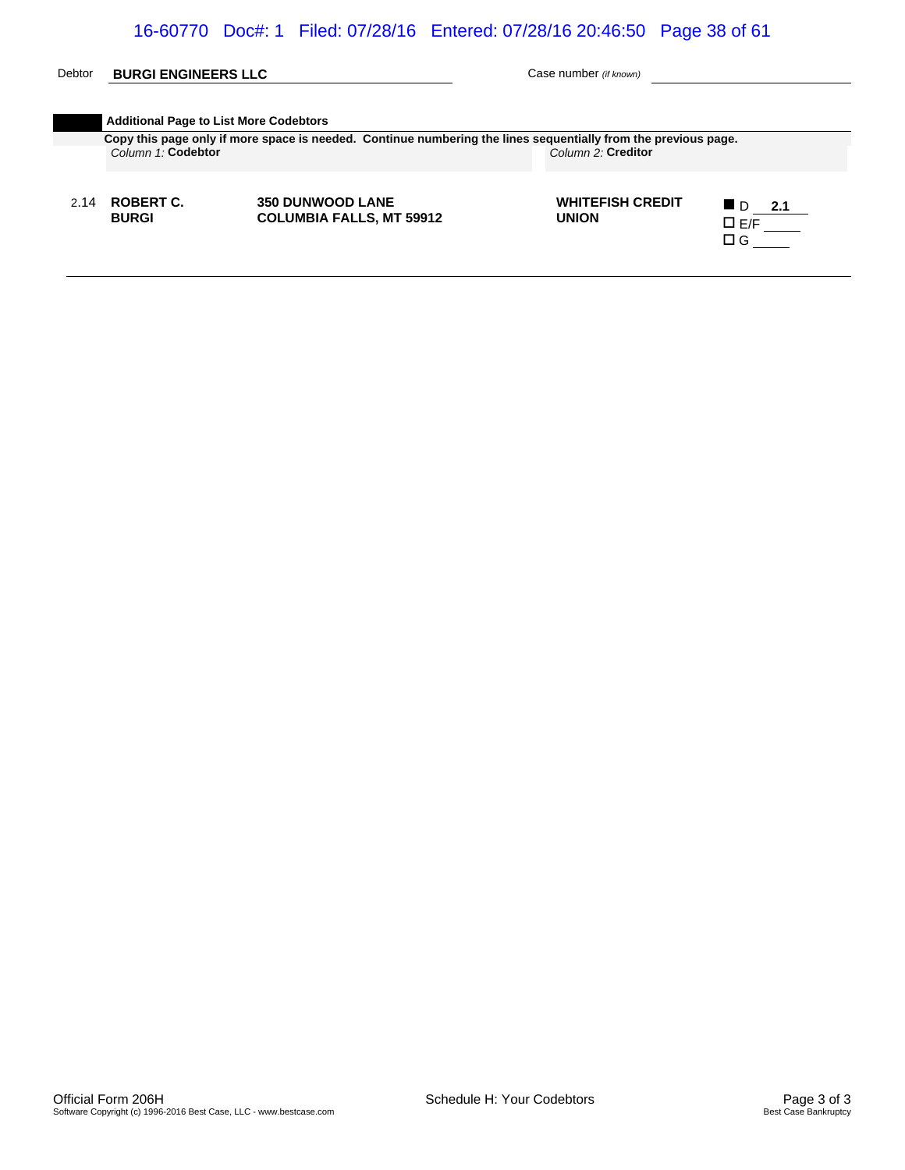### Debtor **BURGI ENGINEERS LLC** Case number *(if known)*

|      |                           | Copy this page only if more space is needed. Continue numbering the lines sequentially from the previous page. |                                         |                                                               |
|------|---------------------------|----------------------------------------------------------------------------------------------------------------|-----------------------------------------|---------------------------------------------------------------|
|      | Column 1: Codebtor        |                                                                                                                | Column 2: Creditor                      |                                                               |
| 2.14 | ROBERT C.<br><b>BURGI</b> | <b>350 DUNWOOD LANE</b><br><b>COLUMBIA FALLS, MT 59912</b>                                                     | <b>WHITEFISH CREDIT</b><br><b>UNION</b> | <b>L</b> D<br>2.1<br>$\square$ E/F $\rule{1em}{0.15mm}$<br>ПG |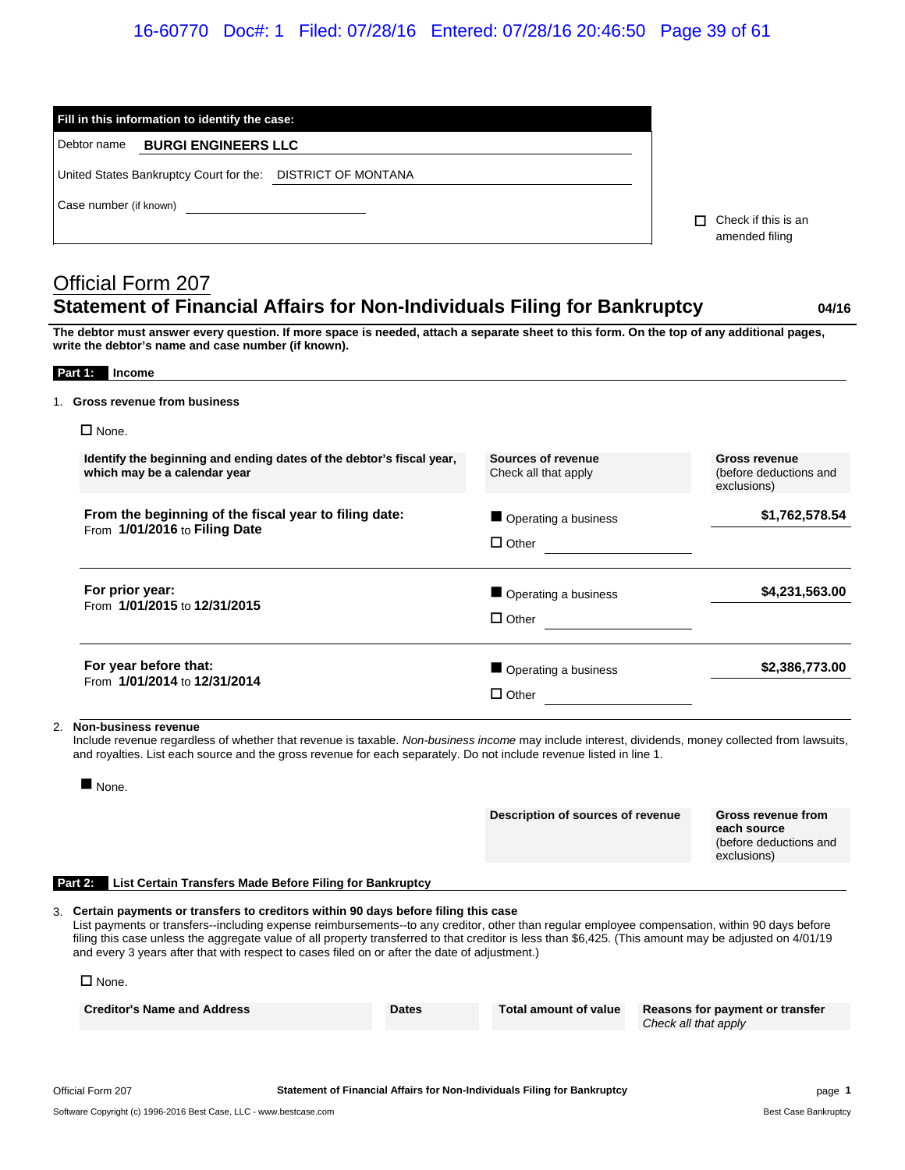### 16-60770 Doc#: 1 Filed: 07/28/16 Entered: 07/28/16 20:46:50 Page 39 of 61

| Fill in this information to identify the case:                                                                                                                                                                                                                                      |                                       |
|-------------------------------------------------------------------------------------------------------------------------------------------------------------------------------------------------------------------------------------------------------------------------------------|---------------------------------------|
| <b>BURGI ENGINEERS LLC</b><br>Debtor name                                                                                                                                                                                                                                           |                                       |
| United States Bankruptcy Court for the: DISTRICT OF MONTANA                                                                                                                                                                                                                         |                                       |
| Case number (if known)                                                                                                                                                                                                                                                              | Check if this is an<br>amended filing |
| Official Form 207                                                                                                                                                                                                                                                                   |                                       |
| <b>Statement of Financial Affairs for Non-Individuals Filing for Bankruptcy</b><br>The debtor must answer every question. If more space is needed, attach a separate sheet to this form. On the top of any additional pages,<br>write the debtor's name and case number (if known). | 04/16                                 |
| <b>Income</b><br>Part 1:                                                                                                                                                                                                                                                            |                                       |
| 1. Gross revenue from business                                                                                                                                                                                                                                                      |                                       |
| $\Box$ None.                                                                                                                                                                                                                                                                        |                                       |

2. **Non-business revenue**

**For year before that:** From **1/01/2014** to **12/31/2014**

**For prior year:**

**From the beginning of the fiscal year to filing date:**

From **1/01/2016** to **Filing Date**

From **1/01/2015** to **12/31/2015**

Include revenue regardless of whether that revenue is taxable. *Non-business income* may include interest, dividends, money collected from lawsuits, and royalties. List each source and the gross revenue for each separately. Do not include revenue listed in line 1.

 $\Box$  Other

 $\Box$  Other

 $\Box$  Other

■ Operating a business **\$1,762,578.54** 

■ Operating a business **\$4,231,563.00** 

■ Operating a business **\$2,386,773.00** 

|                                                                                                                                                                                                                                                                                                                                                                                                                                                                                                                      | $\blacksquare$ None.                                                |              |                                   |                      |                                                                            |
|----------------------------------------------------------------------------------------------------------------------------------------------------------------------------------------------------------------------------------------------------------------------------------------------------------------------------------------------------------------------------------------------------------------------------------------------------------------------------------------------------------------------|---------------------------------------------------------------------|--------------|-----------------------------------|----------------------|----------------------------------------------------------------------------|
|                                                                                                                                                                                                                                                                                                                                                                                                                                                                                                                      |                                                                     |              | Description of sources of revenue |                      | Gross revenue from<br>each source<br>(before deductions and<br>exclusions) |
|                                                                                                                                                                                                                                                                                                                                                                                                                                                                                                                      | List Certain Transfers Made Before Filing for Bankruptcy<br>Part 2: |              |                                   |                      |                                                                            |
| 3. Certain payments or transfers to creditors within 90 days before filing this case<br>List payments or transfers--including expense reimbursements--to any creditor, other than regular employee compensation, within 90 days before<br>filing this case unless the aggregate value of all property transferred to that creditor is less than \$6,425. (This amount may be adjusted on 4/01/19<br>and every 3 years after that with respect to cases filed on or after the date of adjustment.)<br>$\square$ None. |                                                                     |              |                                   |                      |                                                                            |
|                                                                                                                                                                                                                                                                                                                                                                                                                                                                                                                      | <b>Creditor's Name and Address</b>                                  | <b>Dates</b> | Total amount of value             | Check all that apply | Reasons for payment or transfer                                            |
|                                                                                                                                                                                                                                                                                                                                                                                                                                                                                                                      |                                                                     |              |                                   |                      |                                                                            |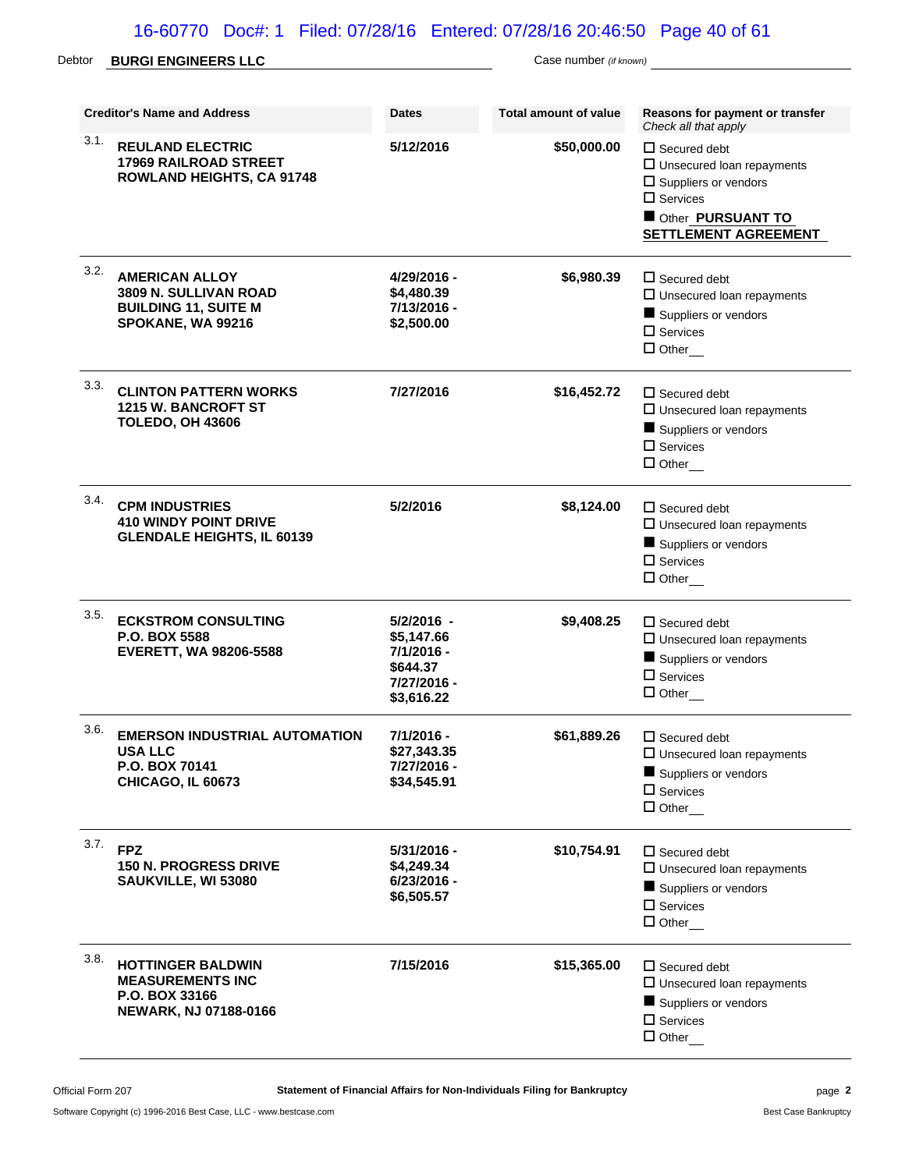# 16-60770 Doc#: 1 Filed: 07/28/16 Entered: 07/28/16 20:46:50 Page 40 of 61

# Debtor **BURGI ENGINEERS LLC** Case number *(if known)*

|      | <b>Creditor's Name and Address</b>                                                                   | <b>Dates</b>                                                                    | Total amount of value | Reasons for payment or transfer<br>Check all that apply                                                                                                             |
|------|------------------------------------------------------------------------------------------------------|---------------------------------------------------------------------------------|-----------------------|---------------------------------------------------------------------------------------------------------------------------------------------------------------------|
| 3.1. | <b>REULAND ELECTRIC</b><br><b>17969 RAILROAD STREET</b><br><b>ROWLAND HEIGHTS, CA 91748</b>          | 5/12/2016                                                                       | \$50,000.00           | $\Box$ Secured debt<br>$\square$ Unsecured loan repayments<br>$\square$ Suppliers or vendors<br>$\Box$ Services<br>Other PURSUANT TO<br><b>SETTLEMENT AGREEMENT</b> |
| 3.2. | <b>AMERICAN ALLOY</b><br>3809 N. SULLIVAN ROAD<br><b>BUILDING 11, SUITE M</b><br>SPOKANE, WA 99216   | 4/29/2016 -<br>\$4,480.39<br>7/13/2016 -<br>\$2,500.00                          | \$6,980.39            | $\Box$ Secured debt<br>$\Box$ Unsecured loan repayments<br>Suppliers or vendors<br>$\Box$ Services<br>$\Box$ Other_                                                 |
| 3.3. | <b>CLINTON PATTERN WORKS</b><br><b>1215 W. BANCROFT ST</b><br><b>TOLEDO, OH 43606</b>                | 7/27/2016                                                                       | \$16,452.72           | $\Box$ Secured debt<br>$\Box$ Unsecured Ioan repayments<br>Suppliers or vendors<br>$\Box$ Services<br>$\Box$ Other                                                  |
| 3.4. | <b>CPM INDUSTRIES</b><br><b>410 WINDY POINT DRIVE</b><br><b>GLENDALE HEIGHTS, IL 60139</b>           | 5/2/2016                                                                        | \$8,124.00            | $\Box$ Secured debt<br>$\Box$ Unsecured loan repayments<br>Suppliers or vendors<br>$\Box$ Services<br>$\Box$ Other                                                  |
| 3.5. | <b>ECKSTROM CONSULTING</b><br>P.O. BOX 5588<br><b>EVERETT, WA 98206-5588</b>                         | 5/2/2016 -<br>\$5,147.66<br>7/1/2016 -<br>\$644.37<br>7/27/2016 -<br>\$3,616.22 | \$9,408.25            | $\Box$ Secured debt<br>$\square$ Unsecured loan repayments<br>Suppliers or vendors<br>$\Box$ Services<br>$\Box$ Other                                               |
| 3.6. | <b>EMERSON INDUSTRIAL AUTOMATION</b><br><b>USA LLC</b><br>P.O. BOX 70141<br><b>CHICAGO, IL 60673</b> | 7/1/2016 -<br>\$27,343.35<br>7/27/2016 -<br>\$34,545.91                         | \$61,889.26           | $\square$ Secured debt<br>$\Box$ Unsecured loan repayments<br>Suppliers or vendors<br>$\Box$ Services<br>$\Box$ Other                                               |
| 3.7. | <b>FPZ</b><br><b>150 N. PROGRESS DRIVE</b><br>SAUKVILLE, WI 53080                                    | 5/31/2016 -<br>\$4,249.34<br>$6/23/2016 -$<br>\$6,505.57                        | \$10,754.91           | $\Box$ Secured debt<br>$\Box$ Unsecured loan repayments<br>Suppliers or vendors<br>$\Box$ Services<br>$\Box$ Other                                                  |
| 3.8. | <b>HOTTINGER BALDWIN</b><br><b>MEASUREMENTS INC</b><br>P.O. BOX 33166<br>NEWARK, NJ 07188-0166       | 7/15/2016                                                                       | \$15,365.00           | $\Box$ Secured debt<br>$\square$ Unsecured loan repayments<br>Suppliers or vendors<br>$\Box$ Services<br>$\Box$ Other                                               |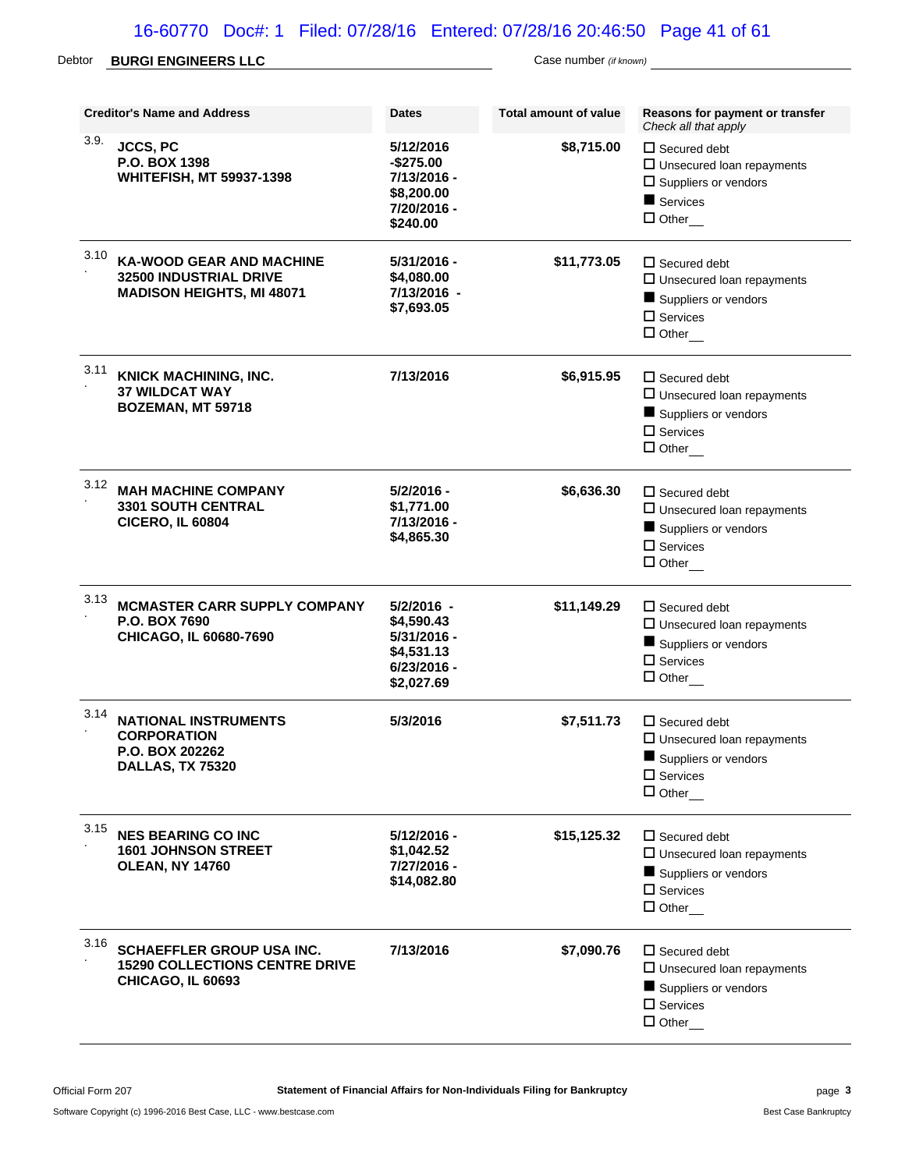# 16-60770 Doc#: 1 Filed: 07/28/16 Entered: 07/28/16 20:46:50 Page 41 of 61

# Debtor **BURGI ENGINEERS LLC** Case number *(if known)*

|      | <b>Creditor's Name and Address</b>                                                                   | <b>Dates</b>                                                                         | <b>Total amount of value</b> | Reasons for payment or transfer<br>Check all that apply                                                               |
|------|------------------------------------------------------------------------------------------------------|--------------------------------------------------------------------------------------|------------------------------|-----------------------------------------------------------------------------------------------------------------------|
| 3.9. | JCCS, PC<br>P.O. BOX 1398<br><b>WHITEFISH, MT 59937-1398</b>                                         | 5/12/2016<br>$-$275.00$<br>7/13/2016 -<br>\$8,200.00<br>7/20/2016 -<br>\$240.00      | \$8,715.00                   | $\Box$ Secured debt<br>$\Box$ Unsecured loan repayments<br>$\square$ Suppliers or vendors<br>Services<br>$\Box$ Other |
| 3.10 | <b>KA-WOOD GEAR AND MACHINE</b><br><b>32500 INDUSTRIAL DRIVE</b><br><b>MADISON HEIGHTS, MI 48071</b> | 5/31/2016 -<br>\$4,080.00<br>7/13/2016 -<br>\$7,693.05                               | \$11,773.05                  | $\Box$ Secured debt<br>$\Box$ Unsecured loan repayments<br>Suppliers or vendors<br>$\Box$ Services<br>$\Box$ Other    |
| 3.11 | <b>KNICK MACHINING, INC.</b><br><b>37 WILDCAT WAY</b><br><b>BOZEMAN, MT 59718</b>                    | 7/13/2016                                                                            | \$6,915.95                   | $\Box$ Secured debt<br>$\square$ Unsecured loan repayments<br>Suppliers or vendors<br>$\Box$ Services<br>$\Box$ Other |
| 3.12 | <b>MAH MACHINE COMPANY</b><br><b>3301 SOUTH CENTRAL</b><br><b>CICERO, IL 60804</b>                   | 5/2/2016 -<br>\$1,771.00<br>7/13/2016 -<br>\$4,865.30                                | \$6,636.30                   | $\Box$ Secured debt<br>$\Box$ Unsecured loan repayments<br>Suppliers or vendors<br>$\square$ Services<br>$\Box$ Other |
| 3.13 | <b>MCMASTER CARR SUPPLY COMPANY</b><br>P.O. BOX 7690<br>CHICAGO, IL 60680-7690                       | 5/2/2016 -<br>\$4,590.43<br>5/31/2016 -<br>\$4,531.13<br>$6/23/2016 -$<br>\$2,027.69 | \$11,149.29                  | $\Box$ Secured debt<br>$\Box$ Unsecured loan repayments<br>Suppliers or vendors<br>$\Box$ Services<br>$\Box$ Other    |
| 3.14 | <b>NATIONAL INSTRUMENTS</b><br><b>CORPORATION</b><br><b>P.O. BOX 202262</b><br>DALLAS, TX 75320      | 5/3/2016                                                                             | \$7,511.73                   | $\Box$ Secured debt<br>$\Box$ Unsecured loan repayments<br>Suppliers or vendors<br>$\square$ Services<br>$\Box$ Other |
| 3.15 | <b>NES BEARING CO INC</b><br><b>1601 JOHNSON STREET</b><br><b>OLEAN, NY 14760</b>                    | 5/12/2016 -<br>\$1,042.52<br>7/27/2016 -<br>\$14,082.80                              | \$15,125.32                  | $\Box$ Secured debt<br>$\square$ Unsecured loan repayments<br>Suppliers or vendors<br>$\Box$ Services<br>$\Box$ Other |
| 3.16 | <b>SCHAEFFLER GROUP USA INC.</b><br><b>15290 COLLECTIONS CENTRE DRIVE</b><br>CHICAGO, IL 60693       | 7/13/2016                                                                            | \$7,090.76                   | $\Box$ Secured debt<br>$\square$ Unsecured loan repayments<br>Suppliers or vendors<br>$\Box$ Services<br>$\Box$ Other |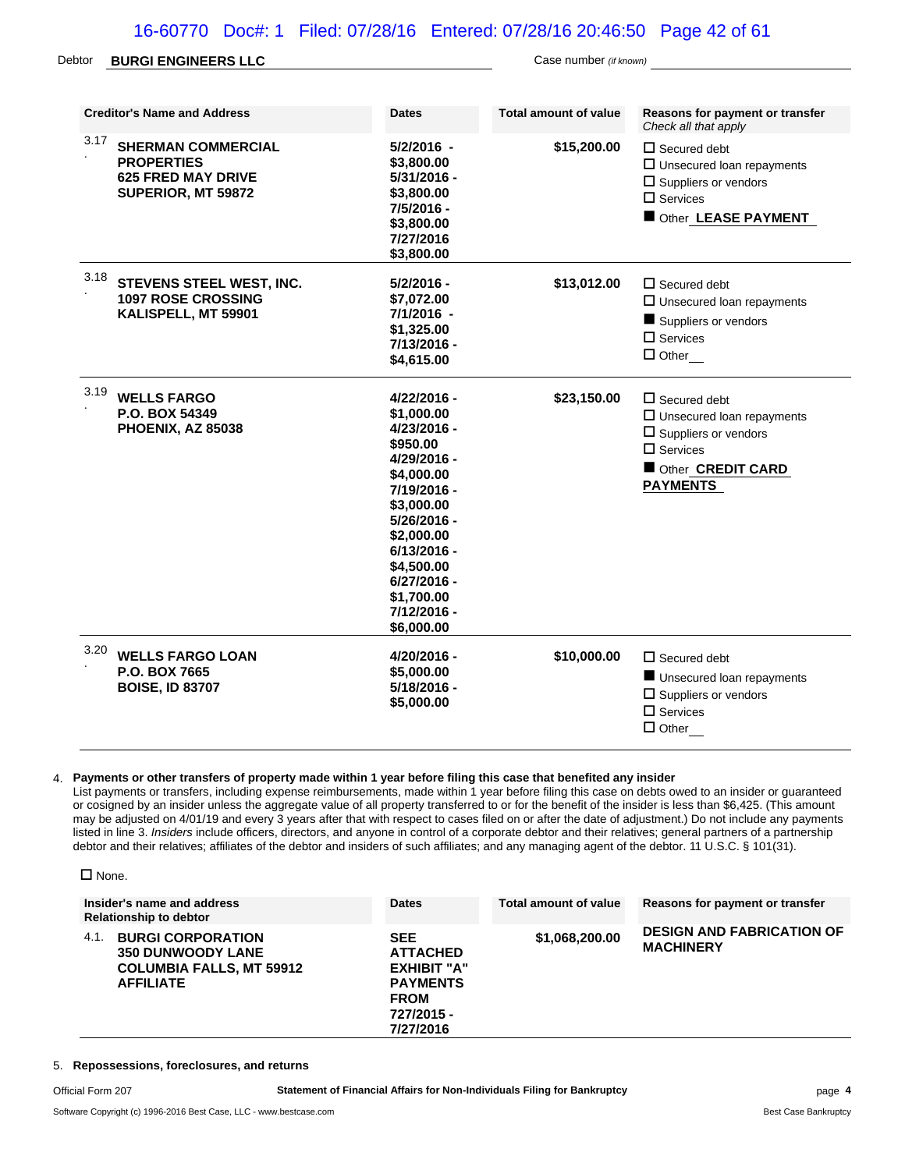### 16-60770 Doc#: 1 Filed: 07/28/16 Entered: 07/28/16 20:46:50 Page 42 of 61

#### Debtor **BURGI ENGINEERS LLC** Case number *(if known)*

| <b>Creditor's Name and Address</b>                                                                        | <b>Dates</b>                                                                                                                                                                                                                       | <b>Total amount of value</b> | Reasons for payment or transfer<br>Check all that apply                                                                                              |
|-----------------------------------------------------------------------------------------------------------|------------------------------------------------------------------------------------------------------------------------------------------------------------------------------------------------------------------------------------|------------------------------|------------------------------------------------------------------------------------------------------------------------------------------------------|
| 3.17<br><b>SHERMAN COMMERCIAL</b><br><b>PROPERTIES</b><br><b>625 FRED MAY DRIVE</b><br>SUPERIOR, MT 59872 | 5/2/2016 -<br>\$3,800.00<br>5/31/2016 -<br>\$3,800.00<br>7/5/2016 -<br>\$3,800.00<br>7/27/2016<br>\$3,800.00                                                                                                                       | \$15,200.00                  | $\Box$ Secured debt<br>$\Box$ Unsecured loan repayments<br>$\Box$ Suppliers or vendors<br>$\Box$ Services<br>Other LEASE PAYMENT                     |
| 3.18<br>STEVENS STEEL WEST, INC.<br><b>1097 ROSE CROSSING</b><br>KALISPELL, MT 59901                      | 5/2/2016 -<br>\$7,072.00<br>7/1/2016 -<br>\$1,325.00<br>7/13/2016 -<br>\$4,615.00                                                                                                                                                  | \$13,012.00                  | $\Box$ Secured debt<br>$\square$ Unsecured loan repayments<br>Suppliers or vendors<br>$\square$ Services<br>$\Box$ Other                             |
| 3.19<br><b>WELLS FARGO</b><br>P.O. BOX 54349<br>PHOENIX, AZ 85038                                         | 4/22/2016 -<br>\$1,000.00<br>4/23/2016 -<br>\$950.00<br>4/29/2016 -<br>\$4,000.00<br>7/19/2016 -<br>\$3,000.00<br>5/26/2016 -<br>\$2,000.00<br>6/13/2016 -<br>\$4,500.00<br>6/27/2016 -<br>\$1,700.00<br>7/12/2016 -<br>\$6,000.00 | \$23,150.00                  | $\Box$ Secured debt<br>$\Box$ Unsecured loan repayments<br>$\square$ Suppliers or vendors<br>$\Box$ Services<br>Other CREDIT CARD<br><b>PAYMENTS</b> |
| 3.20<br><b>WELLS FARGO LOAN</b><br>P.O. BOX 7665<br><b>BOISE, ID 83707</b>                                | 4/20/2016 -<br>\$5,000.00<br>5/18/2016 -<br>\$5,000.00                                                                                                                                                                             | \$10,000.00                  | $\Box$ Secured debt<br>Unsecured loan repayments<br>$\square$ Suppliers or vendors<br>$\square$ Services<br>$\Box$ Other                             |

### 4. **Payments or other transfers of property made within 1 year before filing this case that benefited any insider**

List payments or transfers, including expense reimbursements, made within 1 year before filing this case on debts owed to an insider or guaranteed or cosigned by an insider unless the aggregate value of all property transferred to or for the benefit of the insider is less than \$6,425. (This amount may be adjusted on 4/01/19 and every 3 years after that with respect to cases filed on or after the date of adjustment.) Do not include any payments listed in line 3. *Insiders* include officers, directors, and anyone in control of a corporate debtor and their relatives; general partners of a partnership debtor and their relatives; affiliates of the debtor and insiders of such affiliates; and any managing agent of the debtor. 11 U.S.C. § 101(31).

| $\Box$ None.                                                                                                        |                                                                                                                  |                       |                                                      |
|---------------------------------------------------------------------------------------------------------------------|------------------------------------------------------------------------------------------------------------------|-----------------------|------------------------------------------------------|
| Insider's name and address<br><b>Relationship to debtor</b>                                                         | <b>Dates</b>                                                                                                     | Total amount of value | Reasons for payment or transfer                      |
| <b>BURGI CORPORATION</b><br>4.1.<br><b>350 DUNWOODY LANE</b><br><b>COLUMBIA FALLS, MT 59912</b><br><b>AFFILIATE</b> | <b>SEE</b><br><b>ATTACHED</b><br><b>EXHIBIT "A"</b><br><b>PAYMENTS</b><br><b>FROM</b><br>727/2015 -<br>7/27/2016 | \$1,068,200.00        | <b>DESIGN AND FABRICATION OF</b><br><b>MACHINERY</b> |

### 5. **Repossessions, foreclosures, and returns**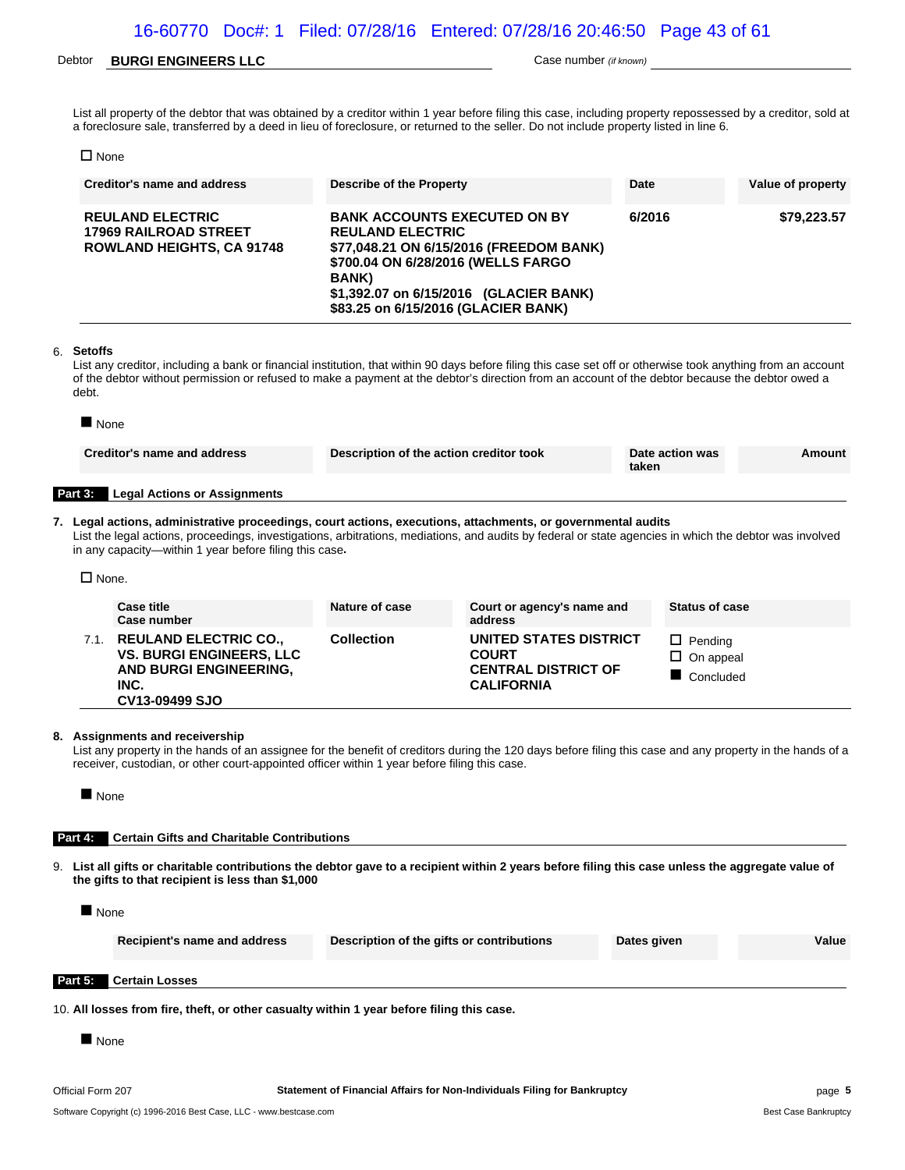### Debtor **BURGI ENGINEERS LLC** Case number *(if known)*

List all property of the debtor that was obtained by a creditor within 1 year before filing this case, including property repossessed by a creditor, sold at a foreclosure sale, transferred by a deed in lieu of foreclosure, or returned to the seller. Do not include property listed in line 6.

□ None

| <b>Creditor's name and address</b>                                                          | Describe of the Property                                                                                                                                                                                                                          | Date   | Value of property |
|---------------------------------------------------------------------------------------------|---------------------------------------------------------------------------------------------------------------------------------------------------------------------------------------------------------------------------------------------------|--------|-------------------|
| <b>REULAND ELECTRIC</b><br><b>17969 RAILROAD STREET</b><br><b>ROWLAND HEIGHTS, CA 91748</b> | <b>BANK ACCOUNTS EXECUTED ON BY</b><br><b>REULAND ELECTRIC</b><br>\$77,048.21 ON 6/15/2016 (FREEDOM BANK)<br>\$700.04 ON 6/28/2016 (WELLS FARGO<br><b>BANK</b> )<br>\$1,392.07 on 6/15/2016 (GLACIER BANK)<br>\$83.25 on 6/15/2016 (GLACIER BANK) | 6/2016 | \$79,223.57       |

#### 6. **Setoffs**

List any creditor, including a bank or financial institution, that within 90 days before filing this case set off or otherwise took anything from an account of the debtor without permission or refused to make a payment at the debtor's direction from an account of the debtor because the debtor owed a debt.

| $\blacksquare$ None |                                                                                                                                                                                                                                                                                                                                   |                                         |                                        |       |                                    |        |
|---------------------|-----------------------------------------------------------------------------------------------------------------------------------------------------------------------------------------------------------------------------------------------------------------------------------------------------------------------------------|-----------------------------------------|----------------------------------------|-------|------------------------------------|--------|
|                     | Creditor's name and address                                                                                                                                                                                                                                                                                                       | Description of the action creditor took |                                        | taken | Date action was                    | Amount |
| Part 3:             | <b>Legal Actions or Assignments</b>                                                                                                                                                                                                                                                                                               |                                         |                                        |       |                                    |        |
| $\Box$ None.        | 7. Legal actions, administrative proceedings, court actions, executions, attachments, or governmental audits<br>List the legal actions, proceedings, investigations, arbitrations, mediations, and audits by federal or state agencies in which the debtor was involved<br>in any capacity—within 1 year before filing this case. |                                         |                                        |       |                                    |        |
|                     |                                                                                                                                                                                                                                                                                                                                   |                                         |                                        |       |                                    |        |
|                     | <b>Case title</b><br>Case number                                                                                                                                                                                                                                                                                                  | Nature of case                          | Court or agency's name and<br>address  |       | <b>Status of case</b>              |        |
|                     | 7.1. REULAND ELECTRIC CO.,<br><b>VS. BURGI ENGINEERS, LLC</b>                                                                                                                                                                                                                                                                     | <b>Collection</b>                       | UNITED STATES DISTRICT<br><b>COURT</b> |       | $\Box$ Pending<br>$\Box$ On appeal |        |

**COURT CENTRAL DISTRICT OF CALIFORNIA**  $\square$  On appeal Concluded

#### **8. Assignments and receivership**

**CV13-09499 SJO**

**INC.**

List any property in the hands of an assignee for the benefit of creditors during the 120 days before filing this case and any property in the hands of a receiver, custodian, or other court-appointed officer within 1 year before filing this case.

**None** 

#### **Part 4: Certain Gifts and Charitable Contributions**

**AND BURGI ENGINEERING,**

9. **List all gifts or charitable contributions the debtor gave to a recipient within 2 years before filing this case unless the aggregate value of the gifts to that recipient is less than \$1,000**

None

|         | Recipient's name and address | Description of the gifts or contributions | Dates given | Value |
|---------|------------------------------|-------------------------------------------|-------------|-------|
| Part 5: | <b>Certain Losses</b>        |                                           |             |       |

10. **All losses from fire, theft, or other casualty within 1 year before filing this case.**

**None**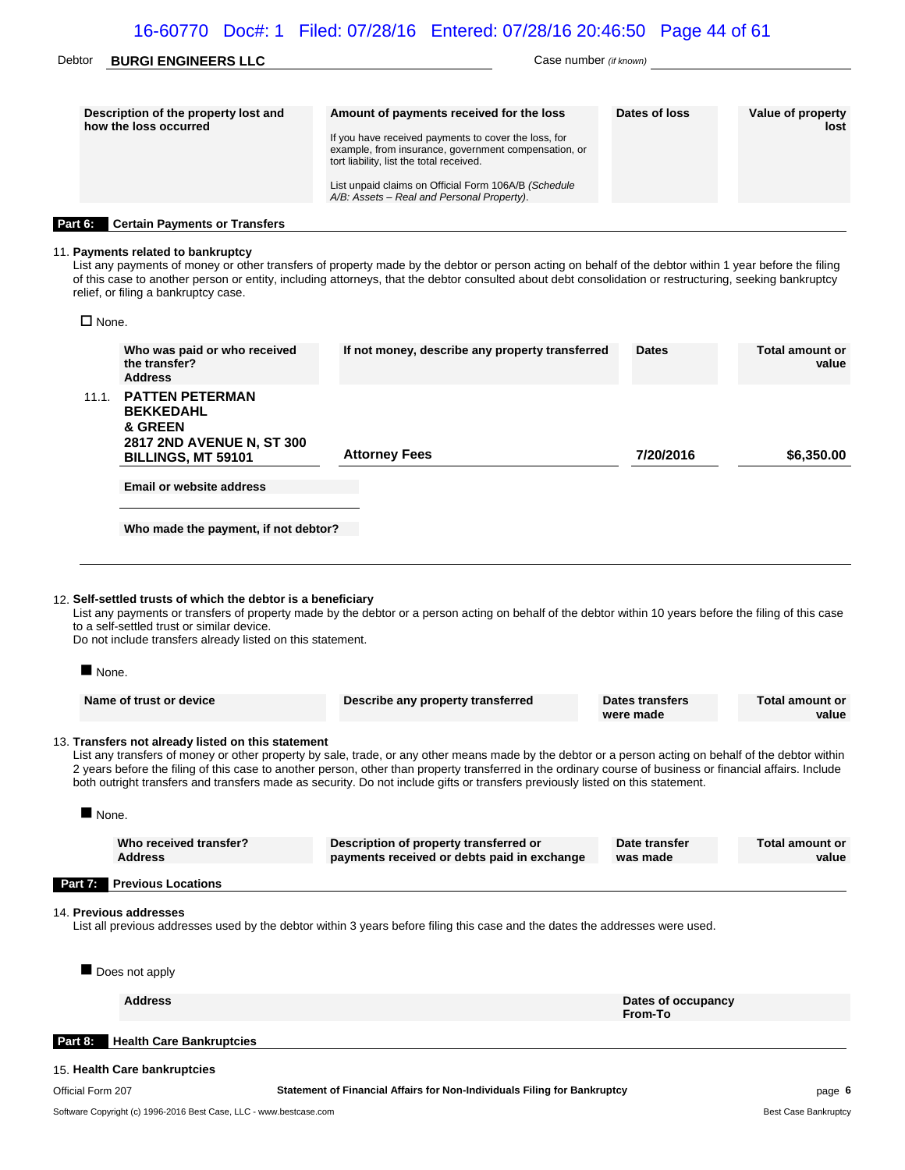| Debtor  | <b>BURGI ENGINEERS LLC</b>                                    | Case number (if known)                                                                                                                                                                                                                                                                                     |               |                           |  |  |
|---------|---------------------------------------------------------------|------------------------------------------------------------------------------------------------------------------------------------------------------------------------------------------------------------------------------------------------------------------------------------------------------------|---------------|---------------------------|--|--|
|         | Description of the property lost and<br>how the loss occurred | Amount of payments received for the loss<br>If you have received payments to cover the loss, for<br>example, from insurance, government compensation, or<br>tort liability, list the total received.<br>List unpaid claims on Official Form 106A/B (Schedule<br>A/B: Assets – Real and Personal Property). | Dates of loss | Value of property<br>lost |  |  |
| Part 6: | <b>Certain Payments or Transfers</b>                          |                                                                                                                                                                                                                                                                                                            |               |                           |  |  |

### 11. **Payments related to bankruptcy**

List any payments of money or other transfers of property made by the debtor or person acting on behalf of the debtor within 1 year before the filing of this case to another person or entity, including attorneys, that the debtor consulted about debt consolidation or restructuring, seeking bankruptcy relief, or filing a bankruptcy case.

 $\square$  None.

|                      | Who was paid or who received<br>the transfer?                                                                                                                            | If not money, describe any property transferred                                                                                                                                                                                                                                                                                                                                                                                                       | <b>Dates</b>                 | <b>Total amount or</b><br>value |
|----------------------|--------------------------------------------------------------------------------------------------------------------------------------------------------------------------|-------------------------------------------------------------------------------------------------------------------------------------------------------------------------------------------------------------------------------------------------------------------------------------------------------------------------------------------------------------------------------------------------------------------------------------------------------|------------------------------|---------------------------------|
| 11.1.                | <b>Address</b><br><b>PATTEN PETERMAN</b><br><b>BEKKEDAHL</b><br>& GREEN<br>2817 2ND AVENUE N, ST 300<br>BILLINGS, MT 59101                                               | <b>Attorney Fees</b>                                                                                                                                                                                                                                                                                                                                                                                                                                  | 7/20/2016                    | \$6,350.00                      |
|                      | <b>Email or website address</b>                                                                                                                                          |                                                                                                                                                                                                                                                                                                                                                                                                                                                       |                              |                                 |
|                      | Who made the payment, if not debtor?                                                                                                                                     |                                                                                                                                                                                                                                                                                                                                                                                                                                                       |                              |                                 |
| None.                | 12. Self-settled trusts of which the debtor is a beneficiary<br>to a self-settled trust or similar device.<br>Do not include transfers already listed on this statement. | List any payments or transfers of property made by the debtor or a person acting on behalf of the debtor within 10 years before the filing of this case                                                                                                                                                                                                                                                                                               |                              |                                 |
|                      | Name of trust or device                                                                                                                                                  | Describe any property transferred                                                                                                                                                                                                                                                                                                                                                                                                                     | Dates transfers<br>were made | <b>Total amount or</b><br>value |
|                      | 13. Transfers not already listed on this statement                                                                                                                       | List any transfers of money or other property by sale, trade, or any other means made by the debtor or a person acting on behalf of the debtor within<br>2 years before the filing of this case to another person, other than property transferred in the ordinary course of business or financial affairs. Include<br>both outright transfers and transfers made as security. Do not include gifts or transfers previously listed on this statement. |                              |                                 |
| $\blacksquare$ None. |                                                                                                                                                                          |                                                                                                                                                                                                                                                                                                                                                                                                                                                       |                              |                                 |
|                      | Who received transfer?<br><b>Address</b>                                                                                                                                 | Description of property transferred or<br>payments received or debts paid in exchange                                                                                                                                                                                                                                                                                                                                                                 | Date transfer<br>was made    | <b>Total amount or</b><br>value |
| Part 7:              | <b>Previous Locations</b>                                                                                                                                                |                                                                                                                                                                                                                                                                                                                                                                                                                                                       |                              |                                 |
|                      | 14. Previous addresses<br>Does not apply                                                                                                                                 | List all previous addresses used by the debtor within 3 years before filing this case and the dates the addresses were used.                                                                                                                                                                                                                                                                                                                          |                              |                                 |
|                      | <b>Address</b>                                                                                                                                                           |                                                                                                                                                                                                                                                                                                                                                                                                                                                       | Dates of occupancy           |                                 |
|                      |                                                                                                                                                                          |                                                                                                                                                                                                                                                                                                                                                                                                                                                       | From-To                      |                                 |
| Part 8:              | <b>Health Care Bankruptcies</b>                                                                                                                                          |                                                                                                                                                                                                                                                                                                                                                                                                                                                       |                              |                                 |
|                      | 15. Health Care bankruptcies                                                                                                                                             |                                                                                                                                                                                                                                                                                                                                                                                                                                                       |                              |                                 |
| Official Form 207    |                                                                                                                                                                          | Statement of Financial Affairs for Non-Individuals Filing for Bankruptcy                                                                                                                                                                                                                                                                                                                                                                              |                              | page 6                          |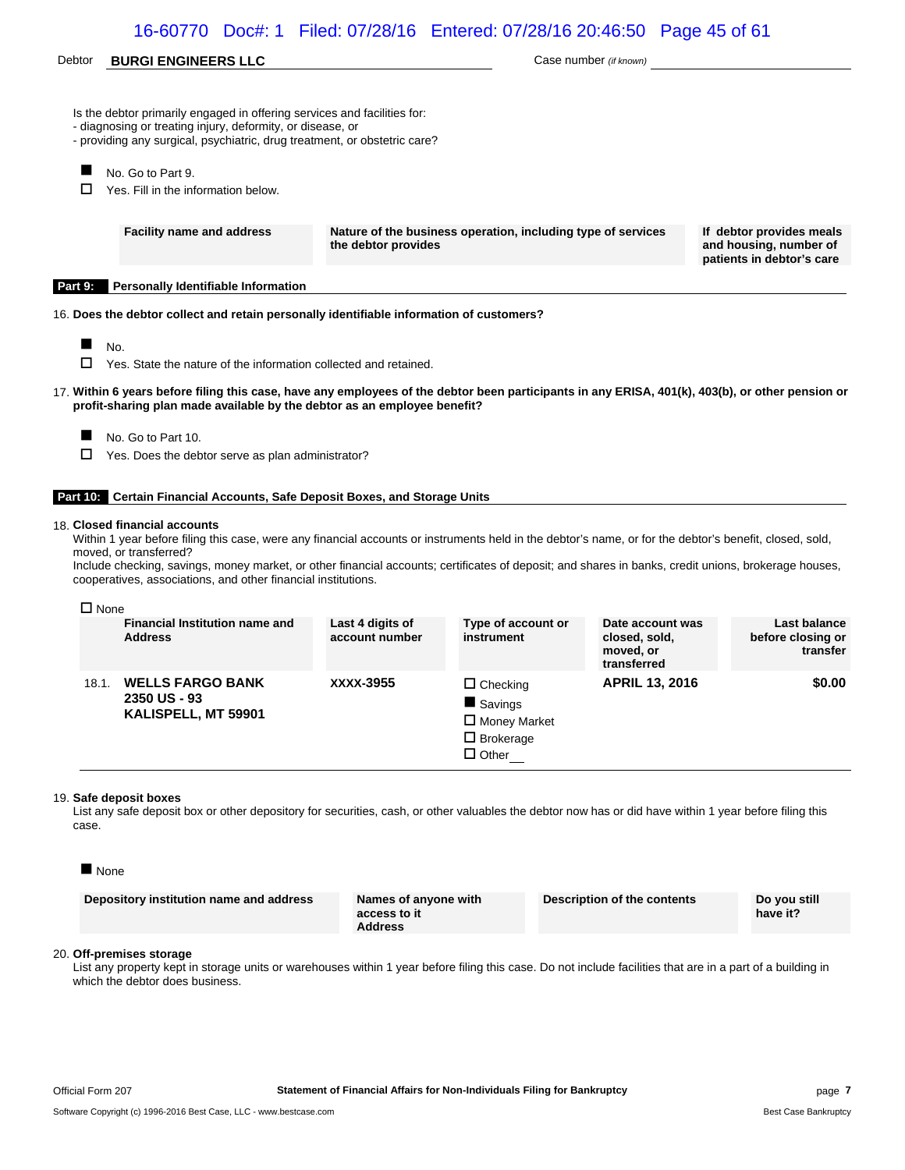### 16-60770 Doc#: 1 Filed: 07/28/16 Entered: 07/28/16 20:46:50 Page 45 of 61

### Debtor **BURGI ENGINEERS LLC Case number** *(if known)* Case number *(if known)*

|  |  |  | Is the debtor primarily engaged in offering services and facilities for: |  |
|--|--|--|--------------------------------------------------------------------------|--|
|  |  |  |                                                                          |  |

- diagnosing or treating injury, deformity, or disease, or
- providing any surgical, psychiatric, drug treatment, or obstetric care?
- No. Go to Part 9.

 $\Box$  Yes. Fill in the information below.

**Facility name and address Nature of the business operation, including type of services the debtor provides**

**If debtor provides meals and housing, number of patients in debtor's care**

**Part 9: Personally Identifiable Information**

16. **Does the debtor collect and retain personally identifiable information of customers?**

 $N_{\rm O}$ .

|  |  |  | $\Box$ Yes. State the nature of the information collected and retained. |  |  |
|--|--|--|-------------------------------------------------------------------------|--|--|
|--|--|--|-------------------------------------------------------------------------|--|--|

- 17. **Within 6 years before filing this case, have any employees of the debtor been participants in any ERISA, 401(k), 403(b), or other pension or profit-sharing plan made available by the debtor as an employee benefit?**
	- No. Go to Part 10.
	- $\Box$  Yes. Does the debtor serve as plan administrator?

#### **Part 10: Certain Financial Accounts, Safe Deposit Boxes, and Storage Units**

#### 18. **Closed financial accounts**

Within 1 year before filing this case, were any financial accounts or instruments held in the debtor's name, or for the debtor's benefit, closed, sold, moved, or transferred?

Include checking, savings, money market, or other financial accounts; certificates of deposit; and shares in banks, credit unions, brokerage houses, cooperatives, associations, and other financial institutions.

#### $\square$  None

|       | <b>Financial Institution name and</b><br><b>Address</b>        | Last 4 digits of<br>account number | Type of account or<br>instrument                                                      | Date account was<br>closed, sold,<br>moved, or<br>transferred | Last balance<br>before closing or<br>transfer |
|-------|----------------------------------------------------------------|------------------------------------|---------------------------------------------------------------------------------------|---------------------------------------------------------------|-----------------------------------------------|
| 18.1. | <b>WELLS FARGO BANK</b><br>2350 US - 93<br>KALISPELL, MT 59901 | XXXX-3955                          | $\Box$ Checking<br>Savings<br>$\Box$ Money Market<br>$\Box$ Brokerage<br>$\Box$ Other | <b>APRIL 13, 2016</b>                                         | \$0.00                                        |

#### 19. **Safe deposit boxes**

List any safe deposit box or other depository for securities, cash, or other valuables the debtor now has or did have within 1 year before filing this case.

| ۱г<br>ı<br>0<br>۰,<br>× |
|-------------------------|
|-------------------------|

#### 20. **Off-premises storage**

List any property kept in storage units or warehouses within 1 year before filing this case. Do not include facilities that are in a part of a building in which the debtor does business.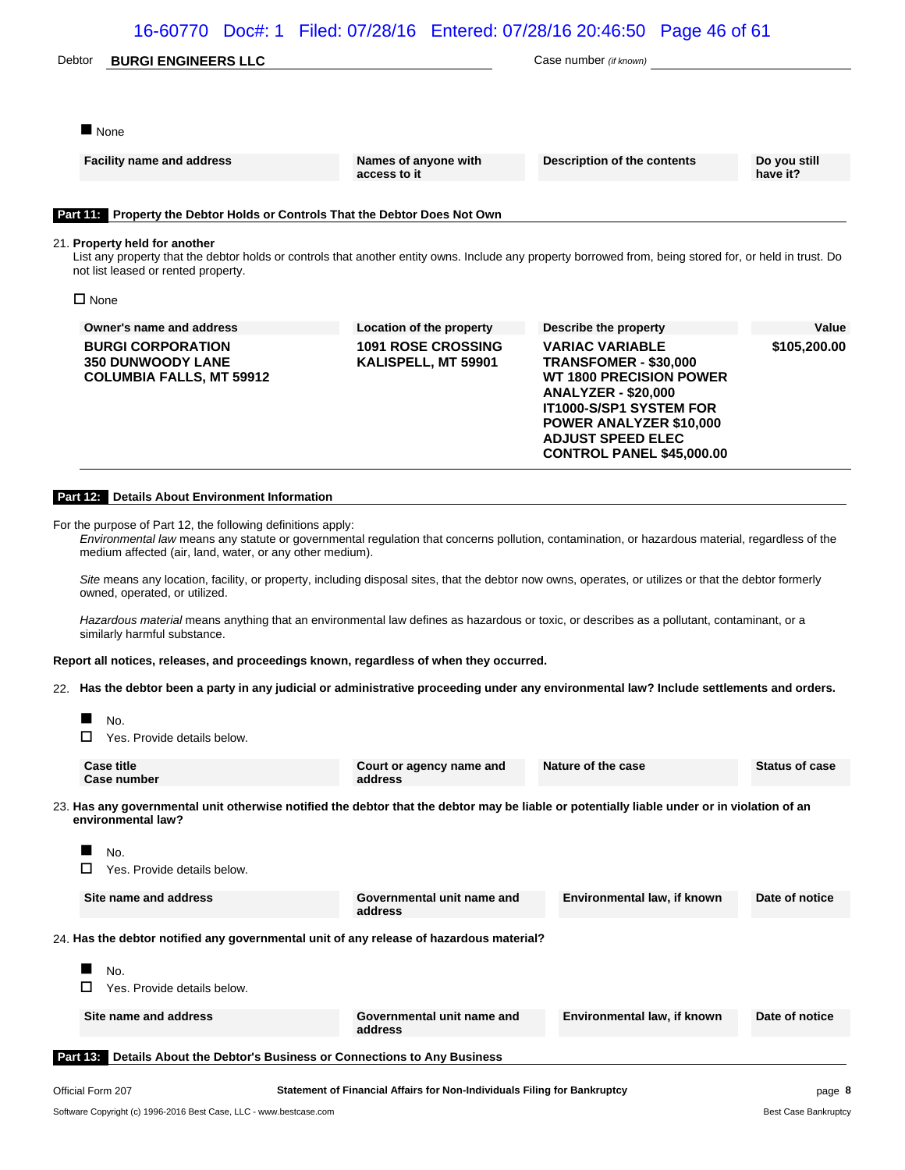| Debtor | <b>BURGI ENGINEERS LLC</b> |
|--------|----------------------------|
|--------|----------------------------|

Case number (if known)

None

**Facility name and address <b>Names** of anyone with

**access to it**

**Description of the contents Do you still**

**have it?**

### **Part 11: Property the Debtor Holds or Controls That the Debtor Does Not Own**

#### 21. **Property held for another**

List any property that the debtor holds or controls that another entity owns. Include any property borrowed from, being stored for, or held in trust. Do not list leased or rented property.

□ None

| Owner's name and address                                                                | Location of the property                         | Describe the property                                                                                                                                                                                                                                      | Value        |
|-----------------------------------------------------------------------------------------|--------------------------------------------------|------------------------------------------------------------------------------------------------------------------------------------------------------------------------------------------------------------------------------------------------------------|--------------|
| <b>BURGI CORPORATION</b><br><b>350 DUNWOODY LANE</b><br><b>COLUMBIA FALLS, MT 59912</b> | <b>1091 ROSE CROSSING</b><br>KALISPELL, MT 59901 | <b>VARIAC VARIABLE</b><br><b>TRANSFOMER - \$30,000</b><br><b>WT 1800 PRECISION POWER</b><br><b>ANALYZER - \$20,000</b><br><b>IT1000-S/SP1 SYSTEM FOR</b><br><b>POWER ANALYZER \$10,000</b><br><b>ADJUST SPEED ELEC</b><br><b>CONTROL PANEL \$45,000.00</b> | \$105,200.00 |

#### **Part 12: Details About Environment Information**

For the purpose of Part 12, the following definitions apply:

*Environmental law* means any statute or governmental regulation that concerns pollution, contamination, or hazardous material, regardless of the medium affected (air, land, water, or any other medium).

*Site* means any location, facility, or property, including disposal sites, that the debtor now owns, operates, or utilizes or that the debtor formerly owned, operated, or utilized.

*Hazardous material* means anything that an environmental law defines as hazardous or toxic, or describes as a pollutant, contaminant, or a similarly harmful substance.

**Report all notices, releases, and proceedings known, regardless of when they occurred.**

22. **Has the debtor been a party in any judicial or administrative proceeding under any environmental law? Include settlements and orders.**



□ Yes. Provide details below.

| Case title<br>Case number                                                                                                                                         | Court or agency name and<br>address | Nature of the case | <b>Status of case</b> |
|-------------------------------------------------------------------------------------------------------------------------------------------------------------------|-------------------------------------|--------------------|-----------------------|
| 23. Has any governmental unit otherwise notified the debtor that the debtor may be liable or potentially liable under or in violation of an<br>environmental law? |                                     |                    |                       |

| Official Form 207 |                                                                    | Statement of Financial Affairs for Non-Individuals Filing for Bankruptcy                |                             | page 8         |
|-------------------|--------------------------------------------------------------------|-----------------------------------------------------------------------------------------|-----------------------------|----------------|
| <b>Part 13:</b>   | Details About the Debtor's Business or Connections to Any Business |                                                                                         |                             |                |
|                   | Site name and address                                              | Governmental unit name and<br>address                                                   | Environmental law, if known | Date of notice |
|                   | No.<br>Yes. Provide details below.                                 |                                                                                         |                             |                |
|                   |                                                                    | 24. Has the debtor notified any governmental unit of any release of hazardous material? |                             |                |
|                   | Site name and address                                              | Governmental unit name and<br>address                                                   | Environmental law, if known | Date of notice |
|                   | No.<br>Yes. Provide details below.                                 |                                                                                         |                             |                |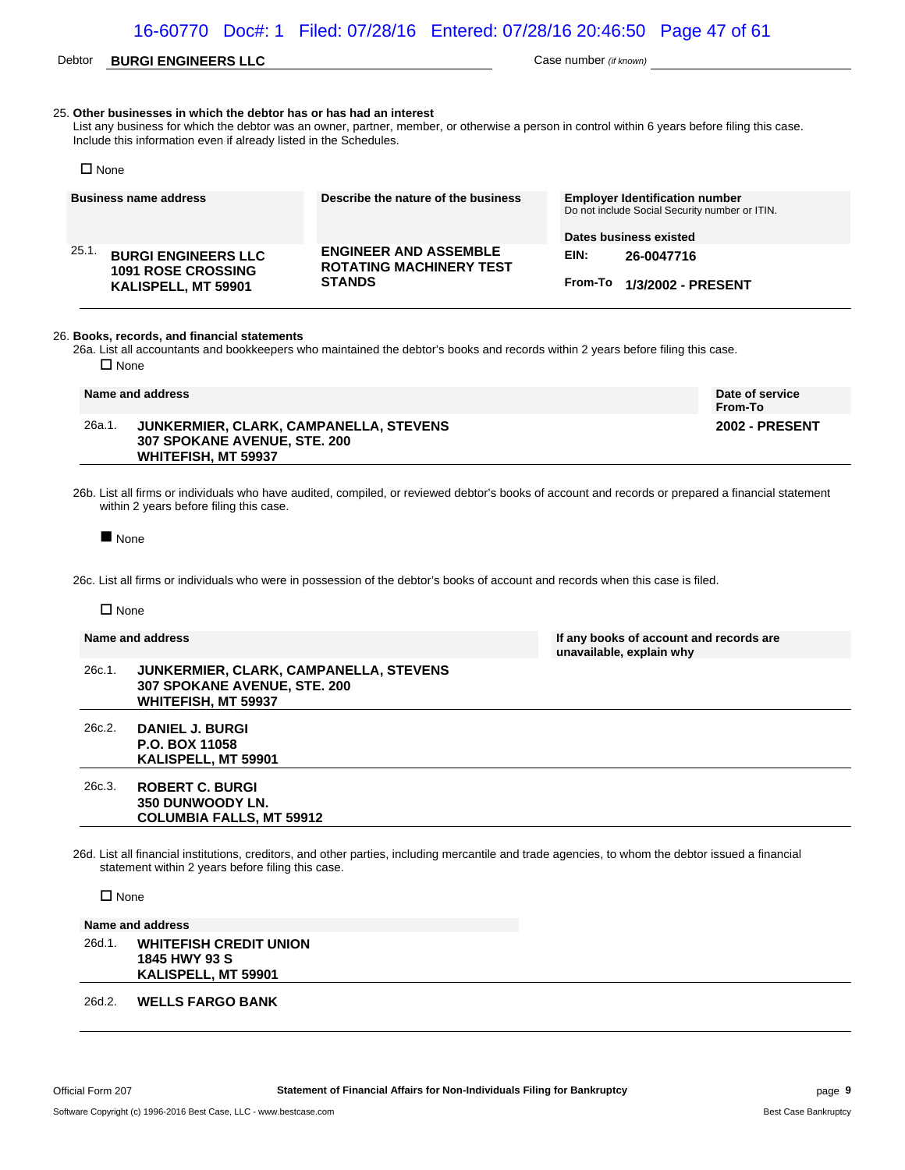### Debtor **BURGI ENGINEERS LLC** Case number *(if known)*

**unavailable, explain why**

#### 25. **Other businesses in which the debtor has or has had an interest**

List any business for which the debtor was an owner, partner, member, or otherwise a person in control within 6 years before filing this case. Include this information even if already listed in the Schedules.

| $\square$ None                                                                         |                                                                                 |                                                                                                                   |
|----------------------------------------------------------------------------------------|---------------------------------------------------------------------------------|-------------------------------------------------------------------------------------------------------------------|
| <b>Business name address</b>                                                           | Describe the nature of the business                                             | <b>Employer Identification number</b><br>Do not include Social Security number or ITIN.<br>Dates business existed |
| 25.1<br><b>BURGI ENGINEERS LLC</b><br><b>1091 ROSE CROSSING</b><br>KALISPELL, MT 59901 | <b>ENGINEER AND ASSEMBLE</b><br><b>ROTATING MACHINERY TEST</b><br><b>STANDS</b> | EIN:<br>26-0047716<br>From-To<br>1/3/2002 - PRESENT                                                               |

#### 26. **Books, records, and financial statements**

26a. List all accountants and bookkeepers who maintained the debtor's books and records within 2 years before filing this case.  $\square$  None

| Name and address |                                                                                                             | Date of service<br>From-To |
|------------------|-------------------------------------------------------------------------------------------------------------|----------------------------|
| 26a.1.           | JUNKERMIER. CLARK. CAMPANELLA. STEVENS<br><b>307 SPOKANE AVENUE, STE, 200</b><br><b>WHITEFISH, MT 59937</b> | <b>2002 - PRESENT</b>      |

26b. List all firms or individuals who have audited, compiled, or reviewed debtor's books of account and records or prepared a financial statement within 2 years before filing this case.

None

26c. List all firms or individuals who were in possession of the debtor's books of account and records when this case is filed.

#### $\n **Name**\n$

#### **Name and address If any books of account and records are**

26c.1. **JUNKERMIER, CLARK, CAMPANELLA, STEVENS 307 SPOKANE AVENUE, STE. 200 WHITEFISH, MT 59937**

26c.2. **DANIEL J. BURGI P.O. BOX 11058 KALISPELL, MT 59901**

#### 26c.3. **ROBERT C. BURGI 350 DUNWOODY LN. COLUMBIA FALLS, MT 59912**

26d. List all financial institutions, creditors, and other parties, including mercantile and trade agencies, to whom the debtor issued a financial statement within 2 years before filing this case.

□ None

**Name and address** 26d.1. **WHITEFISH CREDIT UNION 1845 HWY 93 S KALISPELL, MT 59901**

#### 26d.2. **WELLS FARGO BANK**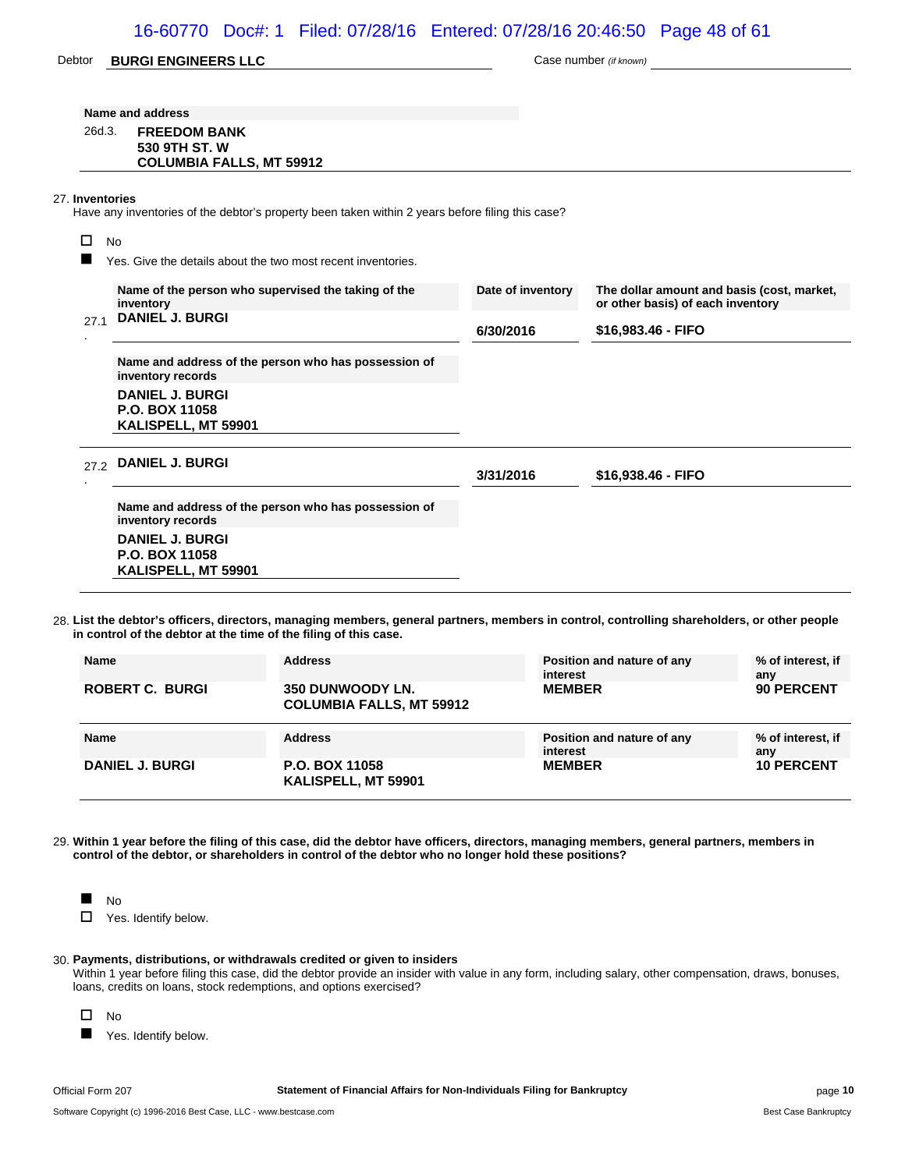### 16-60770 Doc#: 1 Filed: 07/28/16 Entered: 07/28/16 20:46:50 Page 48 of 61

| Debtor          | <b>BURGI ENGINEERS LLC</b>                                                                       |                   | Case number (if known)                                                          |
|-----------------|--------------------------------------------------------------------------------------------------|-------------------|---------------------------------------------------------------------------------|
|                 | Name and address                                                                                 |                   |                                                                                 |
| 26d.3.          | <b>FREEDOM BANK</b>                                                                              |                   |                                                                                 |
|                 | 530 9TH ST. W<br><b>COLUMBIA FALLS, MT 59912</b>                                                 |                   |                                                                                 |
| 27. Inventories | Have any inventories of the debtor's property been taken within 2 years before filing this case? |                   |                                                                                 |
| п<br><b>No</b>  |                                                                                                  |                   |                                                                                 |
|                 | Yes. Give the details about the two most recent inventories.                                     |                   |                                                                                 |
|                 | Name of the person who supervised the taking of the<br>inventory                                 | Date of inventory | The dollar amount and basis (cost, market,<br>or other basis) of each inventory |
| 27.1            | <b>DANIEL J. BURGI</b>                                                                           | 6/30/2016         | \$16,983.46 - FIFO                                                              |
|                 | Name and address of the person who has possession of<br>inventory records                        |                   |                                                                                 |
|                 | <b>DANIEL J. BURGI</b><br>P.O. BOX 11058<br>KALISPELL, MT 59901                                  |                   |                                                                                 |
|                 | 27.2 DANIEL J. BURGI                                                                             | 3/31/2016         | \$16,938.46 - FIFO                                                              |
|                 | Name and address of the person who has possession of<br>inventory records                        |                   |                                                                                 |
|                 | <b>DANIEL J. BURGI</b><br>P.O. BOX 11058<br>KALISPELL, MT 59901                                  |                   |                                                                                 |

28. **List the debtor's officers, directors, managing members, general partners, members in control, controlling shareholders, or other people in control of the debtor at the time of the filing of this case.**

| <b>Name</b>            | <b>Address</b>                                      | Position and nature of any<br>interest | % of interest, if<br>anv |
|------------------------|-----------------------------------------------------|----------------------------------------|--------------------------|
| <b>ROBERT C. BURGI</b> | 350 DUNWOODY LN.<br><b>COLUMBIA FALLS, MT 59912</b> | <b>MEMBER</b>                          | 90 PERCENT               |
|                        |                                                     |                                        |                          |
| <b>Name</b>            | <b>Address</b>                                      | Position and nature of any<br>interest | % of interest, if<br>anv |

29. **Within 1 year before the filing of this case, did the debtor have officers, directors, managing members, general partners, members in control of the debtor, or shareholders in control of the debtor who no longer hold these positions?**



#### 30. **Payments, distributions, or withdrawals credited or given to insiders**

Within 1 year before filing this case, did the debtor provide an insider with value in any form, including salary, other compensation, draws, bonuses, loans, credits on loans, stock redemptions, and options exercised?



**Now Yes. Identify below.**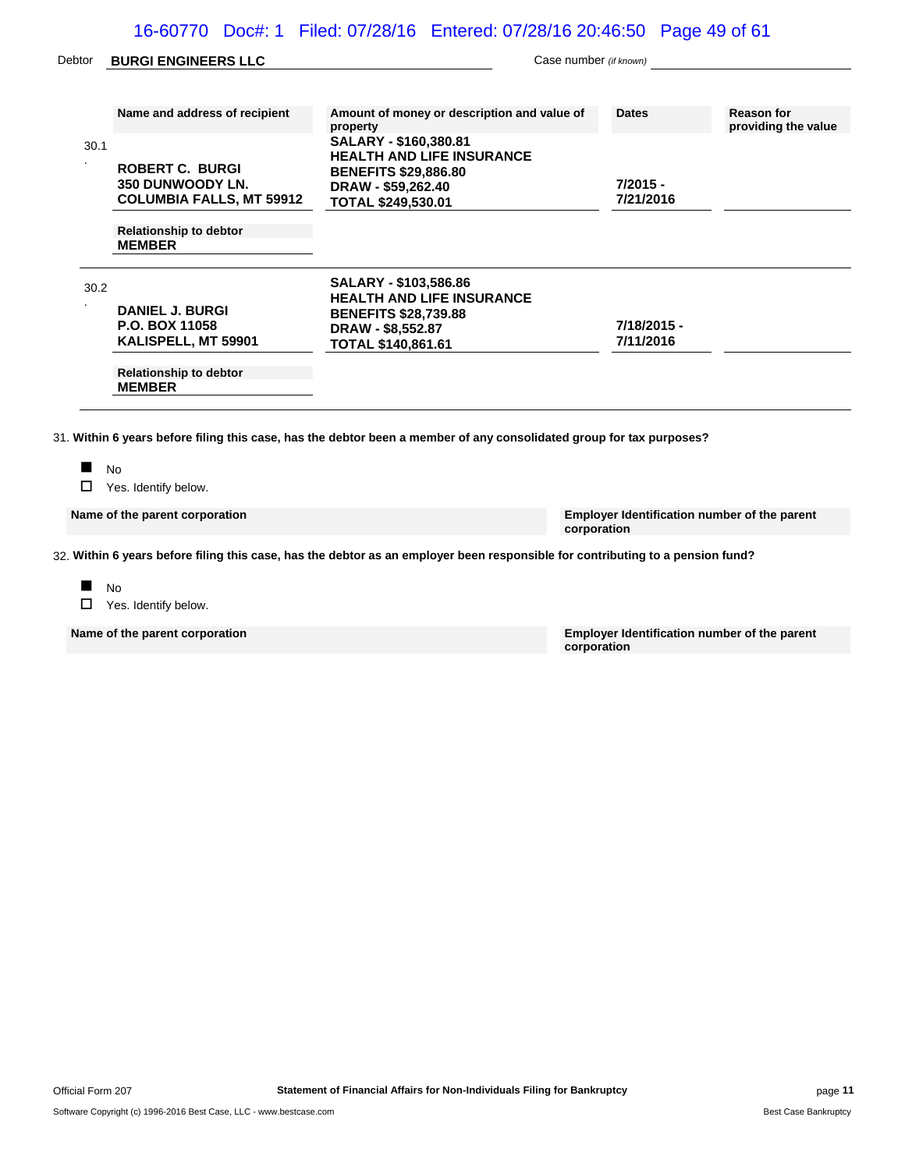### 16-60770 Doc#: 1 Filed: 07/28/16 Entered: 07/28/16 20:46:50 Page 49 of 61

| Debtor | <b>BURGI ENGINEERS LLC</b>                                                    | Case number (if known)                                                                                                                      |                          |                                          |
|--------|-------------------------------------------------------------------------------|---------------------------------------------------------------------------------------------------------------------------------------------|--------------------------|------------------------------------------|
|        | Name and address of recipient                                                 | Amount of money or description and value of<br>property                                                                                     | <b>Dates</b>             | <b>Reason for</b><br>providing the value |
| 30.1   | <b>ROBERT C. BURGI</b><br>350 DUNWOODY LN.<br><b>COLUMBIA FALLS, MT 59912</b> | SALARY - \$160,380.81<br><b>HEALTH AND LIFE INSURANCE</b><br><b>BENEFITS \$29,886.80</b><br>DRAW - \$59,262.40<br><b>TOTAL \$249,530.01</b> | $7/2015 -$<br>7/21/2016  |                                          |
|        | <b>Relationship to debtor</b><br><b>MEMBER</b>                                |                                                                                                                                             |                          |                                          |
| 30.2   | <b>DANIEL J. BURGI</b><br><b>P.O. BOX 11058</b><br>KALISPELL, MT 59901        | SALARY - \$103,586.86<br><b>HEALTH AND LIFE INSURANCE</b><br><b>BENEFITS \$28,739.88</b><br>DRAW - \$8,552.87<br><b>TOTAL \$140,861.61</b>  | 7/18/2015 -<br>7/11/2016 |                                          |
|        | <b>Relationship to debtor</b><br><b>MEMBER</b>                                |                                                                                                                                             |                          |                                          |

□ Yes. Identify below.

**Name of the parent corporation Employer Identification number of the parent corporation**

32. **Within 6 years before filing this case, has the debtor as an employer been responsible for contributing to a pension fund?**

 $N<sub>0</sub>$ □ Yes. Identify below.

**Name of the parent corporation Employer Identification number of the parent corporation**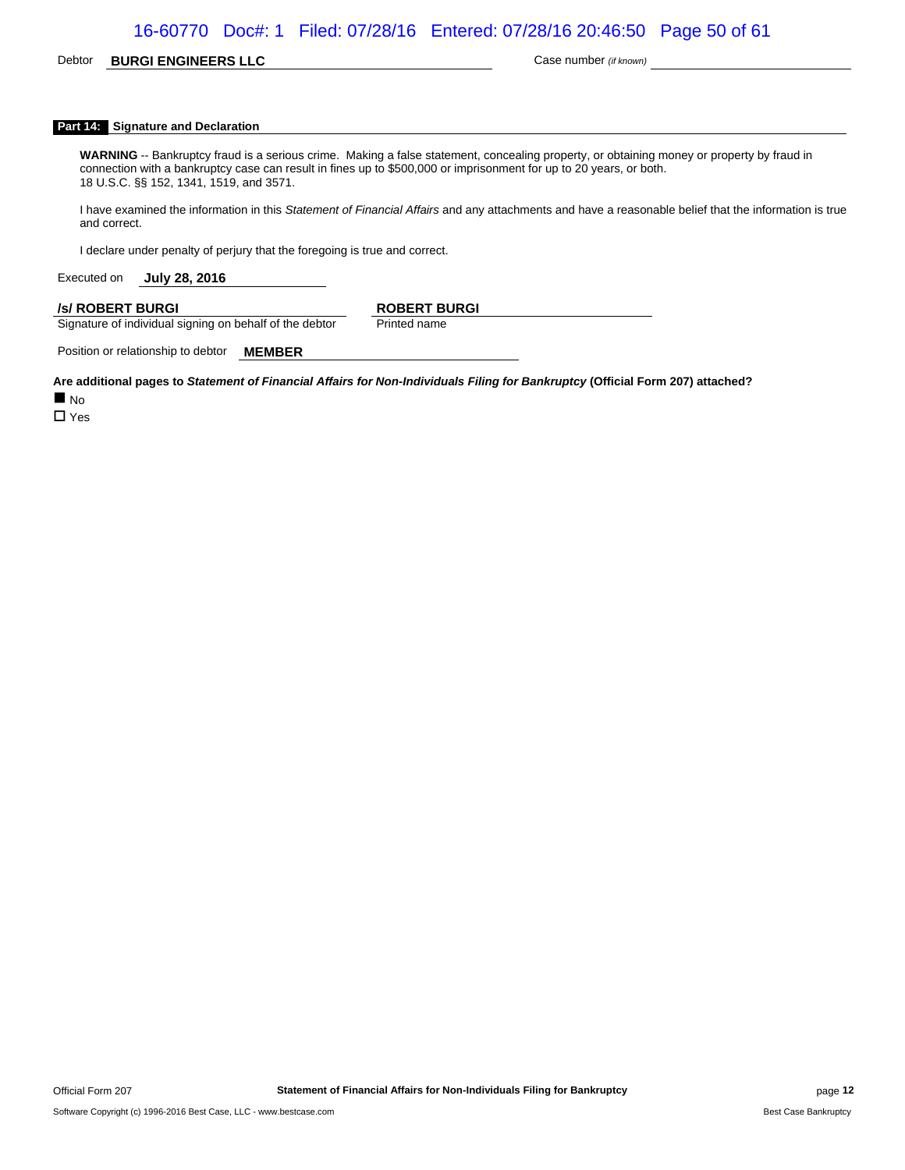### 16-60770 Doc#: 1 Filed: 07/28/16 Entered: 07/28/16 20:46:50 Page 50 of 61

### Debtor **BURGI ENGINEERS LLC** Case number *(if known)*

#### **Part 14: Signature and Declaration**

**WARNING** -- Bankruptcy fraud is a serious crime. Making a false statement, concealing property, or obtaining money or property by fraud in connection with a bankruptcy case can result in fines up to \$500,000 or imprisonment for up to 20 years, or both. 18 U.S.C. §§ 152, 1341, 1519, and 3571.

I have examined the information in this *Statement of Financial Affairs* and any attachments and have a reasonable belief that the information is true and correct.

I declare under penalty of perjury that the foregoing is true and correct.

Executed on **July 28, 2016**

#### **/s/ ROBERT BURGI ROBERT BURGI**

Signature of individual signing on behalf of the debtor Printed name

Position or relationship to debtor **MEMBER**

**Are additional pages to** *Statement of Financial Affairs for Non-Individuals Filing for Bankruptcy* **(Official Form 207) attached?**

 $\blacksquare$  No

 $\Box$  Yes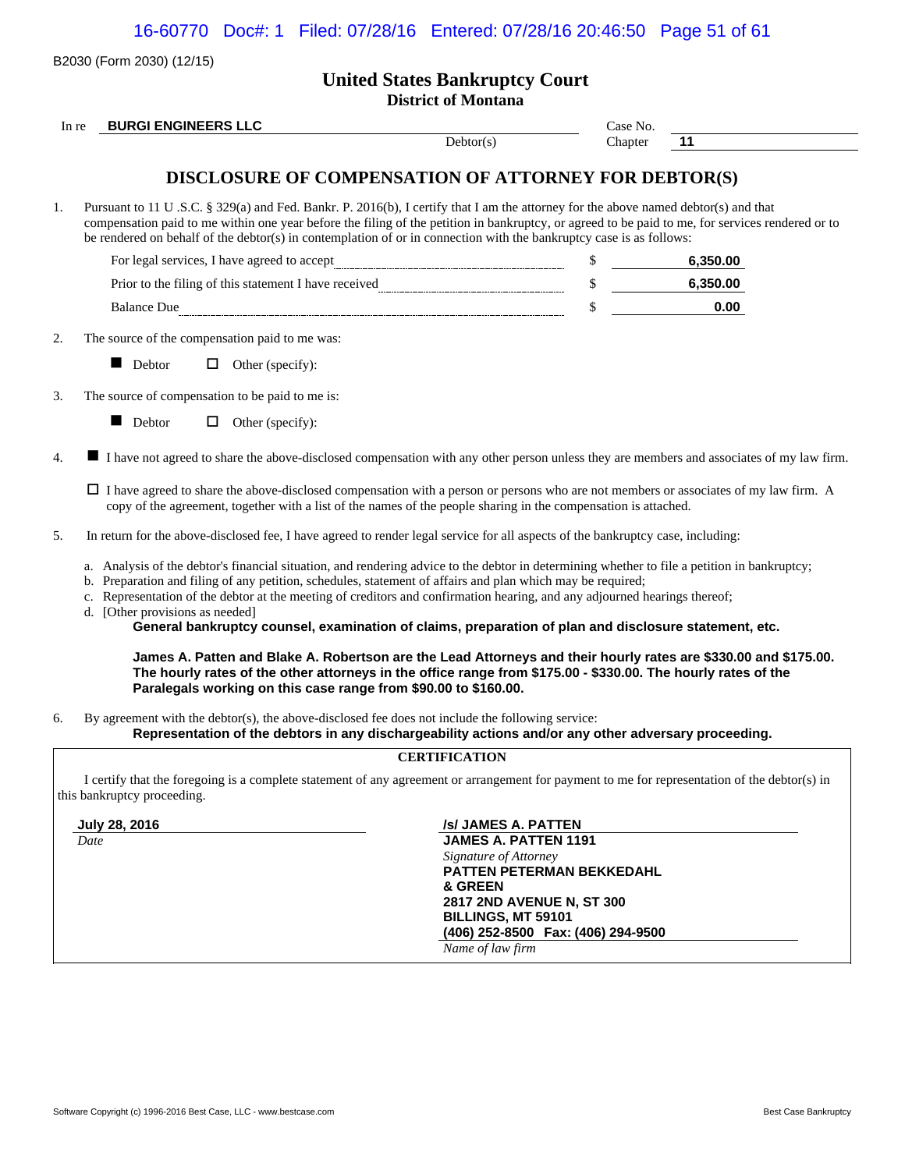16-60770 Doc#: 1 Filed: 07/28/16 Entered: 07/28/16 20:46:50 Page 51 of 61

|          | B2030 (Form 2030) (12/15)                                                                                                                                                                                                                                                                                                                                                                                                                                                                                                                                          |                                                                     |          |          |
|----------|--------------------------------------------------------------------------------------------------------------------------------------------------------------------------------------------------------------------------------------------------------------------------------------------------------------------------------------------------------------------------------------------------------------------------------------------------------------------------------------------------------------------------------------------------------------------|---------------------------------------------------------------------|----------|----------|
|          |                                                                                                                                                                                                                                                                                                                                                                                                                                                                                                                                                                    | <b>United States Bankruptcy Court</b><br><b>District of Montana</b> |          |          |
| In re    | <b>BURGI ENGINEERS LLC</b>                                                                                                                                                                                                                                                                                                                                                                                                                                                                                                                                         |                                                                     | Case No. |          |
|          |                                                                                                                                                                                                                                                                                                                                                                                                                                                                                                                                                                    | Debtor(s)                                                           | Chapter  | 11       |
|          | DISCLOSURE OF COMPENSATION OF ATTORNEY FOR DEBTOR(S)                                                                                                                                                                                                                                                                                                                                                                                                                                                                                                               |                                                                     |          |          |
|          | Pursuant to 11 U .S.C. § 329(a) and Fed. Bankr. P. 2016(b), I certify that I am the attorney for the above named debtor(s) and that<br>compensation paid to me within one year before the filing of the petition in bankruptcy, or agreed to be paid to me, for services rendered or to<br>be rendered on behalf of the debtor(s) in contemplation of or in connection with the bankruptcy case is as follows:                                                                                                                                                     |                                                                     |          |          |
|          | $\label{thm:2} \textbf{For legal services, I have agreed to accept} \underline{\textit{m}m} \underline{\textit{m}m} \underline{\textit{m}m} \underline{\textit{m}m} \underline{\textit{m}m} \underline{\textit{m}m} \underline{\textit{m}m} \underline{\textit{m}m} \underline{\textit{m}m} \underline{\textit{m}m} \underline{\textit{m}m} \underline{\textit{m}m} \underline{\textit{m}m} \underline{\textit{m}m} \underline{\textit{m}m} \underline{\textit{m}m} \underline{\textit{m}m} \underline{\textit{m}m} \underline{\textit{m}m} \underline{\textit{m}$ |                                                                     |          | 6,350.00 |
|          |                                                                                                                                                                                                                                                                                                                                                                                                                                                                                                                                                                    |                                                                     | \$       | 6,350.00 |
|          | Balance Due                                                                                                                                                                                                                                                                                                                                                                                                                                                                                                                                                        |                                                                     | \$       | 0.00     |
|          | The source of the compensation paid to me was:                                                                                                                                                                                                                                                                                                                                                                                                                                                                                                                     |                                                                     |          |          |
|          | Debtor<br>ш<br>$\Box$ Other (specify):                                                                                                                                                                                                                                                                                                                                                                                                                                                                                                                             |                                                                     |          |          |
|          | The source of compensation to be paid to me is:                                                                                                                                                                                                                                                                                                                                                                                                                                                                                                                    |                                                                     |          |          |
|          | Debtor<br>$\Box$ Other (specify):<br><b>In the contract of the contract of the contract of the contract of the contract of the contract of the contract of the contract of the contract of the contract of the contract of the contract of the contract of the contra</b>                                                                                                                                                                                                                                                                                          |                                                                     |          |          |
|          | I have not agreed to share the above-disclosed compensation with any other person unless they are members and associates of my law firm.                                                                                                                                                                                                                                                                                                                                                                                                                           |                                                                     |          |          |
|          |                                                                                                                                                                                                                                                                                                                                                                                                                                                                                                                                                                    |                                                                     |          |          |
|          | $\Box$ I have agreed to share the above-disclosed compensation with a person or persons who are not members or associates of my law firm. A<br>copy of the agreement, together with a list of the names of the people sharing in the compensation is attached.                                                                                                                                                                                                                                                                                                     |                                                                     |          |          |
|          | In return for the above-disclosed fee, I have agreed to render legal service for all aspects of the bankruptcy case, including:                                                                                                                                                                                                                                                                                                                                                                                                                                    |                                                                     |          |          |
|          | a. Analysis of the debtor's financial situation, and rendering advice to the debtor in determining whether to file a petition in bankruptcy;<br>b. Preparation and filing of any petition, schedules, statement of affairs and plan which may be required;<br>c. Representation of the debtor at the meeting of creditors and confirmation hearing, and any adjourned hearings thereof;<br>d. [Other provisions as needed]<br>General bankruptcy counsel, examination of claims, preparation of plan and disclosure statement, etc.                                |                                                                     |          |          |
| 4.<br>5. | James A. Patten and Blake A. Robertson are the Lead Attorneys and their hourly rates are \$330.00 and \$175.00.<br>The hourly rates of the other attorneys in the office range from \$175.00 - \$330.00. The hourly rates of the<br>Paralegals working on this case range from \$90.00 to \$160.00.                                                                                                                                                                                                                                                                |                                                                     |          |          |
| 6.       | By agreement with the debtor(s), the above-disclosed fee does not include the following service:<br>Representation of the debtors in any dischargeability actions and/or any other adversary proceeding.                                                                                                                                                                                                                                                                                                                                                           |                                                                     |          |          |

**July 28, 2016** *July 28, 2016* **<b>***<i>July 28, 2016 <i>Js /s/ JAMES A. PATTEN* 119 *Date* **JAMES A. PATTEN 1191** *Signature of Attorney* **PATTEN PETERMAN BEKKEDAHL & GREEN 2817 2ND AVENUE N, ST 300**

**BILLINGS, MT 59101 (406) 252-8500 Fax: (406) 294-9500**

*Name of law firm*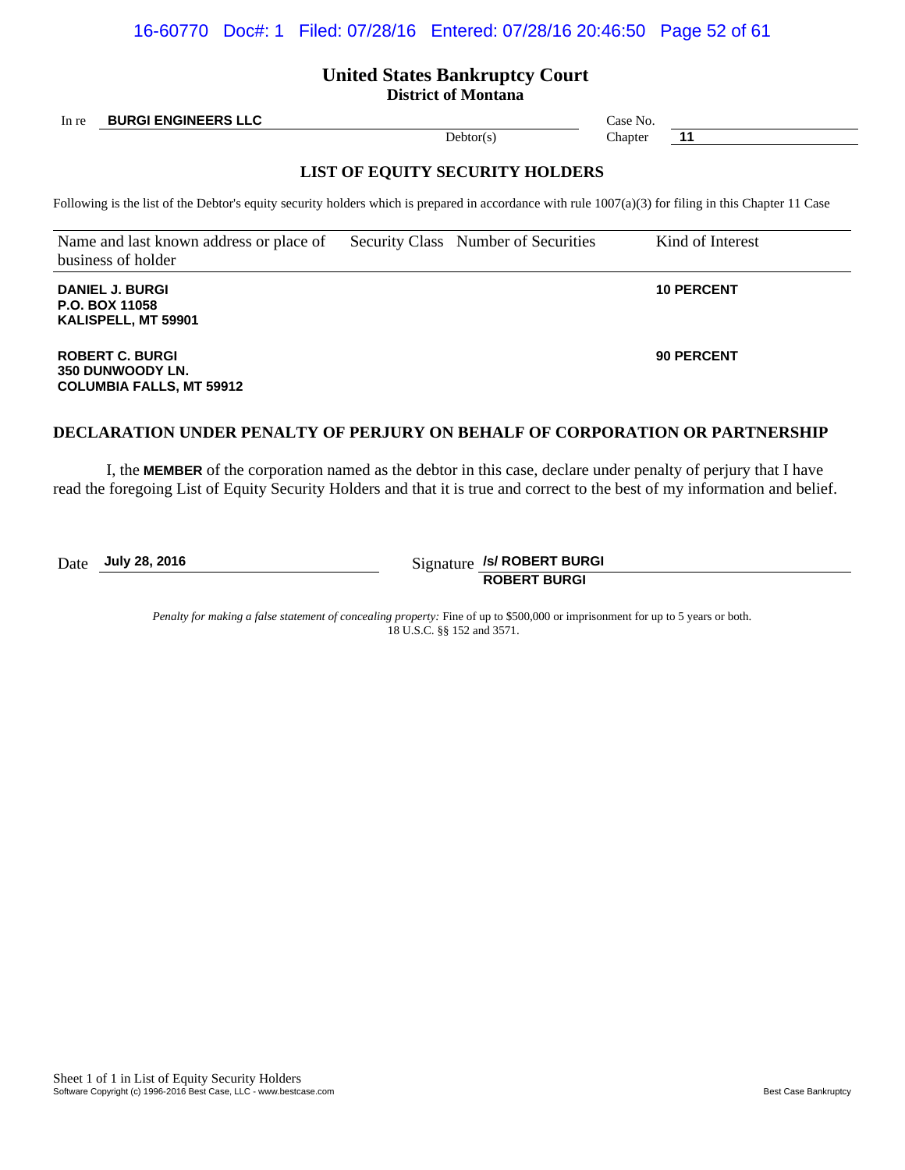### 16-60770 Doc#: 1 Filed: 07/28/16 Entered: 07/28/16 20:46:50 Page 52 of 61

# **United States Bankruptcy Court**

**District of Montana**

In re **BURGI ENGINEERS LLC** Case No.

### **LIST OF EQUITY SECURITY HOLDERS**

Following is the list of the Debtor's equity security holders which is prepared in accordance with rule 1007(a)(3) for filing in this Chapter 11 Case

Name and last known address or place of business of holder Security Class Number of Securities Kind of Interest

**DANIEL J. BURGI P.O. BOX 11058 KALISPELL, MT 59901**

**ROBERT C. BURGI 350 DUNWOODY LN. COLUMBIA FALLS, MT 59912**

### **DECLARATION UNDER PENALTY OF PERJURY ON BEHALF OF CORPORATION OR PARTNERSHIP**

I, the **MEMBER** of the corporation named as the debtor in this case, declare under penalty of perjury that I have read the foregoing List of Equity Security Holders and that it is true and correct to the best of my information and belief.

Date **July 28, 2016** Signature **/s/ ROBERT BURGI ROBERT BURGI**

> *Penalty for making a false statement of concealing property:* Fine of up to \$500,000 or imprisonment for up to 5 years or both. 18 U.S.C. §§ 152 and 3571.

Debtor(s) Chapter **11** 

**10 PERCENT**

**90 PERCENT**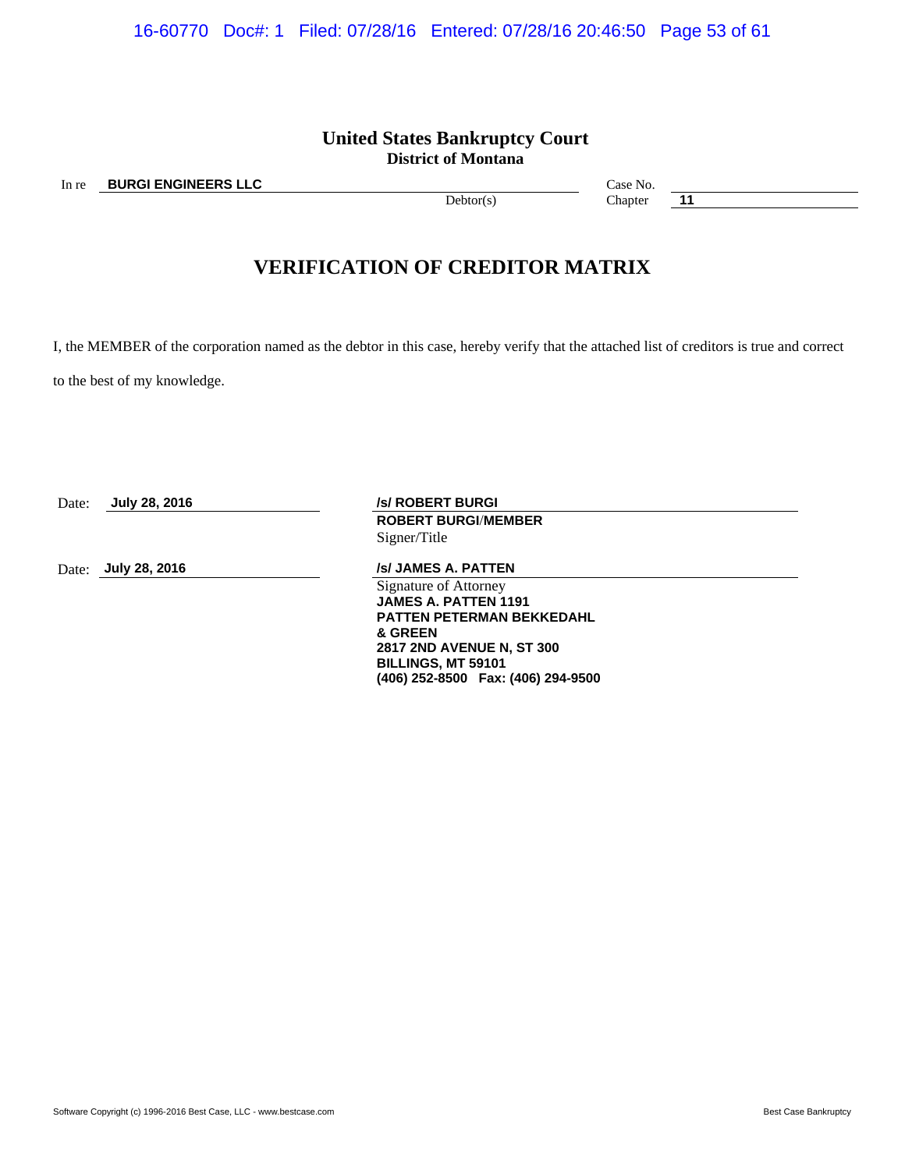### **United States Bankruptcy Court District of Montana**

# **VERIFICATION OF CREDITOR MATRIX**

I, the MEMBER of the corporation named as the debtor in this case, hereby verify that the attached list of creditors is true and correct

to the best of my knowledge.

| Date: | July 28, 2016 | <b>/s/ ROBERT BURGI</b>            |  |
|-------|---------------|------------------------------------|--|
|       |               | <b>ROBERT BURGI/MEMBER</b>         |  |
|       |               | Signer/Title                       |  |
| Date: | July 28, 2016 | /s/ JAMES A. PATTEN                |  |
|       |               | Signature of Attorney              |  |
|       |               | <b>JAMES A. PATTEN 1191</b>        |  |
|       |               | <b>PATTEN PETERMAN BEKKEDAHL</b>   |  |
|       |               | & GREEN                            |  |
|       |               | <b>2817 2ND AVENUE N, ST 300</b>   |  |
|       |               | <b>BILLINGS, MT 59101</b>          |  |
|       |               | (406) 252-8500 Fax: (406) 294-9500 |  |
|       |               |                                    |  |

In re **BURGI ENGINEERS LLC** Case No.

Debtor(s) Chapter **11**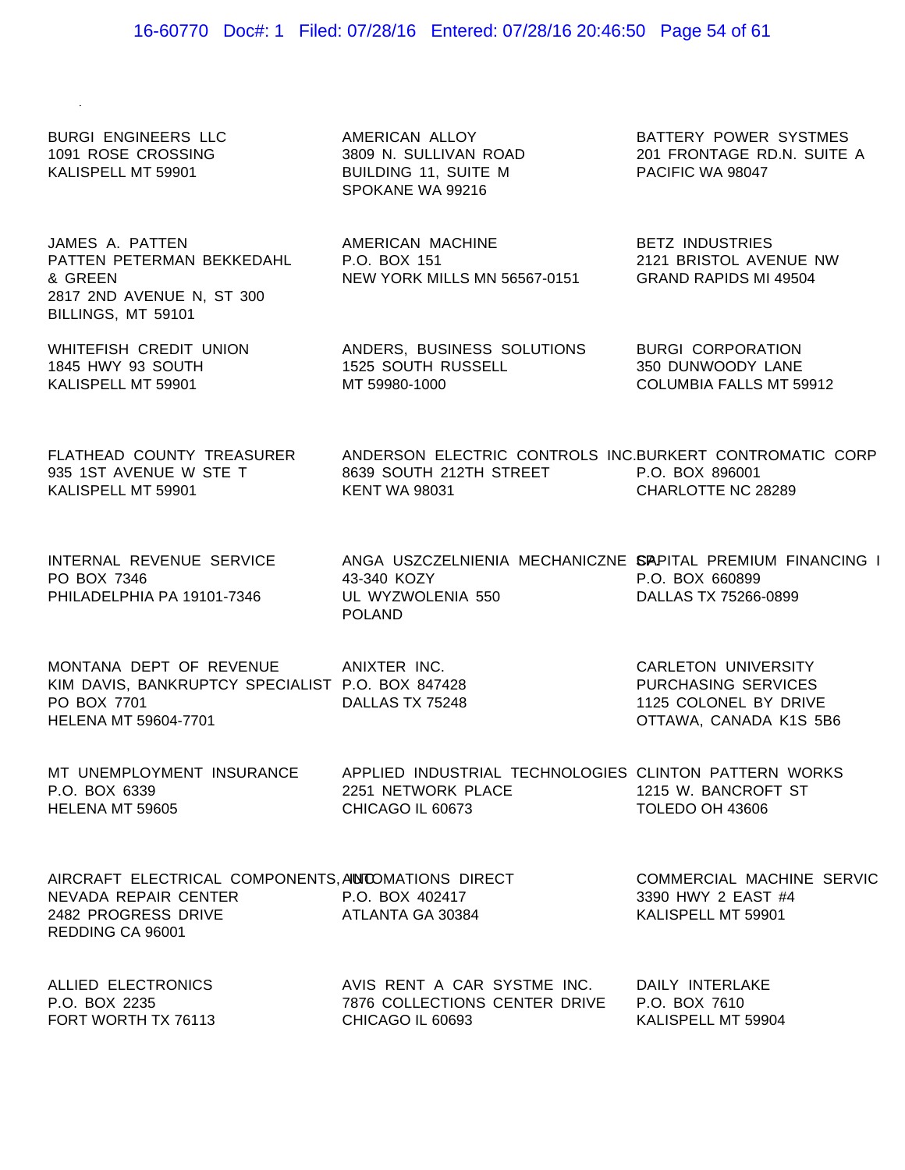### 16-60770 Doc#: 1 Filed: 07/28/16 Entered: 07/28/16 20:46:50 Page 54 of 61

BURGI ENGINEERS LLC 1091 ROSE CROSSING KALISPELL MT 59901

AMERICAN ALLOY 3809 N. SULLIVAN ROAD BUILDING 11, SUITE M SPOKANE WA 99216

AMERICAN MACHINE

P.O. BOX 151

JAMES A. PATTEN PATTEN PETERMAN BEKKEDAHL & GREEN 2817 2ND AVENUE N, ST 300 BILLINGS, MT 59101

WHITEFISH CREDIT UNION 1845 HWY 93 SOUTH KALISPELL MT 59901

FLATHEAD COUNTY TREASURER 935 1ST AVENUE W STE T KALISPELL MT 59901

INTERNAL REVENUE SERVICE PO BOX 7346 PHILADELPHIA PA 19101-7346

PO BOX 7701

HELENA MT 59604-7701

MONTANA DEPT OF REVENUE ANIXTER INC. KIM DAVIS, BANKRUPTCY SPECIALIST P.O. BOX 847428

DALLAS TX 75248

POLAND

ANDERS, BUSINESS SOLUTIONS 1525 SOUTH RUSSELL MT 59980-1000

43-340 KOZY

UL WYZWOLENIA 550

NEW YORK MILLS MN 56567-0151

BATTERY POWER SYSTMES 201 FRONTAGE RD.N. SUITE A PACIFIC WA 98047

BETZ INDUSTRIES 2121 BRISTOL AVENUE NW GRAND RAPIDS MI 49504

BURGI CORPORATION 350 DUNWOODY LANE COLUMBIA FALLS MT 59912

ANDERSON ELECTRIC CONTROLS INC. BURKERT CONTROMATIC CORP 8639 SOUTH 212TH STREET P.O. BOX 896001 KENT WA 98031 CHARLOTTE NC 28289

ANGA USZCZELNIENIA MECHANICZNE SAPITAL PREMIUM FINANCING I P.O. BOX 660899 DALLAS TX 75266-0899

> CARLETON UNIVERSITY PURCHASING SERVICES 1125 COLONEL BY DRIVE OTTAWA, CANADA K1S 5B6

MT UNEMPLOYMENT INSURANCE APPLIED INDUSTRIAL TECHNOLOGIES CLINTON PATTERN WORKS P.O. BOX 6339 HELENA MT 59605 2251 NETWORK PLACE 1215 W. BANCROFT ST CHICAGO IL 60673 TOLEDO OH 43606

| AIRCRAFT ELECTRICAL COMPONENTS, ANDOMATIONS DIRECT |                               | COMMERCIAL MACHINE SERVIC |
|----------------------------------------------------|-------------------------------|---------------------------|
| NEVADA REPAIR CENTER                               | P.O. BOX 402417               | 3390 HWY 2 EAST #4        |
| 2482 PROGRESS DRIVE                                | ATLANTA GA 30384              | KALISPELL MT 59901        |
| REDDING CA 96001                                   |                               |                           |
|                                                    |                               |                           |
| ALLIED ELECTRONICS                                 | AVIS RENT A CAR SYSTME INC.   | DAILY INTERLAKE           |
| P.O. BOX 2235                                      | 7876 COLLECTIONS CENTER DRIVE | P.O. BOX 7610             |

FORT WORTH TX 76113

7876 COLLECTIONS CENTER DRIVE CHICAGO IL 60693

P.O. BOX 7610 KALISPELL MT 59904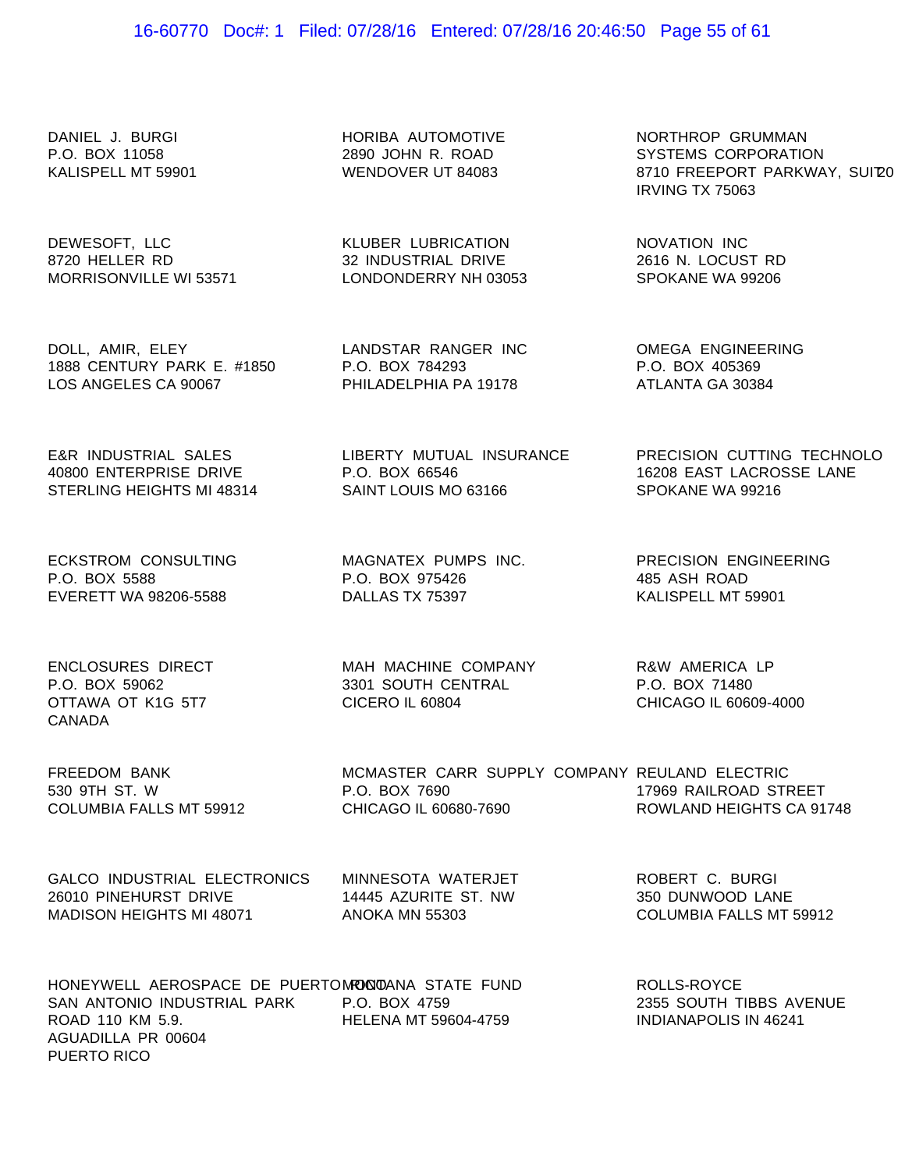### 16-60770 Doc#: 1 Filed: 07/28/16 Entered: 07/28/16 20:46:50 Page 55 of 61

DANIEL J. BURGI P.O. BOX 11058 KALISPELL MT 59901

HORIBA AUTOMOTIVE 2890 JOHN R. ROAD WENDOVER UT 84083

> KLUBER LUBRICATION 32 INDUSTRIAL DRIVE LONDONDERRY NH 03053

> LANDSTAR RANGER INC

PHILADELPHIA PA 19178

LIBERTY MUTUAL INSURANCE

P.O. BOX 784293

P.O. BOX 66546

DEWESOFT, LLC 8720 HELLER RD MORRISONVILLE WI 53571

DOLL, AMIR, ELEY 1888 CENTURY PARK E. #1850 LOS ANGELES CA 90067

E&R INDUSTRIAL SALES 40800 ENTERPRISE DRIVE STERLING HEIGHTS MI 48314

ECKSTROM CONSULTING P.O. BOX 5588 EVERETT WA 98206-5588

MAGNATEX PUMPS INC. P.O. BOX 975426 DALLAS TX 75397

SAINT LOUIS MO 63166

ENCLOSURES DIRECT P.O. BOX 59062 OTTAWA OT K1G 5T7 CANADA

MAH MACHINE COMPANY 3301 SOUTH CENTRAL CICERO IL 60804

MCMASTER CARR SUPPLY COMPANY

NORTHROP GRUMMAN SYSTEMS CORPORATION 8710 FREEPORT PARKWAY, SUI'20 IRVING TX 75063

NOVATION INC 2616 N. LOCUST RD SPOKANE WA 99206

OMEGA ENGINEERING P.O. BOX 405369 ATLANTA GA 30384

> PRECISION CUTTING TECHNOLO 16208 EAST LACROSSE LANE SPOKANE WA 99216

PRECISION ENGINEERING 485 ASH ROAD KALISPELL MT 59901

R&W AMERICA LP P.O. BOX 71480 CHICAGO IL 60609-4000

> REULAND ELECTRIC 17969 RAILROAD STREET ROWLAND HEIGHTS CA 91748

FREEDOM BANK 530 9TH ST. W COLUMBIA FALLS MT 59912

GALCO INDUSTRIAL ELECTRONICS 26010 PINEHURST DRIVE MADISON HEIGHTS MI 48071

MINNESOTA WATERJET 14445 AZURITE ST. NW ANOKA MN 55303

CHICAGO IL 60680-7690

P.O. BOX 7690

ROBERT C. BURGI 350 DUNWOOD LANE COLUMBIA FALLS MT 59912

HONEYWELL AEROSPACE DE PUERTOM**OQ**OANA STATE FUND SAN ANTONIO INDUSTRIAL PARK P.O. BOX 4759 ROAD 110 KM 5.9. AGUADILLA PR 00604 PUERTO RICO HELENA MT 59604-4759 INDIANAPOLIS IN 46241

ROLLS-ROYCE 2355 SOUTH TIBBS AVENUE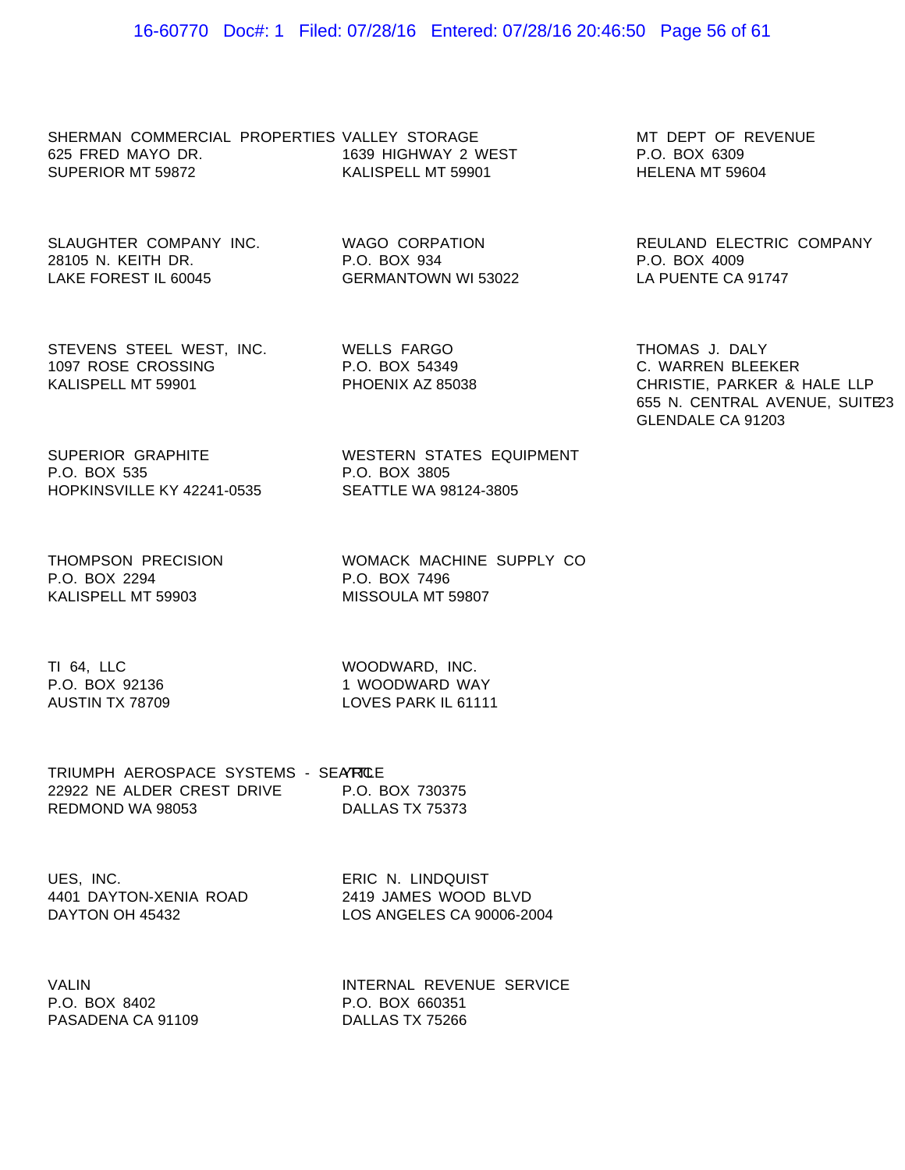SHERMAN COMMERCIAL PROPERTIES VALLEY STORAGE 625 FRED MAYO DR. SUPERIOR MT 59872 1639 HIGHWAY 2 WEST KALISPELL MT 59901

SLAUGHTER COMPANY INC. WAGO CORPATION 28105 N. KEITH DR. LAKE FOREST IL 60045

P.O. BOX 934 GERMANTOWN WI 53022

STEVENS STEEL WEST, INC. 1097 ROSE CROSSING KALISPELL MT 59901

WELLS FARGO P.O. BOX 54349 PHOENIX AZ 85038

P.O. BOX 3805

SUPERIOR GRAPHITE P.O. BOX 535 HOPKINSVILLE KY 42241-0535 SEATTLE WA 98124-3805

THOMPSON PRECISION P.O. BOX 2294 KALISPELL MT 59903

WOMACK MACHINE SUPPLY CO P.O. BOX 7496 MISSOULA MT 59807

WESTERN STATES EQUIPMENT

TI 64, LLC P.O. BOX 92136 AUSTIN TX 78709

WOODWARD, INC. 1 WOODWARD WAY LOVES PARK IL 61111

| TRIUMPH AEROSPACE SYSTEMS - SEATROLE |                 |
|--------------------------------------|-----------------|
| 22922 NE ALDER CREST DRIVE           | P.O. BOX 730375 |
| REDMOND WA 98053                     | DALLAS TX 75373 |

UES, INC. 4401 DAYTON-XENIA ROAD DAYTON OH 45432

ERIC N. LINDQUIST 2419 JAMES WOOD BLVD LOS ANGELES CA 90006-2004

VALIN P.O. BOX 8402 PASADENA CA 91109

INTERNAL REVENUE SERVICE P.O. BOX 660351 DALLAS TX 75266

MT DEPT OF REVENUE P.O. BOX 6309 HELENA MT 59604

REULAND ELECTRIC COMPANY P.O. BOX 4009 LA PUENTE CA 91747

THOMAS J. DALY C. WARREN BLEEKER CHRISTIE, PARKER & HALE LLP 655 N. CENTRAL AVENUE, SUITE23 GLENDALE CA 91203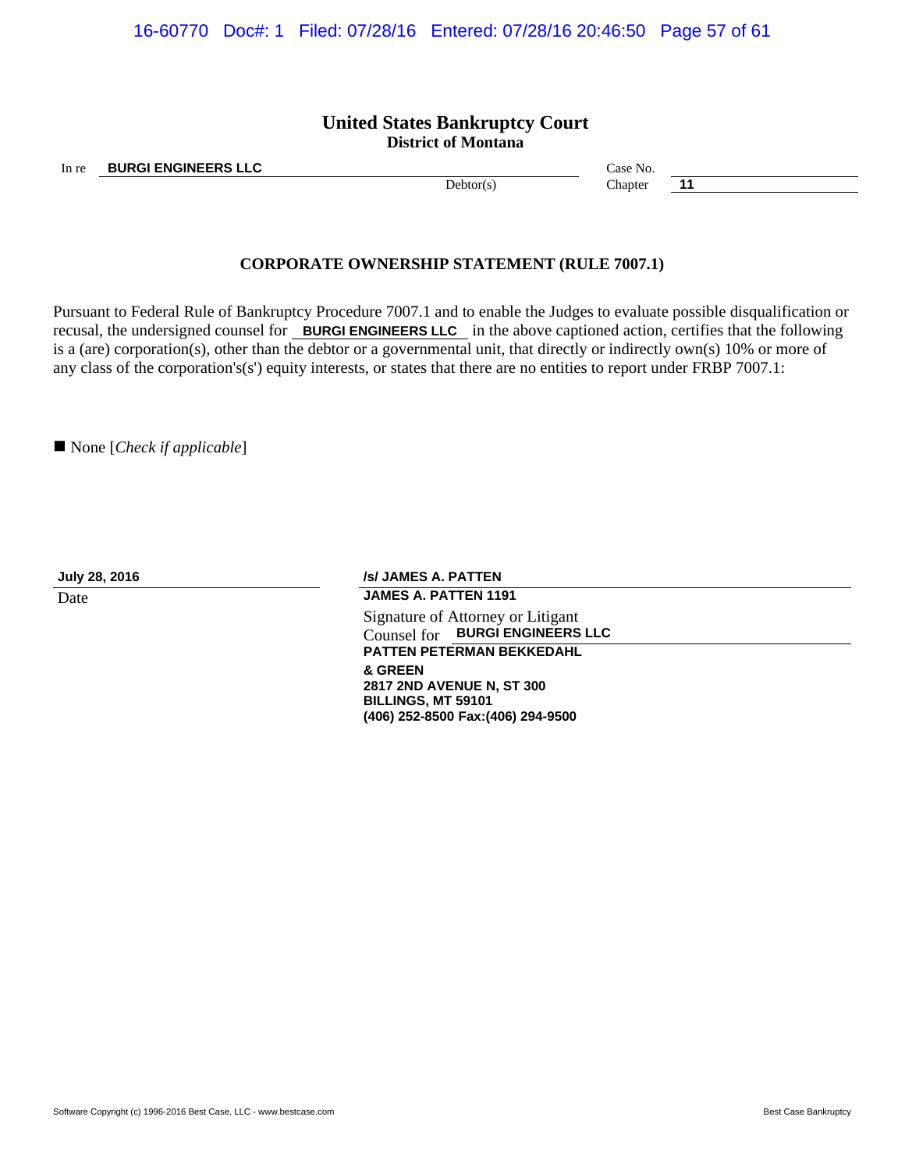16-60770 Doc#: 1 Filed: 07/28/16 Entered: 07/28/16 20:46:50 Page 57 of 61

### **United States Bankruptcy Court District of Montana**

In re **BURGI ENGINEERS LLC** Case No.

Debtor(s) Chapter **11** 

### **CORPORATE OWNERSHIP STATEMENT (RULE 7007.1)**

Pursuant to Federal Rule of Bankruptcy Procedure 7007.1 and to enable the Judges to evaluate possible disqualification or recusal, the undersigned counsel for **BURGI ENGINEERS LLC** in the above captioned action, certifies that the following is a (are) corporation(s), other than the debtor or a governmental unit, that directly or indirectly own(s) 10% or more of any class of the corporation's(s') equity interests, or states that there are no entities to report under FRBP 7007.1:

■ None [*Check if applicable*]

**July 28, 2016 /s/ JAMES A. PATTEN**

Date **Date JAMES A. PATTEN 1191** Signature of Attorney or Litigant Counsel for **BURGI ENGINEERS LLC PATTEN PETERMAN BEKKEDAHL & GREEN 2817 2ND AVENUE N, ST 300 BILLINGS, MT 59101**

**(406) 252-8500 Fax:(406) 294-9500**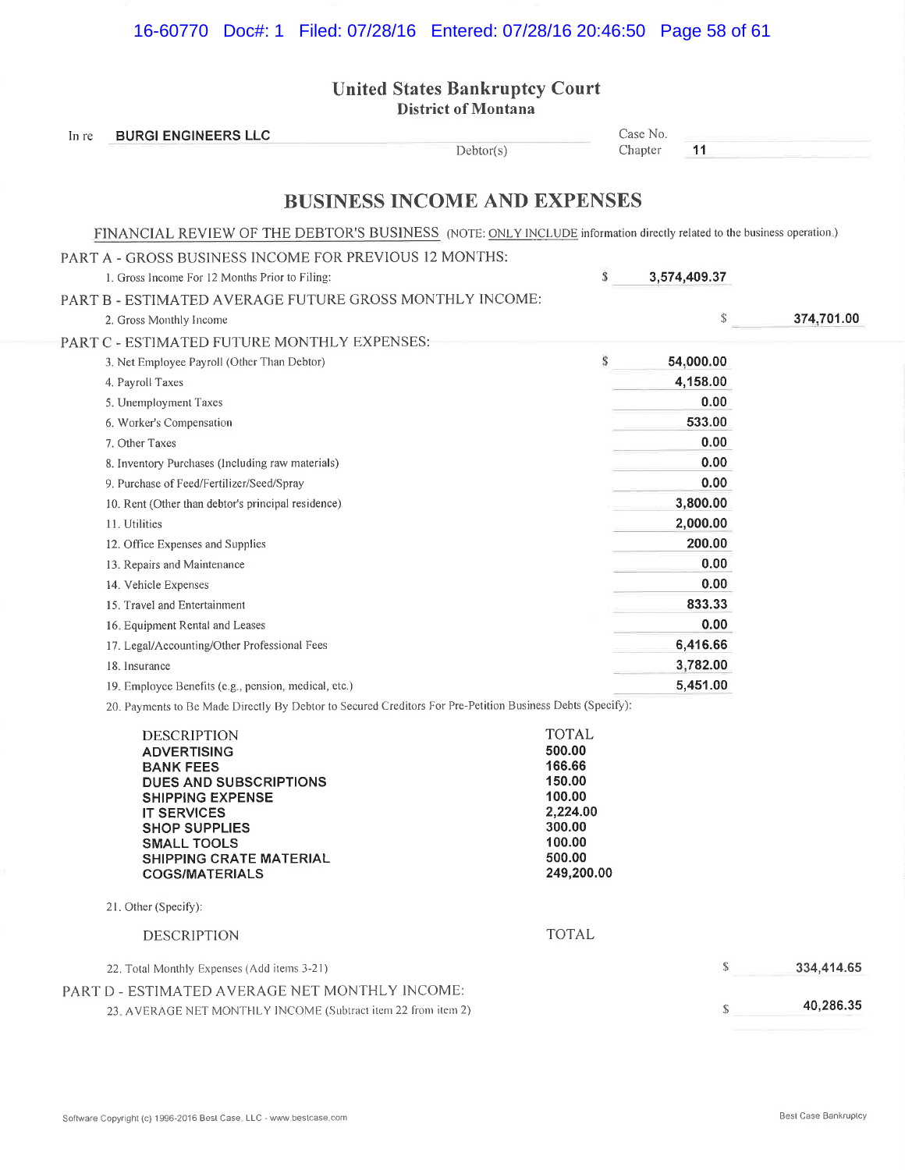## 16-60770 Doc#: 1 Filed: 07/28/16 Entered: 07/28/16 20:46:50 Page 58 of 61

United States Bankruptcy Court District of Montana

| In re | <b>BURGI ENGINEERS LLC</b>                                                                                             |                  | Case No. |              |            |
|-------|------------------------------------------------------------------------------------------------------------------------|------------------|----------|--------------|------------|
|       | Debtor(s)                                                                                                              |                  | Chapter  | 11           |            |
|       | <b>BUSINESS INCOME AND EXPENSES</b>                                                                                    |                  |          |              |            |
|       | FINANCIAL REVIEW OF THE DEBTOR'S BUSINESS (NOTE: ONLY INCLUDE information directly related to the business operation.) |                  |          |              |            |
|       | PART A - GROSS BUSINESS INCOME FOR PREVIOUS 12 MONTHS:                                                                 |                  |          |              |            |
|       | 1. Gross Income For 12 Months Prior to Filing:                                                                         | S                |          | 3,574,409.37 |            |
|       | PART B - ESTIMATED AVERAGE FUTURE GROSS MONTHLY INCOME:                                                                |                  |          |              |            |
|       | 2. Gross Monthly Income                                                                                                |                  |          | \$           | 374,701.00 |
|       | PART C - ESTIMATED FUTURE MONTHLY EXPENSES:                                                                            |                  |          |              |            |
|       | 3. Net Employee Payroll (Other Than Debtor)                                                                            | S                |          | 54,000.00    |            |
|       | 4. Payroll Taxes                                                                                                       |                  |          | 4,158.00     |            |
|       | 5. Unemployment Taxes                                                                                                  |                  |          | 0.00         |            |
|       | 6. Worker's Compensation                                                                                               |                  |          | 533.00       |            |
|       | 7. Other Taxes                                                                                                         |                  |          | 0.00         |            |
|       | 8. Inventory Purchases (Including raw materials)                                                                       |                  |          | 0.00         |            |
|       | 9. Purchase of Feed/Fertilizer/Seed/Spray                                                                              |                  |          | 0.00         |            |
|       | 10. Rent (Other than debtor's principal residence)                                                                     |                  |          | 3,800.00     |            |
|       | 11. Utilities                                                                                                          |                  |          | 2,000.00     |            |
|       | 12. Office Expenses and Supplies                                                                                       |                  |          | 200.00       |            |
|       | 13. Repairs and Maintenance                                                                                            |                  |          | 0.00         |            |
|       | 14. Vehicle Expenses                                                                                                   |                  |          | 0.00         |            |
|       | 15. Travel and Entertainment                                                                                           |                  |          | 833.33       |            |
|       | 16. Equipment Rental and Leases                                                                                        |                  |          | 0.00         |            |
|       | 17. Legal/Accounting/Other Professional Fees                                                                           |                  |          | 6,416.66     |            |
|       | 18. Insurance                                                                                                          |                  |          | 3,782.00     |            |
|       | 19. Employee Benefits (e.g., pension, medical, etc.)                                                                   |                  |          | 5,451.00     |            |
|       | 20. Payments to Be Made Directly By Debtor to Secured Creditors For Pre-Petition Business Debts (Specify):             |                  |          |              |            |
|       | <b>DESCRIPTION</b>                                                                                                     | <b>TOTAL</b>     |          |              |            |
|       | <b>ADVERTISING</b>                                                                                                     | 500.00           |          |              |            |
|       | <b>BANK FEES</b>                                                                                                       | 166.66<br>150.00 |          |              |            |
|       | <b>DUES AND SUBSCRIPTIONS</b><br><b>SHIPPING EXPENSE</b>                                                               | 100.00           |          |              |            |
|       | <b>IT SERVICES</b>                                                                                                     | 2,224.00         |          |              |            |
|       | <b>SHOP SUPPLIES</b><br><b>SMALL TOOLS</b>                                                                             | 300.00<br>100.00 |          |              |            |
|       | <b>SHIPPING CRATE MATERIAL</b>                                                                                         | 500.00           |          |              |            |
|       | <b>COGS/MATERIALS</b>                                                                                                  | 249,200.00       |          |              |            |
|       | 21. Other (Specify):                                                                                                   |                  |          |              |            |
|       | <b>DESCRIPTION</b>                                                                                                     | <b>TOTAL</b>     |          |              |            |
|       | 22. Total Monthly Expenses (Add items 3-21)                                                                            |                  |          | $\mathbb{S}$ | 334,414.65 |
|       | PART D - ESTIMATED AVERAGE NET MONTHLY INCOME:                                                                         |                  |          |              |            |
|       | 23. AVERAGE NET MONTHLY INCOME (Subtract item 22 from item 2)                                                          |                  |          | \$           | 40,286.35  |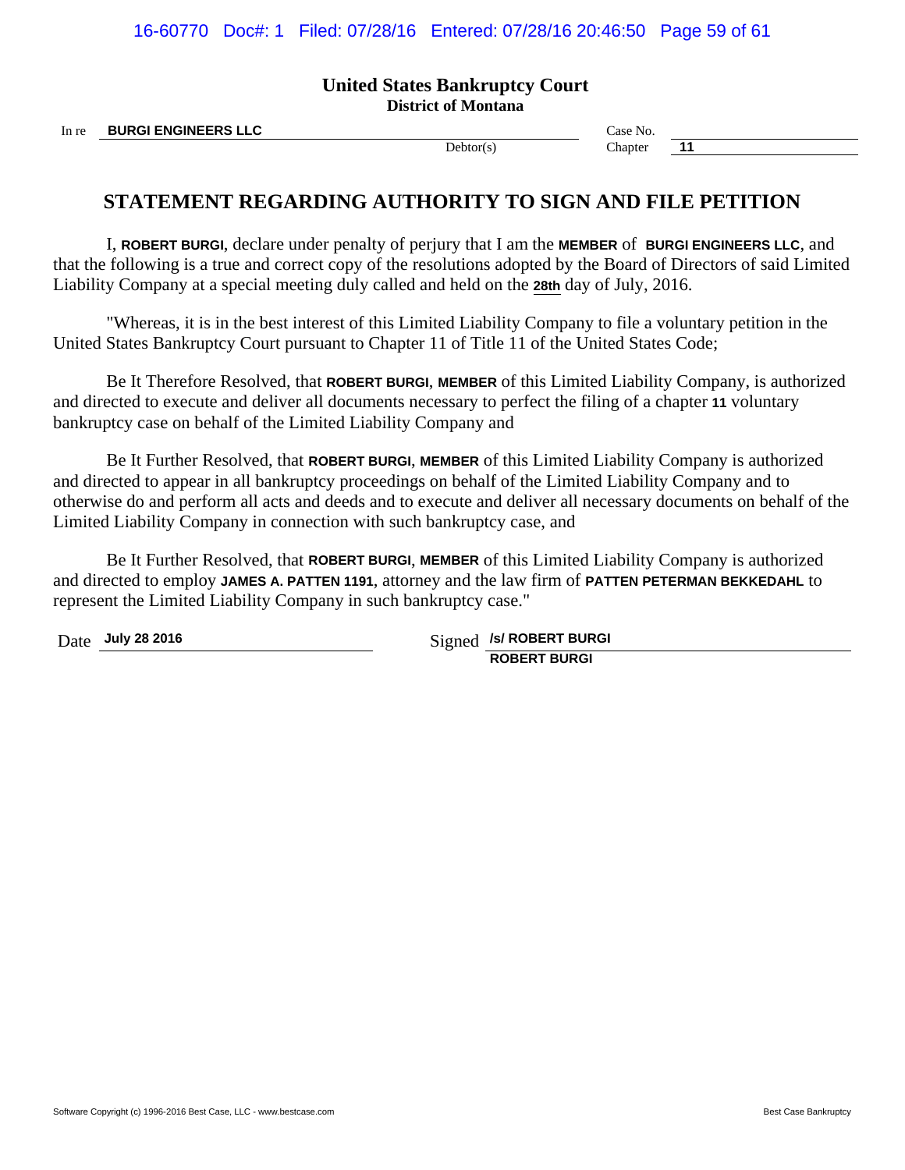16-60770 Doc#: 1 Filed: 07/28/16 Entered: 07/28/16 20:46:50 Page 59 of 61

### **United States Bankruptcy Court District of Montana**

In re **BURGI ENGINEERS LLC** Case No.

Debtor(s) Chapter **11** 

# **STATEMENT REGARDING AUTHORITY TO SIGN AND FILE PETITION**

I, **ROBERT BURGI**, declare under penalty of perjury that I am the **MEMBER** of **BURGI ENGINEERS LLC**, and that the following is a true and correct copy of the resolutions adopted by the Board of Directors of said Limited Liability Company at a special meeting duly called and held on the **28th** day of July, 2016.

"Whereas, it is in the best interest of this Limited Liability Company to file a voluntary petition in the United States Bankruptcy Court pursuant to Chapter 11 of Title 11 of the United States Code;

Be It Therefore Resolved, that **ROBERT BURGI**, **MEMBER** of this Limited Liability Company, is authorized and directed to execute and deliver all documents necessary to perfect the filing of a chapter **11** voluntary bankruptcy case on behalf of the Limited Liability Company and

Be It Further Resolved, that **ROBERT BURGI**, **MEMBER** of this Limited Liability Company is authorized and directed to appear in all bankruptcy proceedings on behalf of the Limited Liability Company and to otherwise do and perform all acts and deeds and to execute and deliver all necessary documents on behalf of the Limited Liability Company in connection with such bankruptcy case, and

Be It Further Resolved, that **ROBERT BURGI**, **MEMBER** of this Limited Liability Company is authorized and directed to employ **JAMES A. PATTEN 1191**, attorney and the law firm of **PATTEN PETERMAN BEKKEDAHL** to represent the Limited Liability Company in such bankruptcy case."

Date **July 28 2016** Signed *JsI* ROBERT BURGI **ROBERT BURGI**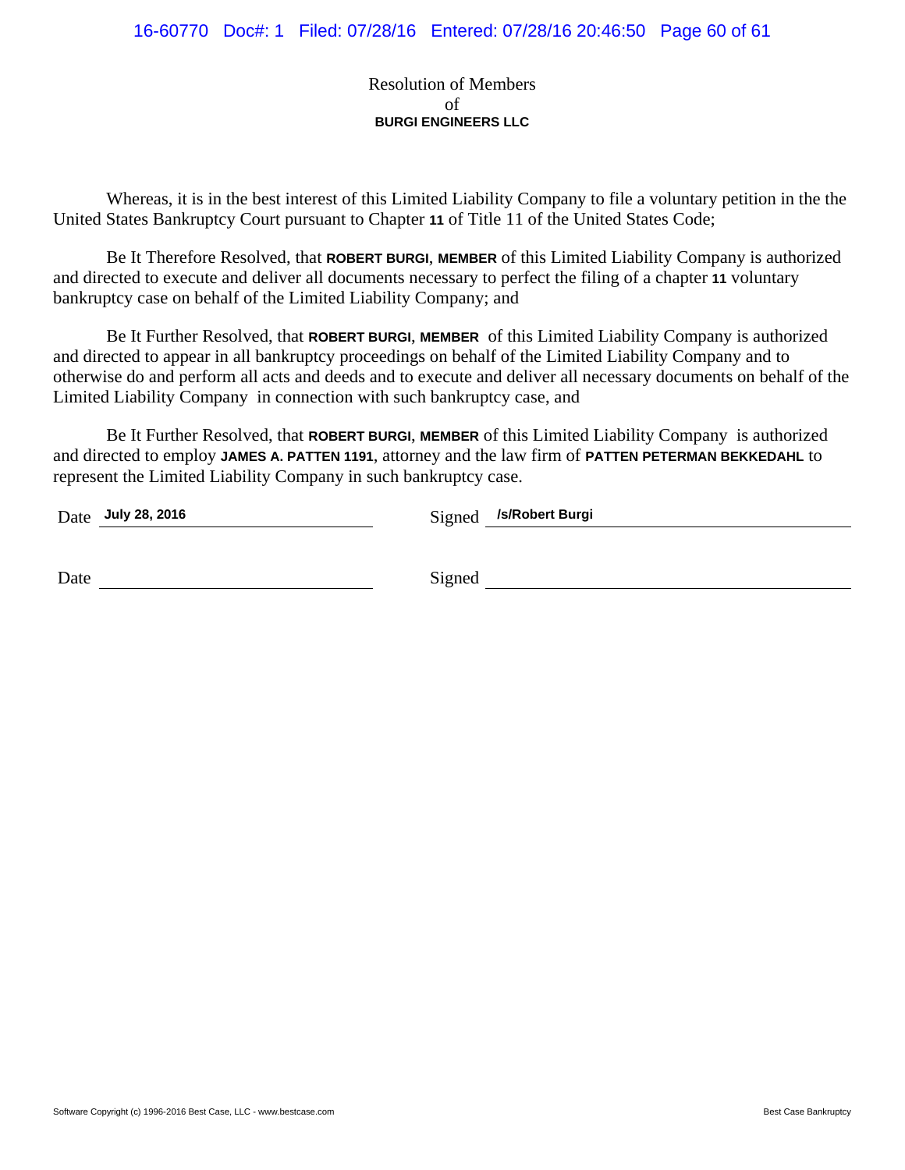Resolution of Members of **BURGI ENGINEERS LLC**

Whereas, it is in the best interest of this Limited Liability Company to file a voluntary petition in the the United States Bankruptcy Court pursuant to Chapter **11** of Title 11 of the United States Code;

Be It Therefore Resolved, that **ROBERT BURGI**, **MEMBER** of this Limited Liability Company is authorized and directed to execute and deliver all documents necessary to perfect the filing of a chapter **11** voluntary bankruptcy case on behalf of the Limited Liability Company; and

Be It Further Resolved, that **ROBERT BURGI**, **MEMBER** of this Limited Liability Company is authorized and directed to appear in all bankruptcy proceedings on behalf of the Limited Liability Company and to otherwise do and perform all acts and deeds and to execute and deliver all necessary documents on behalf of the Limited Liability Company in connection with such bankruptcy case, and

Be It Further Resolved, that **ROBERT BURGI**, **MEMBER** of this Limited Liability Company is authorized and directed to employ **JAMES A. PATTEN 1191**, attorney and the law firm of **PATTEN PETERMAN BEKKEDAHL** to represent the Limited Liability Company in such bankruptcy case.

| Date July 28, 2016 | Signed /s/Robert Burgi |
|--------------------|------------------------|
|                    |                        |
| Date               | Signed                 |